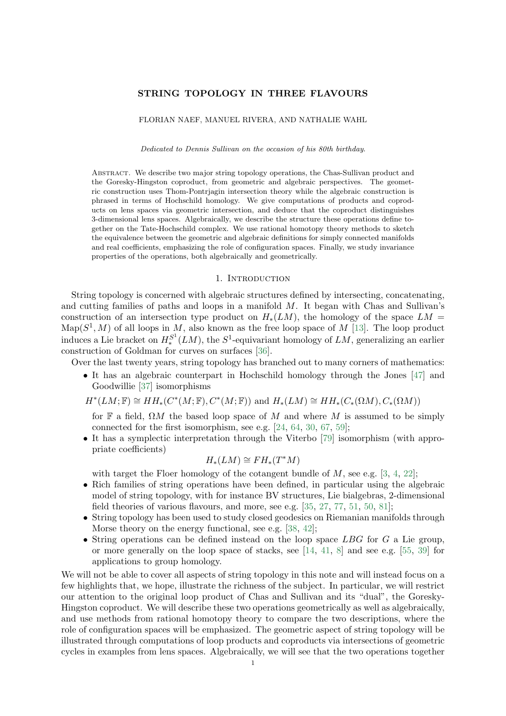#### <span id="page-0-1"></span>STRING TOPOLOGY IN THREE FLAVOURS

FLORIAN NAEF, MANUEL RIVERA, AND NATHALIE WAHL

Dedicated to Dennis Sullivan on the occasion of his 80th birthday.

Abstract. We describe two major string topology operations, the Chas-Sullivan product and the Goresky-Hingston coproduct, from geometric and algebraic perspectives. The geometric construction uses Thom-Pontrjagin intersection theory while the algebraic construction is phrased in terms of Hochschild homology. We give computations of products and coproducts on lens spaces via geometric intersection, and deduce that the coproduct distinguishes 3-dimensional lens spaces. Algebraically, we describe the structure these operations define together on the Tate-Hochschild complex. We use rational homotopy theory methods to sketch the equivalence between the geometric and algebraic definitions for simply connected manifolds and real coefficients, emphasizing the role of configuration spaces. Finally, we study invariance properties of the operations, both algebraically and geometrically.

### 1. INTRODUCTION

<span id="page-0-0"></span>String topology is concerned with algebraic structures defined by intersecting, concatenating, and cutting families of paths and loops in a manifold  $M$ . It began with Chas and Sullivan's construction of an intersection type product on  $H_*(LM)$ , the homology of the space  $LM =$  $\text{Map}(S^1, M)$  of all loops in M, also known as the free loop space of M [\[13\]](#page-37-0). The loop product induces a Lie bracket on  $H_*^{S^1}(LM)$ , the  $S^1$ -equivariant homology of  $LM$ , generalizing an earlier construction of Goldman for curves on surfaces [\[36\]](#page-38-0).

Over the last twenty years, string topology has branched out to many corners of mathematics:

• It has an algebraic counterpart in Hochschild homology through the Jones [\[47\]](#page-38-1) and Goodwillie [\[37\]](#page-38-2) isomorphisms

 $H^*(LM; \mathbb{F}) \cong HH_*(C^*(M; \mathbb{F}), C^*(M; \mathbb{F}))$  and  $H_*(LM) \cong HH_*(C_*(\Omega M), C_*(\Omega M))$ 

for F a field,  $\Omega M$  the based loop space of M and where M is assumed to be simply connected for the first isomorphism, see e.g. [\[24,](#page-37-1) [64,](#page-38-3) [30,](#page-37-2) [67,](#page-38-4) [59\]](#page-38-5);

• It has a symplectic interpretation through the Viterbo [\[79\]](#page-39-0) isomorphism (with appropriate coefficients)

$$
H_*(LM) \cong FH_*(T^*M)
$$

with target the Floer homology of the cotangent bundle of  $M$ , see e.g. [\[3,](#page-37-3) [4,](#page-37-4) [22\]](#page-37-5);

- Rich families of string operations have been defined, in particular using the algebraic model of string topology, with for instance BV structures, Lie bialgebras, 2-dimensional field theories of various flavours, and more, see e.g. [\[35,](#page-38-6) [27,](#page-37-6) [77,](#page-39-1) [51,](#page-38-7) [50,](#page-38-8) [81\]](#page-39-2);
- String topology has been used to study closed geodesics on Riemanian manifolds through Morse theory on the energy functional, see e.g. [\[38,](#page-38-9) [42\]](#page-38-10);
- String operations can be defined instead on the loop space  $LBG$  for  $G$  a Lie group, or more generally on the loop space of stacks, see  $[14, 41, 8]$  $[14, 41, 8]$  $[14, 41, 8]$  $[14, 41, 8]$  $[14, 41, 8]$  and see e.g.  $[55, 39]$  $[55, 39]$  $[55, 39]$  for applications to group homology.

We will not be able to cover all aspects of string topology in this note and will instead focus on a few highlights that, we hope, illustrate the richness of the subject. In particular, we will restrict our attention to the original loop product of Chas and Sullivan and its "dual", the Goresky-Hingston coproduct. We will describe these two operations geometrically as well as algebraically, and use methods from rational homotopy theory to compare the two descriptions, where the role of configuration spaces will be emphasized. The geometric aspect of string topology will be illustrated through computations of loop products and coproducts via intersections of geometric cycles in examples from lens spaces. Algebraically, we will see that the two operations together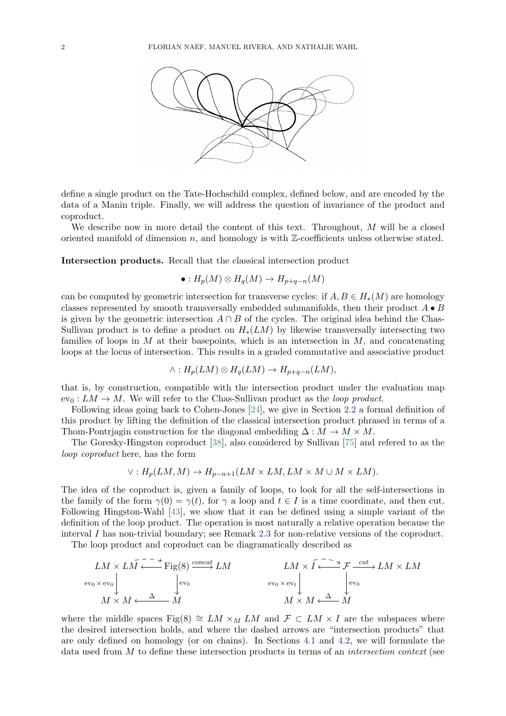

define a single product on the Tate-Hochschild complex, defined below, and are encoded by the data of a Manin triple. Finally, we will address the question of invariance of the product and coproduct.

We describe now in more detail the content of this text. Throughout, M will be a closed oriented manifold of dimension n, and homology is with  $\mathbb{Z}$ -coefficients unless otherwise stated.

Intersection products. Recall that the classical intersection product

$$
\bullet: H_p(M) \otimes H_q(M) \to H_{p+q-n}(M)
$$

can be computed by geometric intersection for transverse cycles: if  $A, B \in H_*(M)$  are homology classes represented by smooth transversally embedded submanifolds, then their product  $A \bullet B$ is given by the geometric intersection  $A \cap B$  of the cycles. The original idea behind the Chas-Sullivan product is to define a product on  $H_*(LM)$  by likewise transversally intersecting two families of loops in M at their basepoints, which is an intersection in M, and concatenating loops at the locus of intersection. This results in a graded commutative and associative product

$$
\wedge: H_p(LM) \otimes H_q(LM) \to H_{p+q-n}(LM),
$$

that is, by construction, compatible with the intersection product under the evaluation map  $ev_0: LM \to M$ . We will refer to the Chas-Sullivan product as the *loop product*.

Following ideas going back to Cohen-Jones [\[24\]](#page-37-1), we give in Section [2.2](#page-6-0) a formal definition of this product by lifting the definition of the classical intersection product phrased in terms of a Thom-Pontrjagin construction for the diagonal embedding  $\Delta : M \to M \times M$ .

The Goresky-Hingston coproduct [\[38\]](#page-38-9), also considered by Sullivan [\[75\]](#page-39-3) and refered to as the loop coproduct here, has the form

$$
\vee: H_p(LM, M) \to H_{p-n+1}(LM \times LM, LM \times M \cup M \times LM).
$$

The idea of the coproduct is, given a family of loops, to look for all the self-intersections in the family of the form  $\gamma(0) = \gamma(t)$ , for  $\gamma$  a loop and  $t \in I$  is a time coordinate, and then cut. Following Hingston-Wahl [\[43\]](#page-38-14), we show that it can be defined using a simple variant of the definition of the loop product. The operation is most naturally a relative operation because the interval  $I$  has non-trivial boundary; see Remark [2.3](#page-8-0) for non-relative versions of the coproduct.

The loop product and coproduct can be diagramatically described as

$$
LM \times L\overline{M} \xleftarrow{\sim} \text{Fig(8)} \xrightarrow{\text{concat}} LM
$$
\n
$$
L\overline{M} \times \overline{I} \xleftarrow{\sim} \overline{J} \xrightarrow{\text{cut}} LM \times LM
$$
\n
$$
\text{ev}_0 \times \text{ev}_0
$$
\n
$$
M \times M \xleftarrow{\Delta} M
$$
\n
$$
\text{ev}_0 \times \text{ev}_t
$$
\n
$$
M \times M \xleftarrow{\Delta} M
$$

where the middle spaces Fig(8)  $\cong LM \times_M LM$  and  $\mathcal{F} \subset LM \times I$  are the subspaces where the desired intersection holds, and where the dashed arrows are "intersection products" that are only defined on homology (or on chains). In Sections [4.1](#page-26-0) and [4.2,](#page-27-0) we will formulate the data used from M to define these intersection products in terms of an *intersection context* (see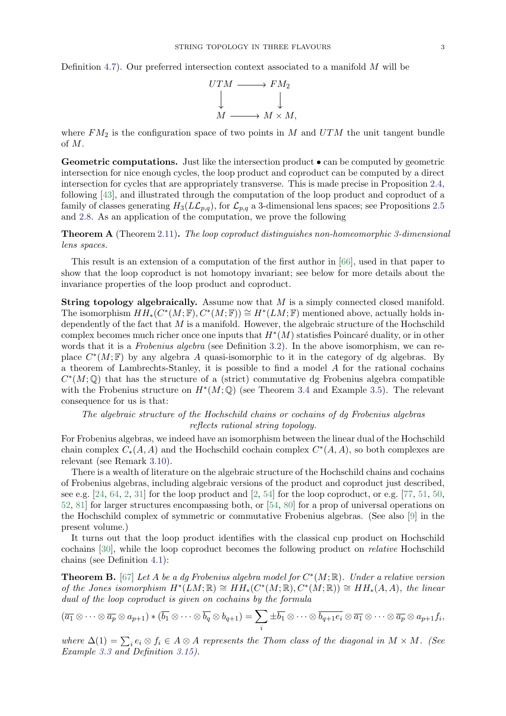Definition [4.7\)](#page-28-0). Our preferred intersection context associated to a manifold M will be



where  $FM<sub>2</sub>$  is the configuration space of two points in M and  $UTM$  the unit tangent bundle of M.

Geometric computations. Just like the intersection product  $\bullet$  can be computed by geometric intersection for nice enough cycles, the loop product and coproduct can be computed by a direct intersection for cycles that are appropriately transverse. This is made precise in Proposition [2.4,](#page-9-0) following [\[43\]](#page-38-14), and illustrated through the computation of the loop product and coproduct of a family of classes generating  $H_3(L\mathcal{L}_{p,q})$ , for  $\mathcal{L}_{p,q}$  a 3-dimensional lens spaces; see Propositions [2.5](#page-10-0) and [2.8.](#page-11-0) As an application of the computation, we prove the following

<span id="page-2-1"></span>Theorem A (Theorem [2.11\)](#page-13-0). The loop coproduct distinguishes non-homeomorphic 3-dimensional lens spaces.

This result is an extension of a computation of the first author in [\[66\]](#page-38-15), used in that paper to show that the loop coproduct is not homotopy invariant; see below for more details about the invariance properties of the loop product and coproduct.

String topology algebraically. Assume now that M is a simply connected closed manifold. The isomorphism  $HH_*(C^*(M;\mathbb{F}), C^*(M;\mathbb{F})) \cong H^*(LM;\mathbb{F})$  mentioned above, actually holds independently of the fact that  $M$  is a manifold. However, the algebraic structure of the Hochschild complex becomes much richer once one inputs that  $H^*(M)$  statisfies Poincaré duality, or in other words that it is a Frobenius algebra (see Definition [3.2\)](#page-16-0). In the above isomorphism, we can replace  $C^*(M;\mathbb{F})$  by any algebra A quasi-isomorphic to it in the category of dg algebras. By a theorem of Lambrechts-Stanley, it is possible to find a model  $A$  for the rational cochains  $C^*(M; \mathbb{Q})$  that has the structure of a (strict) commutative dg Frobenius algebra compatible with the Frobenius structure on  $H^*(M; \mathbb{Q})$  (see Theorem [3.4](#page-17-0) and Example [3.5\)](#page-17-1). The relevant consequence for us is that:

The algebraic structure of the Hochschild chains or cochains of dg Frobenius algebras reflects rational string topology.

For Frobenius algebras, we indeed have an isomorphism between the linear dual of the Hochschild chain complex  $C_*(A, A)$  and the Hochschild cochain complex  $C^*(A, A)$ , so both complexes are relevant (see Remark [3.10\)](#page-19-0).

There is a wealth of literature on the algebraic structure of the Hochschild chains and cochains of Frobenius algebras, including algebraic versions of the product and coproduct just described, see e.g.  $[24, 64, 2, 31]$  $[24, 64, 2, 31]$  $[24, 64, 2, 31]$  $[24, 64, 2, 31]$  $[24, 64, 2, 31]$  $[24, 64, 2, 31]$  $[24, 64, 2, 31]$  for the loop product and  $[2, 54]$  $[2, 54]$  $[2, 54]$  for the loop coproduct, or e.g.  $[77, 51, 50, 50]$  $[77, 51, 50, 50]$  $[77, 51, 50, 50]$  $[77, 51, 50, 50]$  $[77, 51, 50, 50]$  $[77, 51, 50, 50]$ [52,](#page-38-17) [81\]](#page-39-2) for larger structures encompassing both, or [\[54,](#page-38-16) [80\]](#page-39-4) for a prop of universal operations on the Hochschild complex of symmetric or commutative Frobenius algebras. (See also [\[9\]](#page-37-11) in the present volume.)

It turns out that the loop product identifies with the classical cup product on Hochschild cochains [\[30\]](#page-37-2), while the loop coproduct becomes the following product on relative Hochschild chains (see Definition [4.1\)](#page-25-0):

<span id="page-2-0"></span>**Theorem B.** [\[67\]](#page-38-4) Let A be a dg Frobenius algebra model for  $C^*(M;\mathbb{R})$ . Under a relative version of the Jones isomorphism  $H^*(LM;\mathbb{R}) \cong HH_*(C^*(M;\mathbb{R}), C^*(M;\mathbb{R})) \cong HH_*(A, A)$ , the linear dual of the loop coproduct is given on cochains by the formula

$$
(\overline{a_1}\otimes\cdots\otimes\overline{a_p}\otimes a_{p+1})\ast(\overline{b_1}\otimes\cdots\otimes\overline{b_q}\otimes b_{q+1})=\sum_i\pm\overline{b_1}\otimes\cdots\otimes\overline{b_{q+1}e_i}\otimes\overline{a_1}\otimes\cdots\otimes\overline{a_p}\otimes a_{p+1}f_i,
$$

where  $\Delta(1) = \sum_i e_i \otimes f_i \in A \otimes A$  represents the Thom class of the diagonal in  $M \times M$ . (See Example [3.3](#page-16-1) and Definition [3.15\)](#page-21-0).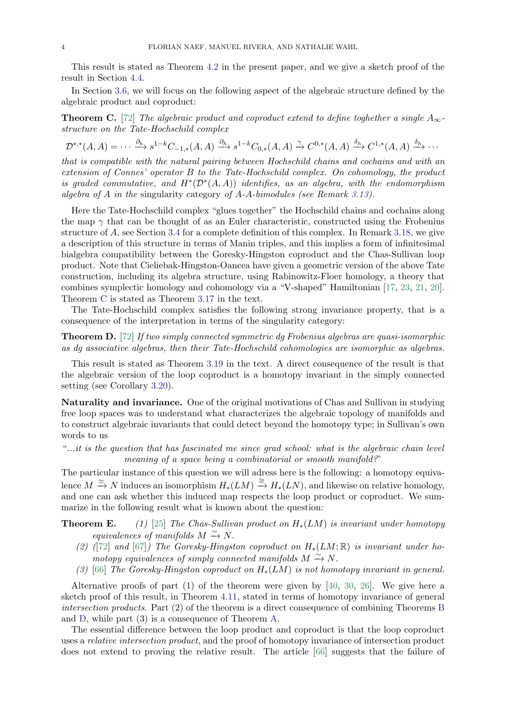This result is stated as Theorem [4.2](#page-25-1) in the present paper, and we give a sketch proof of the result in Section [4.4.](#page-30-0)

In Section [3.6,](#page-21-1) we will focus on the following aspect of the algebraic structure defined by the algebraic product and coproduct:

<span id="page-3-0"></span>**Theorem C.** [\[72\]](#page-39-5) The algebraic product and coproduct extend to define toghether a single  $A_{\infty}$ structure on the Tate-Hochschild complex

 $\mathcal{D}^{*,*}(A, A) = \cdots \xrightarrow{\partial_h} s^{1-k}C_{-1,*}(A, A) \xrightarrow{\partial_h} s^{1-k}C_{0,*}(A, A) \xrightarrow{\gamma} C^{0,*}(A, A) \xrightarrow{\delta_h} C^{1,*}(A, A) \xrightarrow{\delta_h} \cdots$ 

that is compatible with the natural pairing between Hochschild chains and cochains and with an extension of Connes' operator B to the Tate-Hochschild complex. On cohomology, the product is graded commutative, and  $H^*(\mathcal{D}^*(A, A))$  identifies, as an algebra, with the endomorphism algebra of A in the singularity category of A-A-bimodules (see Remark [3.13\)](#page-20-0).

Here the Tate-Hochschild complex "glues together" the Hochschild chains and cochains along the map  $\gamma$  that can be thought of as an Euler characteristic, constructed using the Frobenius structure of A, see Section [3.4](#page-19-1) for a complete definition of this complex. In Remark [3.18,](#page-22-0) we give a description of this structure in terms of Manin triples, and this implies a form of infinitesimal bialgebra compatibility between the Goresky-Hingston coproduct and the Chas-Sullivan loop product. Note that Cieliebak-Hingston-Oancea have given a geometric version of the above Tate construction, including its algebra structure, using Rabinowitz-Floer homology, a theory that combines symplectic homology and cohomology via a "V-shaped" Hamiltonian [\[17,](#page-37-12) [23,](#page-37-13) [21,](#page-37-14) [20\]](#page-37-15). Theorem [C](#page-3-0) is stated as Theorem [3.17](#page-21-2) in the text.

The Tate-Hochschild complex satisfies the following strong invariance property, that is a consequence of the interpretation in terms of the singularity category:

<span id="page-3-1"></span>Theorem D. [\[72\]](#page-39-5) If two simply connected symmetric dg Frobenius algebras are quasi-isomorphic as dg associative algebras, then their Tate-Hochschild cohomologies are isomorphic as algebras.

This result is stated as Theorem [3.19](#page-23-0) in the text. A direct consequence of the result is that the algebraic version of the loop coproduct is a homotopy invariant in the simply connected setting (see Corollary [3.20\)](#page-23-1).

Naturality and invariance. One of the original motivations of Chas and Sullivan in studying free loop spaces was to understand what characterizes the algebraic topology of manifolds and to construct algebraic invariants that could detect beyond the homotopy type; in Sullivan's own words to us

"...it is the question that has fascinated me since grad school: what is the algebraic chain level meaning of a space being a combinatorial or smooth manifold?"

The particular instance of this question we will adress here is the following: a homotopy equivalence  $M \xrightarrow{\simeq} N$  induces an isomorphism  $H_*(LM) \xrightarrow{\simeq} H_*(LN)$ , and likewise on relative homology, and one can ask whether this induced map respects the loop product or coproduct. We summarize in the following result what is known about the question:

**Theorem E.** (1) [\[25\]](#page-37-16) The Chas-Sullivan product on  $H_*(LM)$  is invariant under homotopy equivalences of manifolds  $M \xrightarrow{\sim} N$ .

- (2) ([\[72\]](#page-39-5) and [\[67\]](#page-38-4)) The Goresky-Hingston coproduct on  $H_*(LM;\mathbb{R})$  is invariant under homotopy equivalences of simply connected manifolds  $M \xrightarrow{\sim} N$ .
- (3) [\[66\]](#page-38-15) The Goresky-Hingston coproduct on  $H_*(LM)$  is not homotopy invariant in general.

Alternative proofs of part  $(1)$  of the theorem were given by [\[40,](#page-38-18) [30,](#page-37-2) [26\]](#page-37-17). We give here a sketch proof of this result, in Theorem [4.11,](#page-29-0) stated in terms of homotopy invariance of general intersection products. Part (2) of the theorem is a direct consequence of combining Theorems [B](#page-2-0) and [D,](#page-3-1) while part (3) is a consequence of Theorem [A.](#page-2-1)

The essential difference between the loop product and coproduct is that the loop coproduct uses a relative intersection product, and the proof of homotopy invariance of intersection product does not extend to proving the relative result. The article [\[66\]](#page-38-15) suggests that the failure of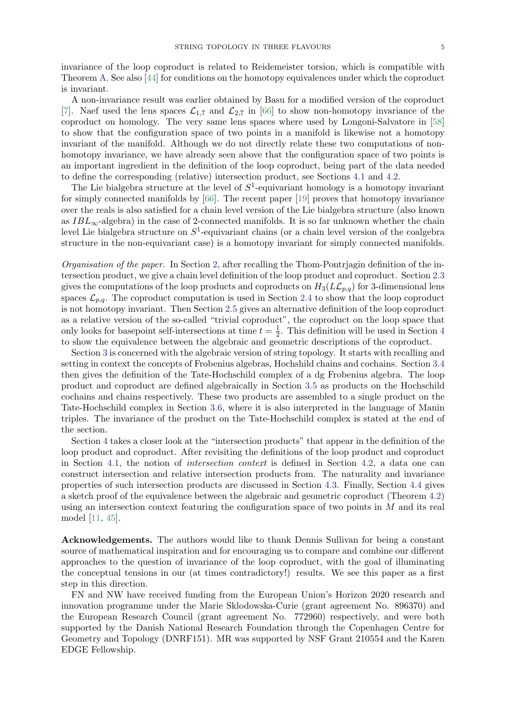invariance of the loop coproduct is related to Reidemeister torsion, which is compatible with Theorem [A.](#page-2-1) See also [\[44\]](#page-38-19) for conditions on the homotopy equivalences under which the coproduct

is invariant.

A non-invariance result was earlier obtained by Basu for a modified version of the coproduct [\[7\]](#page-37-18). Naef used the lens spaces  $\mathcal{L}_{1,7}$  and  $\mathcal{L}_{2,7}$  in [\[66\]](#page-38-15) to show non-homotopy invariance of the coproduct on homology. The very same lens spaces where used by Longoni-Salvatore in [\[58\]](#page-38-20) to show that the configuration space of two points in a manifold is likewise not a homotopy invariant of the manifold. Although we do not directly relate these two computations of nonhomotopy invariance, we have already seen above that the configuration space of two points is an important ingredient in the definition of the loop coproduct, being part of the data needed to define the corresponding (relative) intersection product, see Sections [4.1](#page-26-0) and [4.2.](#page-27-0)

The Lie bialgebra structure at the level of  $S^1$ -equivariant homology is a homotopy invariant for simply connected manifolds by [\[66\]](#page-38-15). The recent paper [\[19\]](#page-37-19) proves that homotopy invariance over the reals is also satisfied for a chain level version of the Lie bialgebra structure (also known as  $IBL_{\infty}$ -algebra) in the case of 2-connected manifolds. It is so far unknown whether the chain level Lie bialgebra structure on  $S^1$ -equivariant chains (or a chain level version of the coalgebra structure in the non-equivariant case) is a homotopy invariant for simply connected manifolds.

Organisation of the paper. In Section [2,](#page-5-0) after recalling the Thom-Pontrjagin definition of the intersection product, we give a chain level definition of the loop product and coproduct. Section [2.3](#page-9-1) gives the computations of the loop products and coproducts on  $H_3(L\mathcal{L}_{p,q})$  for 3-dimensional lens spaces  $\mathcal{L}_{p,q}$ . The coproduct computation is used in Section [2.4](#page-12-0) to show that the loop coproduct is not homotopy invariant. Then Section [2.5](#page-14-0) gives an alternative definition of the loop coproduct as a relative version of the so-called "trivial coproduct", the coproduct on the loop space that only looks for basepoint self-intersections at time  $t = \frac{1}{2}$  $\frac{1}{2}$ . This definition will be used in Section [4](#page-25-2) to show the equivalence between the algebraic and geometric descriptions of the coproduct.

Section [3](#page-15-0) is concerned with the algebraic version of string topology. It starts with recalling and setting in context the concepts of Frobenius algebras, Hochshild chains and cochains. Section [3.4](#page-19-1) then gives the definition of the Tate-Hochschild complex of a dg Frobenius algebra. The loop product and coproduct are defined algebraically in Section [3.5](#page-20-1) as products on the Hochschild cochains and chains respectively. These two products are assembled to a single product on the Tate-Hochschild complex in Section [3.6,](#page-21-1) where it is also interpreted in the language of Manin triples. The invariance of the product on the Tate-Hochschild complex is stated at the end of the section.

Section [4](#page-25-2) takes a closer look at the "intersection products" that appear in the definition of the loop product and coproduct. After revisiting the definitions of the loop product and coproduct in Section [4.1,](#page-26-0) the notion of intersection context is defined in Section [4.2,](#page-27-0) a data one can construct intersection and relative intersection products from. The naturality and invariance properties of such intersection products are discussed in Section [4.3.](#page-28-1) Finally, Section [4.4](#page-30-0) gives a sketch proof of the equivalence between the algebraic and geometric coproduct (Theorem [4.2\)](#page-25-1) using an intersection context featuring the configuration space of two points in  $M$  and its real model [\[11,](#page-37-20) [45\]](#page-38-21).

Acknowledgements. The authors would like to thank Dennis Sullivan for being a constant source of mathematical inspiration and for encouraging us to compare and combine our different approaches to the question of invariance of the loop coproduct, with the goal of illuminating the conceptual tensions in our (at times contradictory!) results. We see this paper as a first step in this direction.

FN and NW have received funding from the European Union's Horizon 2020 research and innovation programme under the Marie Sklodowska-Curie (grant agreement No. 896370) and the European Research Council (grant agreement No. 772960) respectively, and were both supported by the Danish National Research Foundation through the Copenhagen Centre for Geometry and Topology (DNRF151). MR was supported by NSF Grant 210554 and the Karen EDGE Fellowship.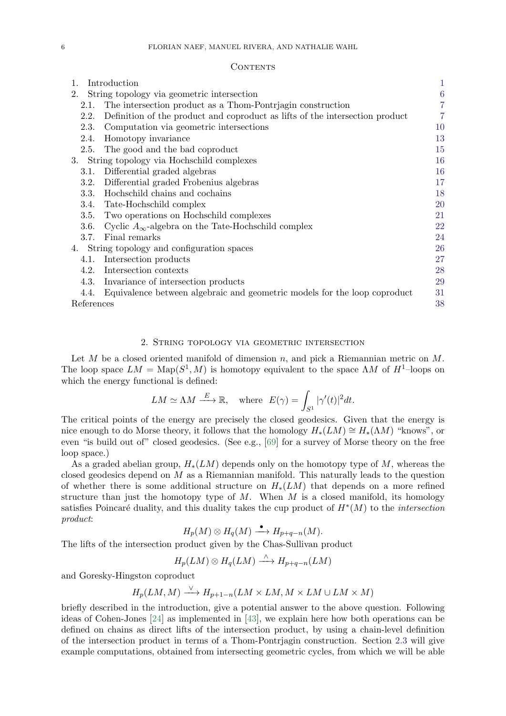#### **CONTENTS**

| Introduction<br>1.                             |                                                                              | $\mathbf{1}$   |
|------------------------------------------------|------------------------------------------------------------------------------|----------------|
| 2.                                             | String topology via geometric intersection                                   | $\overline{6}$ |
| 2.1.                                           | The intersection product as a Thom-Pontriagin construction                   |                |
| 2.2.                                           | Definition of the product and coproduct as lifts of the intersection product | 7              |
| 2.3.                                           | Computation via geometric intersections                                      | 10             |
| 2.4.                                           | Homotopy invariance                                                          | 13             |
|                                                | 2.5. The good and the bad coproduct                                          | 15             |
| 3.<br>String topology via Hochschild complexes |                                                                              | 16             |
| 3.1.                                           | Differential graded algebras                                                 | 16             |
| 3.2.                                           | Differential graded Frobenius algebras                                       | 17             |
| 3.3.                                           | Hochschild chains and cochains                                               | 18             |
| 3.4.                                           | Tate-Hochschild complex                                                      | 20             |
| 3.5.                                           | Two operations on Hochschild complexes                                       | 21             |
| 3.6.                                           | Cyclic $A_{\infty}$ -algebra on the Tate-Hochschild complex                  | 22             |
| 3.7.                                           | Final remarks                                                                | 24             |
| 4. String topology and configuration spaces    |                                                                              | 26             |
| 4.1.                                           | Intersection products                                                        | 27             |
| 4.2.                                           | Intersection contexts                                                        | 28             |
|                                                | 4.3. Invariance of intersection products                                     | 29             |
| 4.4.                                           | Equivalence between algebraic and geometric models for the loop coproduct    | 31             |
| References                                     |                                                                              | 38             |

### 2. String topology via geometric intersection

<span id="page-5-0"></span>Let M be a closed oriented manifold of dimension n, and pick a Riemannian metric on  $M$ . The loop space  $LM = \text{Map}(S^1, M)$  is homotopy equivalent to the space  $\Lambda M$  of  $H^1$ -loops on which the energy functional is defined:

$$
LM \simeq \Lambda M \stackrel{E}{\longrightarrow} \mathbb{R}
$$
, where  $E(\gamma) = \int_{S^1} |\gamma'(t)|^2 dt$ .

The critical points of the energy are precisely the closed geodesics. Given that the energy is nice enough to do Morse theory, it follows that the homology  $H_*(LM) \cong H_*(\Lambda M)$  "knows", or even "is build out of" closed geodesics. (See e.g., [\[69\]](#page-38-22) for a survey of Morse theory on the free loop space.)

As a graded abelian group,  $H_*(LM)$  depends only on the homotopy type of M, whereas the closed geodesics depend on  $M$  as a Riemannian manifold. This naturally leads to the question of whether there is some additional structure on  $H_*(LM)$  that depends on a more refined structure than just the homotopy type of  $M$ . When  $M$  is a closed manifold, its homology satisfies Poincaré duality, and this duality takes the cup product of  $H^*(M)$  to the *intersection* product:

$$
H_p(M) \otimes H_q(M) \xrightarrow{\bullet} H_{p+q-n}(M).
$$

The lifts of the intersection product given by the Chas-Sullivan product

$$
H_p(LM)\otimes H_q(LM)\stackrel{\wedge}{\longrightarrow} H_{p+q-n}(LM)
$$

and Goresky-Hingston coproduct

$$
H_p(LM, M) \xrightarrow{\vee} H_{p+1-n}(LM \times LM, M \times LM \cup LM \times M)
$$

briefly described in the introduction, give a potential answer to the above question. Following ideas of Cohen-Jones [\[24\]](#page-37-1) as implemented in [\[43\]](#page-38-14), we explain here how both operations can be defined on chains as direct lifts of the intersection product, by using a chain-level definition of the intersection product in terms of a Thom-Pontrjagin construction. Section [2.3](#page-9-1) will give example computations, obtained from intersecting geometric cycles, from which we will be able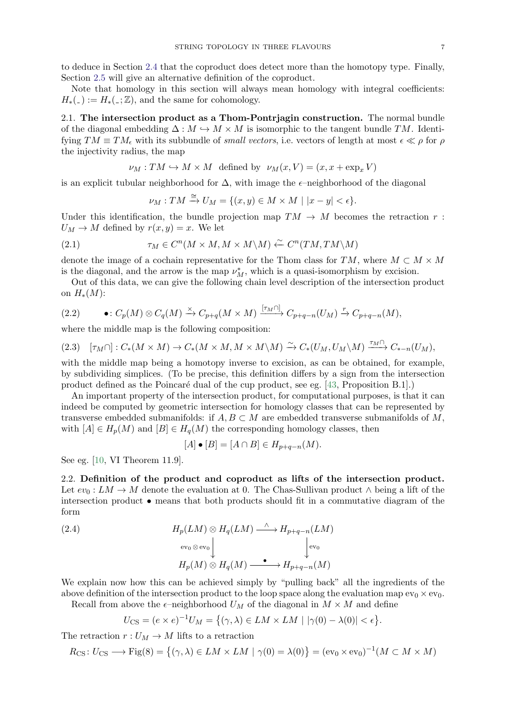to deduce in Section [2.4](#page-12-0) that the coproduct does detect more than the homotopy type. Finally, Section [2.5](#page-14-0) will give an alternative definition of the coproduct.

Note that homology in this section will always mean homology with integral coefficients:  $H_*(-):=H_*(-;\mathbb{Z})$ , and the same for cohomology.

<span id="page-6-1"></span>2.1. The intersection product as a Thom-Pontrjagin construction. The normal bundle of the diagonal embedding  $\Delta : M \hookrightarrow M \times M$  is isomorphic to the tangent bundle TM. Identifying  $TM \equiv TM_{\epsilon}$  with its subbundle of *small vectors*, i.e. vectors of length at most  $\epsilon \ll \rho$  for  $\rho$ the injectivity radius, the map

$$
\nu_M: TM \hookrightarrow M \times M \text{ defined by } \nu_M(x, V) = (x, x + \exp_x V)
$$

is an explicit tubular neighborhood for  $\Delta$ , with image the  $\epsilon$ -neighborhood of the diagonal

$$
\nu_M: TM \xrightarrow{\cong} U_M = \{(x, y) \in M \times M \mid |x - y| < \epsilon\}.
$$

Under this identification, the bundle projection map  $TM \to M$  becomes the retraction r:  $U_M \to M$  defined by  $r(x, y) = x$ . We let

(2.1) 
$$
\tau_M \in C^n(M \times M, M \times M \backslash M) \xleftarrow{\sim} C^n(TM, TM \backslash M)
$$

denote the image of a cochain representative for the Thom class for  $TM$ , where  $M \subset M \times M$ is the diagonal, and the arrow is the map  $\nu_M^*$ , which is a quasi-isomorphism by excision.

Out of this data, we can give the following chain level description of the intersection product on  $H_*(M)$ :

<span id="page-6-2"></span>
$$
(2.2) \qquad \bullet: C_p(M) \otimes C_q(M) \xrightarrow{\times} C_{p+q}(M \times M) \xrightarrow{[\tau_M \cap]} C_{p+q-n}(U_M) \xrightarrow{r} C_{p+q-n}(M),
$$

where the middle map is the following composition:

<span id="page-6-4"></span>
$$
(2.3) \quad [\tau_M \cap] : C_*(M \times M) \to C_*(M \times M, M \times M \setminus M) \xrightarrow{\sim} C_*(U_M, U_M \setminus M) \xrightarrow{\tau_M \cap} C_{*-n}(U_M),
$$

with the middle map being a homotopy inverse to excision, as can be obtained, for example, by subdividing simplices. (To be precise, this definition differs by a sign from the intersection product defined as the Poincaré dual of the cup product, see eg. [\[43,](#page-38-14) Proposition B.1].)

An important property of the intersection product, for computational purposes, is that it can indeed be computed by geometric intersection for homology classes that can be represented by transverse embedded submanifolds: if  $A, B \subset M$  are embedded transverse submanifolds of M, with  $[A] \in H_p(M)$  and  $[B] \in H_q(M)$  the corresponding homology classes, then

<span id="page-6-3"></span>
$$
[A] \bullet [B] = [A \cap B] \in H_{p+q-n}(M).
$$

See eg. [\[10,](#page-37-22) VI Theorem 11.9].

<span id="page-6-0"></span>2.2. Definition of the product and coproduct as lifts of the intersection product. Let  $ev_0: LM \to M$  denote the evaluation at 0. The Chas-Sullivan product  $\wedge$  being a lift of the intersection product • means that both products should fit in a commutative diagram of the form

(2.4) 
$$
H_p(LM) \otimes H_q(LM) \xrightarrow{\wedge} H_{p+q-n}(LM)
$$

$$
\downarrow^{\text{ev}_0 \otimes \text{ev}_0} \downarrow^{\text{ev}_0}
$$

$$
H_p(M) \otimes H_q(M) \xrightarrow{\bullet} H_{p+q-n}(M)
$$

We explain now how this can be achieved simply by "pulling back" all the ingredients of the above definition of the intersection product to the loop space along the evaluation map  $ev_0 \times ev_0$ .

Recall from above the  $\epsilon$ -neighborhood  $U_M$  of the diagonal in  $M \times M$  and define

$$
U_{\text{CS}} = (e \times e)^{-1} U_M = \{ (\gamma, \lambda) \in LM \times LM \mid |\gamma(0) - \lambda(0)| < \epsilon \}.
$$

The retraction  $r: U_M \to M$  lifts to a retraction

$$
R_{\text{CS}}: U_{\text{CS}} \longrightarrow \text{Fig(8)} = \{ (\gamma, \lambda) \in LM \times LM \mid \gamma(0) = \lambda(0) \} = (\text{ev}_0 \times \text{ev}_0)^{-1} (M \subset M \times M)
$$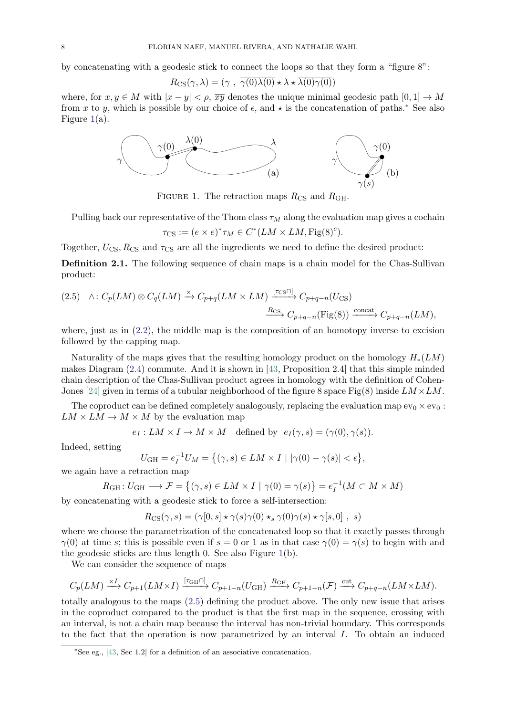by concatenating with a geodesic stick to connect the loops so that they form a "figure 8":

$$
R_{\text{CS}}(\gamma,\lambda) = (\gamma \ , \ \overline{\gamma(0)\lambda(0)} \star \lambda \star \overline{\lambda(0)\gamma(0)})
$$

where, for  $x, y \in M$  with  $|x - y| < \rho$ ,  $\overline{xy}$  denotes the unique minimal geodesic path  $[0, 1] \to M$ from x to y, which is possible by our choice of  $\epsilon$ , and  $\star$  is the concatenation of paths.<sup>[∗](#page-7-0)</sup> See also Figure  $1(a)$  $1(a)$ .



<span id="page-7-1"></span>FIGURE 1. The retraction maps  $R_{\text{CS}}$  and  $R_{\text{GH}}$ .

Pulling back our representative of the Thom class  $\tau_M$  along the evaluation map gives a cochain

 $\tau_{\text{CS}} := (e \times e)^* \tau_M \in C^*(LM \times LM, \text{Fig(8)}^c).$ 

Together,  $U_{\text{CS}}$ ,  $R_{\text{CS}}$  and  $\tau_{\text{CS}}$  are all the ingredients we need to define the desired product:

<span id="page-7-3"></span>Definition 2.1. The following sequence of chain maps is a chain model for the Chas-Sullivan product:

<span id="page-7-2"></span>
$$
(2.5) \quad \wedge: C_p(LM) \otimes C_q(LM) \xrightarrow{\times} C_{p+q}(LM \times LM) \xrightarrow{[\tau_{\text{CS}} \cap ]} C_{p+q-n}(U_{\text{CS}})
$$
\n
$$
\xrightarrow{R_{\text{CS}}} C_{p+q-n}(\text{Fig}(8)) \xrightarrow{\text{concat}} C_{p+q-n}(LM),
$$

where, just as in  $(2.2)$ , the middle map is the composition of an homotopy inverse to excision followed by the capping map.

Naturality of the maps gives that the resulting homology product on the homology  $H_*(LM)$ makes Diagram [\(2.4\)](#page-6-3) commute. And it is shown in [\[43,](#page-38-14) Proposition 2.4] that this simple minded chain description of the Chas-Sullivan product agrees in homology with the definition of Cohen-Jones [\[24\]](#page-37-1) given in terms of a tubular neighborhood of the figure 8 space Fig(8) inside  $LM \times LM$ .

The coproduct can be defined completely analogously, replacing the evaluation map  $ev_0 \times ev_0$ :  $LM \times LM \rightarrow M \times M$  by the evaluation map

 $e_I: LM \times I \to M \times M$  defined by  $e_I(\gamma, s) = (\gamma(0), \gamma(s)).$ 

Indeed, setting

$$
U_{\text{GH}} = e_I^{-1} U_M = \left\{ (\gamma, s) \in LM \times I \mid |\gamma(0) - \gamma(s)| < \epsilon \right\},\
$$

we again have a retraction map

$$
R_{\rm GH} \colon U_{\rm GH} \longrightarrow \mathcal{F} = \{ (\gamma, s) \in LM \times I \mid \gamma(0) = \gamma(s) \} = e_I^{-1} (M \subset M \times M)
$$

by concatenating with a geodesic stick to force a self-intersection:

$$
R_{\text{CS}}(\gamma, s) = (\gamma[0, s] \star \overline{\gamma(s)\gamma(0)} \star_s \overline{\gamma(0)\gamma(s)} \star \gamma[s, 0], s)
$$

where we choose the parametrization of the concatenated loop so that it exactly passes through  $\gamma(0)$  at time s; this is possible even if  $s = 0$  or 1 as in that case  $\gamma(0) = \gamma(s)$  to begin with and the geodesic sticks are thus length 0. See also Figure [1\(](#page-7-1)b).

We can consider the sequence of maps

$$
C_p(LM) \xrightarrow{\times I} C_{p+1}(LM \times I) \xrightarrow{[\tau_{\text{GH}} \cap]} C_{p+1-n}(U_{\text{GH}}) \xrightarrow{R_{\text{GH}}} C_{p+1-n}(\mathcal{F}) \xrightarrow{\text{cut}} C_{p+q-n}(LM \times LM).
$$

totally analogous to the maps [\(2.5\)](#page-7-2) defining the product above. The only new issue that arises in the coproduct compared to the product is that the first map in the sequence, crossing with an interval, is not a chain map because the interval has non-trivial boundary. This corresponds to the fact that the operation is now parametrized by an interval I. To obtain an induced

<span id="page-7-0"></span><sup>∗</sup>See eg., [\[43,](#page-38-14) Sec 1.2] for a definition of an associative concatenation.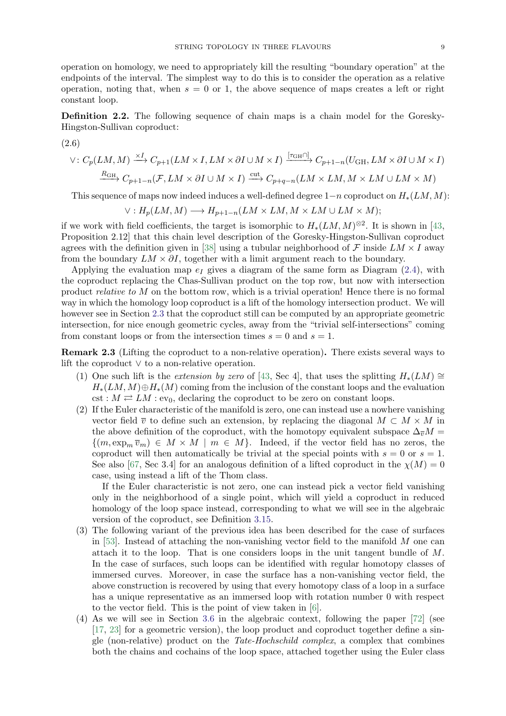operation on homology, we need to appropriately kill the resulting "boundary operation" at the endpoints of the interval. The simplest way to do this is to consider the operation as a relative operation, noting that, when  $s = 0$  or 1, the above sequence of maps creates a left or right constant loop.

<span id="page-8-1"></span>Definition 2.2. The following sequence of chain maps is a chain model for the Goresky-Hingston-Sullivan coproduct:

(2.6)  
\n
$$
\vee: C_p(LM, M) \xrightarrow{\times I} C_{p+1}(LM \times I, LM \times \partial I \cup M \times I) \xrightarrow{[\tau_{GH} \cap]} C_{p+1-n}(U_{GH}, LM \times \partial I \cup M \times I)
$$
\n
$$
\xrightarrow{R_{GH}} C_{p+1-n}(\mathcal{F}, LM \times \partial I \cup M \times I) \xrightarrow{\text{cut}} C_{p+q-n}(LM \times LM, M \times LM \cup LM \times M)
$$

This sequence of maps now indeed induces a well-defined degree  $1-n$  coproduct on  $H_*(LM, M)$ :

$$
\vee: H_p(LM, M) \longrightarrow H_{p+1-n}(LM \times LM, M \times LM \cup LM \times M);
$$

if we work with field coefficients, the target is isomorphic to  $H_*(LM, M)^{\otimes 2}$ . It is shown in [\[43,](#page-38-14) Proposition 2.12] that this chain level description of the Goresky-Hingston-Sullivan coproduct agrees with the definition given in [\[38\]](#page-38-9) using a tubular neighborhood of  $\mathcal F$  inside  $LM \times I$  away from the boundary  $LM \times \partial I$ , together with a limit argument reach to the boundary.

Applying the evaluation map  $e_I$  gives a diagram of the same form as Diagram [\(2.4\)](#page-6-3), with the coproduct replacing the Chas-Sullivan product on the top row, but now with intersection product relative to M on the bottom row, which is a trivial operation! Hence there is no formal way in which the homology loop coproduct is a lift of the homology intersection product. We will however see in Section [2.3](#page-9-1) that the coproduct still can be computed by an appropriate geometric intersection, for nice enough geometric cycles, away from the "trivial self-intersections" coming from constant loops or from the intersection times  $s = 0$  and  $s = 1$ .

<span id="page-8-0"></span>Remark 2.3 (Lifting the coproduct to a non-relative operation). There exists several ways to lift the coproduct ∨ to a non-relative operation.

- (1) One such lift is the *extension by zero* of [\[43,](#page-38-14) Sec 4], that uses the splitting  $H_*(LM) \cong$  $H_*(LM, M) \oplus H_*(M)$  coming from the inclusion of the constant loops and the evaluation cst :  $M \rightleftarrows LM$  : ev<sub>0</sub>, declaring the coproduct to be zero on constant loops.
- (2) If the Euler characteristic of the manifold is zero, one can instead use a nowhere vanishing vector field  $\overline{v}$  to define such an extension, by replacing the diagonal  $M \subset M \times M$  in the above definition of the coproduct, with the homotopy equivalent subspace  $\Delta_{\overline{v}}M =$  ${(m, \exp_m \overline{v}_m) \in M \times M \mid m \in M}$ . Indeed, if the vector field has no zeros, the coproduct will then automatically be trivial at the special points with  $s = 0$  or  $s = 1$ . See also [\[67,](#page-38-4) Sec 3.4] for an analogous definition of a lifted coproduct in the  $\chi(M) = 0$ case, using instead a lift of the Thom class.

If the Euler characteristic is not zero, one can instead pick a vector field vanishing only in the neighborhood of a single point, which will yield a coproduct in reduced homology of the loop space instead, corresponding to what we will see in the algebraic version of the coproduct, see Definition [3.15.](#page-21-0)

- (3) The following variant of the previous idea has been described for the case of surfaces in [\[53\]](#page-38-23). Instead of attaching the non-vanishing vector field to the manifold  $M$  one can attach it to the loop. That is one considers loops in the unit tangent bundle of  $M$ . In the case of surfaces, such loops can be identified with regular homotopy classes of immersed curves. Moreover, in case the surface has a non-vanishing vector field, the above construction is recovered by using that every homotopy class of a loop in a surface has a unique representative as an immersed loop with rotation number 0 with respect to the vector field. This is the point of view taken in [\[6\]](#page-37-23).
- (4) As we will see in Section [3.6](#page-21-1) in the algebraic context, following the paper [\[72\]](#page-39-5) (see [\[17,](#page-37-12) [23\]](#page-37-13) for a geometric version), the loop product and coproduct together define a single (non-relative) product on the Tate-Hochschild complex, a complex that combines both the chains and cochains of the loop space, attached together using the Euler class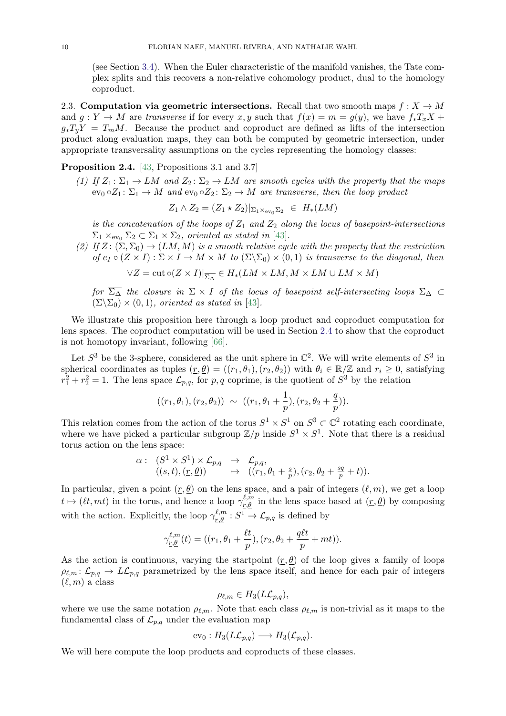(see Section [3.4\)](#page-19-1). When the Euler characteristic of the manifold vanishes, the Tate complex splits and this recovers a non-relative cohomology product, dual to the homology coproduct.

<span id="page-9-1"></span>2.3. Computation via geometric intersections. Recall that two smooth maps  $f: X \to M$ and  $q: Y \to M$  are transverse if for every x, y such that  $f(x) = m = q(y)$ , we have  $f_*T_xX +$  $g_*T_yY = T_mM$ . Because the product and coproduct are defined as lifts of the intersection product along evaluation maps, they can both be computed by geometric intersection, under appropriate transversality assumptions on the cycles representing the homology classes:

# <span id="page-9-0"></span>Proposition 2.4. [\[43,](#page-38-14) Propositions 3.1 and 3.7]

(1) If  $Z_1: \Sigma_1 \to LM$  and  $Z_2: \Sigma_2 \to LM$  are smooth cycles with the property that the maps  $ev_0 \circ Z_1 : \Sigma_1 \to M$  and  $ev_0 \circ Z_2 : \Sigma_2 \to M$  are transverse, then the loop product

$$
Z_1 \wedge Z_2 = (Z_1 \star Z_2)|_{\Sigma_1 \times_{\text{ev}_0} \Sigma_2} \in H_*(LM)
$$

is the concatenation of the loops of  $Z_1$  and  $Z_2$  along the locus of basepoint-intersections  $\Sigma_1 \times_{\text{ev}_0} \Sigma_2 \subset \Sigma_1 \times \Sigma_2$ , oriented as stated in [\[43\]](#page-38-14).

(2) If  $Z: (\Sigma, \Sigma_0) \to (LM, M)$  is a smooth relative cycle with the property that the restriction of  $e_I \circ (Z \times I) : \Sigma \times I \to M \times M$  to  $(\Sigma \backslash \Sigma_0) \times (0, 1)$  is transverse to the diagonal, then

$$
\forall Z = \text{cut} \circ (Z \times I)|_{\overline{\Sigma_{\Delta}}} \in H_*(LM \times LM, M \times LM \cup LM \times M)
$$

for  $\overline{\Sigma_{\Delta}}$  the closure in  $\Sigma \times I$  of the locus of basepoint self-intersecting loops  $\Sigma_{\Delta} \subset$  $(\Sigma \backslash \Sigma_0) \times (0, 1)$ , oriented as stated in [\[43\]](#page-38-14).

We illustrate this proposition here through a loop product and coproduct computation for lens spaces. The coproduct computation will be used in Section [2.4](#page-12-0) to show that the coproduct is not homotopy invariant, following [\[66\]](#page-38-15).

Let  $S^3$  be the 3-sphere, considered as the unit sphere in  $\mathbb{C}^2$ . We will write elements of  $S^3$  in spherical coordinates as tuples  $(r, \theta) = ((r_1, \theta_1), (r_2, \theta_2))$  with  $\theta_i \in \mathbb{R}/\mathbb{Z}$  and  $r_i \geq 0$ , satisfying  $r_1^2 + r_2^2 = 1$ . The lens space  $\mathcal{L}_{p,q}$ , for p, q coprime, is the quotient of  $S^3$  by the relation

$$
((r_1, \theta_1), (r_2, \theta_2)) \sim ((r_1, \theta_1 + \frac{1}{p}), (r_2, \theta_2 + \frac{q}{p})).
$$

This relation comes from the action of the torus  $S^1 \times S^1$  on  $S^3 \subset \mathbb{C}^2$  rotating each coordinate, where we have picked a particular subgroup  $\mathbb{Z}/p$  inside  $S^1 \times S^1$ . Note that there is a residual torus action on the lens space:

$$
\alpha: (S^1 \times S^1) \times \mathcal{L}_{p,q} \rightarrow \mathcal{L}_{p,q}, ((s,t),(r,\underline{\theta})) \rightarrow ((r_1,\theta_1+\frac{s}{p}),(r_2,\theta_2+\frac{sq}{p}+t)).
$$

In particular, given a point  $(r, \theta)$  on the lens space, and a pair of integers  $(\ell, m)$ , we get a loop  $t \mapsto (\ell t, mt)$  in the torus, and hence a loop  $\gamma_{r,\theta}^{\ell,m}$  in the lens space based at  $(\underline{r}, \underline{\theta})$  by composing with the action. Explicitly, the loop  $\gamma_{r,\theta}^{\ell,m} : S^1 \to \mathcal{L}_{p,q}$  is defined by

$$
\gamma_{\underline{r},\underline{\theta}}^{\ell,m}(t) = ((r_1, \theta_1 + \frac{\ell t}{p}), (r_2, \theta_2 + \frac{q\ell t}{p} + mt)).
$$

As the action is continuous, varying the startpoint  $(r, \theta)$  of the loop gives a family of loops  $\rho_{\ell,m} : \mathcal{L}_{p,q} \to L\mathcal{L}_{p,q}$  parametrized by the lens space itself, and hence for each pair of integers  $(\ell, m)$  a class

$$
\rho_{\ell,m} \in H_3(L\mathcal{L}_{p,q}),
$$

where we use the same notation  $\rho_{\ell,m}$ . Note that each class  $\rho_{\ell,m}$  is non-trivial as it maps to the fundamental class of  $\mathcal{L}_{p,q}$  under the evaluation map

$$
\text{ev}_0: H_3(L\mathcal{L}_{p,q}) \longrightarrow H_3(\mathcal{L}_{p,q}).
$$

We will here compute the loop products and coproducts of these classes.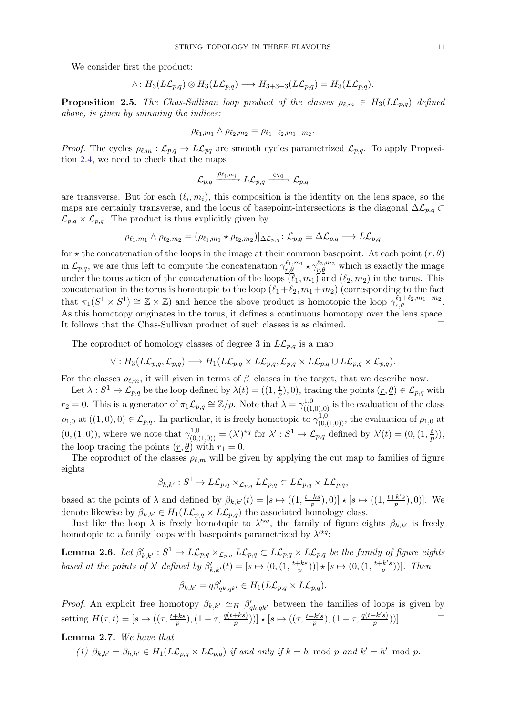We consider first the product:

$$
\wedge: H_3(L\mathcal{L}_{p,q}) \otimes H_3(L\mathcal{L}_{p,q}) \longrightarrow H_{3+3-3}(L\mathcal{L}_{p,q}) = H_3(L\mathcal{L}_{p,q}).
$$

<span id="page-10-0"></span>**Proposition 2.5.** The Chas-Sullivan loop product of the classes  $\rho_{\ell,m} \in H_3(L\mathcal{L}_{p,q})$  defined above, is given by summing the indices:

$$
\rho_{\ell_1,m_1} \wedge \rho_{\ell_2,m_2} = \rho_{\ell_1+\ell_2,m_1+m_2}.
$$

*Proof.* The cycles  $\rho_{\ell,m} : L_{p,q} \to L\mathcal{L}_{pq}$  are smooth cycles parametrized  $\mathcal{L}_{p,q}$ . To apply Proposition [2.4,](#page-9-0) we need to check that the maps

$$
\mathcal{L}_{p,q} \xrightarrow{\rho_{\ell_i,m_i}} L\mathcal{L}_{p,q} \xrightarrow{\text{ev}_0} \mathcal{L}_{p,q}
$$

are transverse. But for each  $(\ell_i, m_i)$ , this composition is the identity on the lens space, so the maps are certainly transverse, and the locus of basepoint-intersections is the diagonal  $\Delta\mathcal{L}_{p,q}$  $\mathcal{L}_{p,q} \times \mathcal{L}_{p,q}$ . The product is thus explicitly given by

$$
\rho_{\ell_1,m_1}\wedge \rho_{\ell_2,m_2}=(\rho_{\ell_1,m_1}\star \rho_{\ell_2,m_2})|_{\Delta \mathcal{L}_{p,q}}\colon \mathcal{L}_{p,q}\equiv \Delta \mathcal{L}_{p,q}\longrightarrow L\mathcal{L}_{p,q}
$$

for  $\star$  the concatenation of the loops in the image at their common basepoint. At each point  $(r, \theta)$ in  $\mathcal{L}_{p,q}$ , we are thus left to compute the concatenation  $\gamma_{r,\theta}^{\ell_1,m_1} \star \gamma_{r,\theta}^{\ell_2,m_2}$  which is exactly the image under the torus action of the concatenation of the loops  $(\ell_1, m_1)$  and  $(\ell_2, m_2)$  in the torus. This concatenation in the torus is homotopic to the loop  $(\ell_1+\ell_2, m_1+m_2)$  (corresponding to the fact that  $\pi_1(S^1 \times S^1) \cong \mathbb{Z} \times \mathbb{Z}$  and hence the above product is homotopic the loop  $\gamma_{r,\theta}^{\ell_1+\ell_2,m_1+m_2}$ . As this homotopy originates in the torus, it defines a continuous homotopy over the lens space. It follows that the Chas-Sullivan product of such classes is as claimed.  $\hfill \Box$ 

The coproduct of homology classes of degree 3 in  $L\mathcal{L}_{p,q}$  is a map

$$
\vee: H_3(L\mathcal{L}_{p,q}, \mathcal{L}_{p,q}) \longrightarrow H_1(L\mathcal{L}_{p,q} \times L\mathcal{L}_{p,q}, \mathcal{L}_{p,q} \times L\mathcal{L}_{p,q} \cup L\mathcal{L}_{p,q} \times \mathcal{L}_{p,q}).
$$

For the classes  $\rho_{\ell,m}$ , it will given in terms of  $\beta$ –classes in the target, that we describe now.

Let  $\lambda: S^1 \to \mathcal{L}_{p,q}$  be the loop defined by  $\lambda(t) = ((1, \frac{t}{n})$  $(\frac{t}{p}), 0$ , tracing the points  $(\underline{r}, \underline{\theta}) \in \mathcal{L}_{p,q}$  with  $r_2 = 0$ . This is a generator of  $\pi_1 \mathcal{L}_{p,q} \cong \mathbb{Z}/p$ . Note that  $\lambda = \gamma_{((1,0),0)}^{1,0}$  is the evaluation of the class  $\rho_{1,0}$  at  $((1,0),0) \in \mathcal{L}_{p,q}$ . In particular, it is freely homotopic to  $\gamma_{(0,(1,0))}^{1,0}$ , the evaluation of  $\rho_{1,0}$  at  $(0, (1,0)),$  where we note that  $\gamma_{(0,(1,0))}^{1,0} = (\lambda')^{\star q}$  for  $\lambda' : S^1 \to \mathcal{L}_{p,q}$  defined by  $\lambda'(t) = (0, (1, \frac{t}{t}))$  $(\frac{t}{p})),$ the loop tracing the points  $(r, \theta)$  with  $r_1 = 0$ .

The coproduct of the classes  $\rho_{\ell,m}$  will be given by applying the cut map to families of figure eights

$$
\beta_{k,k'}:S^1\to L\mathcal{L}_{p,q}\times_{\mathcal{L}_{p,q}}L\mathcal{L}_{p,q}\subset L\mathcal{L}_{p,q}\times L\mathcal{L}_{p,q},
$$

based at the points of  $\lambda$  and defined by  $\beta_{k,k'}(t) = [s \mapsto ((1, \frac{t+ks}{p})$  $\left[\frac{k}{p},b\right],0]$   $\star$   $[s \mapsto ((1,\frac{t+k}{p})$  $(\frac{1}{p}, k's)$ , 0)]. We denote likewise by  $\beta_{k,k'} \in H_1(L\mathcal{L}_{p,q} \times L\mathcal{L}_{p,q})$  the associated homology class.

Just like the loop  $\lambda$  is freely homotopic to  $\lambda'^{*q}$ , the family of figure eights  $\beta_{k,k'}$  is freely homotopic to a family loops with basepoints parametrized by  $\lambda^{\prime \star q}$ :

<span id="page-10-1"></span>**Lemma 2.6.** Let  $\beta'_{k,k'} : S^1 \to L\mathcal{L}_{p,q} \times \mathcal{L}_{p,q} L\mathcal{L}_{p,q} \subset L\mathcal{L}_{p,q} \times L\mathcal{L}_{p,q}$  be the family of figure eights based at the points of  $\lambda'$  defined by  $\beta'_{k,k'}(t) = [s \mapsto (0, (1, \frac{t+ks}{p})$  $\left[\frac{kks}{p}\right)]\star[s\mapsto(0,(1,\frac{t+k^{\prime}s}{p}% -\iint(s^{\prime})ds)]$  $\frac{(n-k' s)}{p})]$ . Then

$$
\beta_{k,k'} = q\beta'_{qk,qk'} \in H_1(L\mathcal{L}_{p,q} \times L\mathcal{L}_{p,q}).
$$

*Proof.* An explicit free homotopy  $\beta_{k,k'} \simeq_H \beta'_{qk,qk'}$  between the families of loops is given by setting  $H(\tau, t) = [s \mapsto ((\tau, \frac{t+ks}{p}), (1-\tau, \frac{q(t+ks)}{p})$  $\frac{(+ks)}{p})$ )]  $\star$   $[s \mapsto ((\tau, \frac{t+k's}{p})$  $(\frac{1}{p}), (1-\tau, \frac{q(t+k's)}{p})$  $\frac{+k's)}{p})$ ).

## <span id="page-10-2"></span>Lemma 2.7. We have that

(1)  $\beta_{k,k'} = \beta_{h,h'} \in H_1(L\mathcal{L}_{p,q} \times L\mathcal{L}_{p,q})$  if and only if  $k = h \mod p$  and  $k' = h' \mod p$ .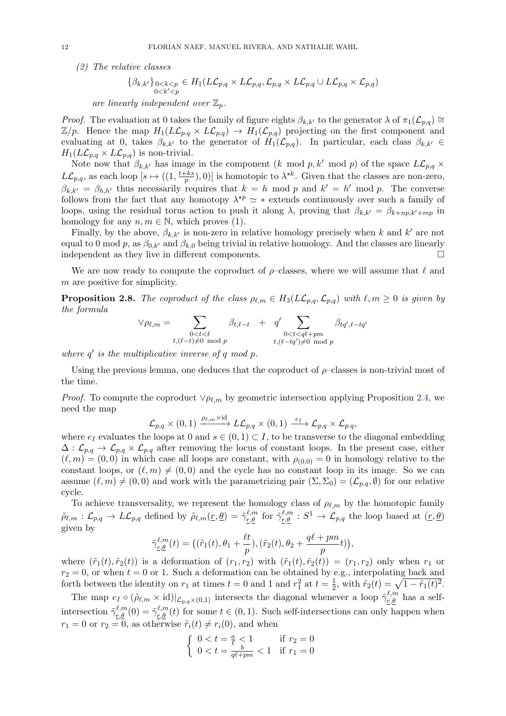(2) The relative classes

$$
\{\beta_{k,k'}\}_{\substack{0
$$

are linearly independent over  $\mathbb{Z}_p$ .

*Proof.* The evaluation at 0 takes the family of figure eights  $\beta_{k,k'}$  to the generator  $\lambda$  of  $\pi_1(\mathcal{L}_{p,q}) \cong$  $\mathbb{Z}/p$ . Hence the map  $H_1(L\mathcal{L}_{p,q} \times L\mathcal{L}_{p,q}) \to H_1(\mathcal{L}_{p,q})$  projecting on the first component and evaluating at 0, takes  $\beta_{k,k'}$  to the generator of  $H_1(\mathcal{L}_{p,q})$ . In particular, each class  $\beta_{k,k'} \in$  $H_1(L\mathcal{L}_{p,q} \times L\mathcal{L}_{p,q})$  is non-trivial.

Note now that  $\beta_{k,k'}$  has image in the component  $(k \mod p, k' \mod p)$  of the space  $L\mathcal{L}_{p,q}$  ×  $L\mathcal{L}_{p,q}$ , as each loop  $[s \mapsto ((1, \frac{t+ks}{n})]$  $\frac{p+ks}{p}$ , 0)] is homotopic to  $\lambda^{*k}$ . Given that the classes are non-zero,  $\beta_{k,k'} = \beta_{h,h'}$  thus necessarily requires that  $k = h \mod p$  and  $k' = h' \mod p$ . The converse follows from the fact that any homotopy  $\lambda^{*p} \simeq *$  extends continuously over such a family of loops, using the residual torus action to push it along  $\lambda$ , proving that  $\beta_{k,k'} = \beta_{k+np,k'+mp}$  in homology for any  $n, m \in \mathbb{N}$ , which proves (1).

Finally, by the above,  $\beta_{k,k'}$  is non-zero in relative homology precisely when k and k' are not equal to 0 mod p, as  $\beta_{0,k'}$  and  $\beta_{k,0}$  being trivial in relative homology. And the classes are linearly independent as they live in different components.

We are now ready to compute the coproduct of  $\rho$ -classes, where we will assume that  $\ell$  and m are positive for simplicity.

<span id="page-11-0"></span>**Proposition 2.8.** The coproduct of the class  $\rho_{\ell,m} \in H_3(L\mathcal{L}_{p,q},\mathcal{L}_{p,q})$  with  $\ell, m \geq 0$  is given by the formula

$$
\vee \rho_{\ell,m} = \sum_{\substack{0 < t < \ell \\ t, (\ell-t) \neq 0 \mod p}} \beta_{t,\ell-t} + q' \sum_{\substack{0 < t < q\ell + pm \\ t, (\ell-tq') \neq 0 \mod p}} \beta_{tq',\ell-tq'}
$$

where  $q'$  is the multiplicative inverse of  $q \mod p$ .

Using the previous lemma, one deduces that the coproduct of  $\rho$ -classes is non-trivial most of the time.

*Proof.* To compute the coproduct  $\vee \rho_{\ell,m}$  by geometric intersection applying Proposition [2.4,](#page-9-0) we need the map

$$
\mathcal{L}_{p,q}\times(0,1)\xrightarrow{\rho_{\ell,m}\times\mathrm{id}}L\mathcal{L}_{p,q}\times(0,1)\xrightarrow{e_I}\mathcal{L}_{p,q}\times\mathcal{L}_{p,q},
$$

where  $e_I$  evaluates the loops at 0 and  $s \in (0,1) \subset I$ , to be transverse to the diagonal embedding  $\Delta: \mathcal{L}_{p,q} \to \mathcal{L}_{p,q} \times \mathcal{L}_{p,q}$  after removing the locus of constant loops. In the present case, either  $(\ell, m) = (0, 0)$  in which case all loops are constant, with  $\rho_{(0,0)} = 0$  in homology relative to the constant loops, or  $(\ell, m) \neq (0, 0)$  and the cycle has no constant loop in its image. So we can assume  $(\ell, m) \neq (0, 0)$  and work with the parametrizing pair  $(\Sigma, \Sigma_0) = (\mathcal{L}_{p,q}, \emptyset)$  for our relative cycle.

To achieve transversality, we represent the homology class of  $\rho_{\ell,m}$  by the homotopic family  $\tilde{\rho}_{\ell,m} : \mathcal{L}_{p,q} \to L\mathcal{L}_{p,q}$  defined by  $\tilde{\rho}_{\ell,m}(\underline{r}, \underline{\theta}) = \tilde{\gamma}_{\underline{r},\underline{\theta}}^{\ell,m}$  for  $\tilde{\gamma}_{\underline{r},\underline{\theta}}^{\ell,m} : S^1 \to \mathcal{L}_{p,q}$  the loop based at  $(\underline{r}, \underline{\theta})$ given by

$$
\tilde{\gamma}_{\underline{r},\underline{\theta}}^{\ell,m}(t) = ((\tilde{r}_1(t), \theta_1 + \frac{\ell t}{p}), (\tilde{r}_2(t), \theta_2 + \frac{q\ell + pm}{p}t)),
$$

where  $(\tilde{r}_1(t), \tilde{r}_2(t))$  is a deformation of  $(r_1, r_2)$  with  $(\tilde{r}_1(t), \tilde{r}_2(t)) = (r_1, r_2)$  only when  $r_1$  or  $r_2 = 0$ , or when  $t = 0$  or 1. Such a deformation can be obtained by e.g., interpolating back and forth between the identity on  $r_1$  at times  $t = 0$  and 1 and  $r_1^2$  at  $t = \frac{1}{2}$  $\frac{1}{2}$ , with  $\tilde{r}_2(t) = \sqrt{1 - \tilde{r}_1(t)^2}$ .

The map  $e_I \circ (\tilde{\rho}_{\ell,m} \times id)|_{\mathcal{L}_{p,q} \times (0,1)}$  intersects the diagonal whenever a loop  $\tilde{\gamma}_{\ell,\theta}^{\ell,m}$  has a selfintersection  $\tilde{\gamma}_{r,\theta}^{\ell,m}(0) = \tilde{\gamma}_{r,\theta}^{\ell,m}(t)$  for some  $t \in (0,1)$ . Such self-intersections can only happen when  $r_1 = 0$  or  $r_2 = 0$ , as otherwise  $\tilde{r}_i(t) \neq r_i(0)$ , and when

$$
\begin{cases} 0 < t = \frac{a}{\ell} < 1 & \text{if } r_2 = 0\\ 0 < t = \frac{b}{q\ell + pm} < 1 & \text{if } r_1 = 0 \end{cases}
$$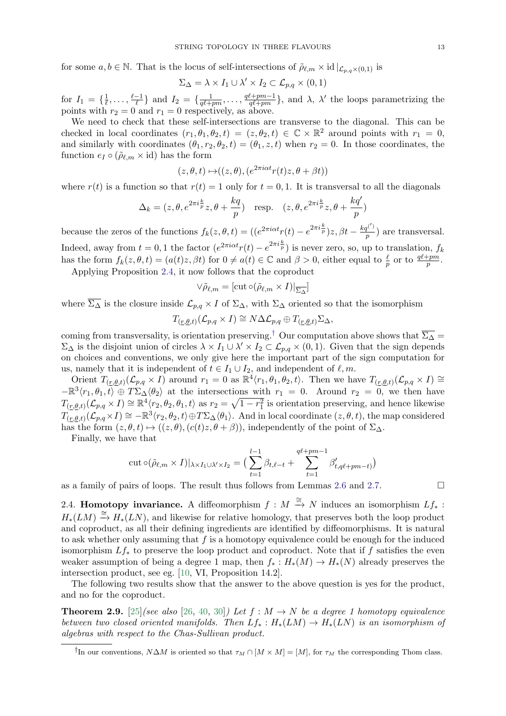for some  $a, b \in \mathbb{N}$ . That is the locus of self-intersections of  $\tilde{\rho}_{\ell,m} \times id|_{\mathcal{L}_{p,q} \times (0,1)}$  is

$$
\Sigma_{\Delta} = \lambda \times I_1 \cup \lambda' \times I_2 \subset \mathcal{L}_{p,q} \times (0,1)
$$

for  $I_1 = \{\frac{1}{\ell}\}$  $\frac{1}{\ell}, \ldots, \frac{\ell-1}{\ell}$  $\frac{-1}{\ell}$  and  $I_2 = \{\frac{1}{q\ell + 1}\}$  $\frac{1}{q\ell +pm}$ , ...,  $\frac{q\ell +pm-1}{q\ell +pm}$  $\frac{\ell + pm - 1}{q\ell + pm}$ , and  $\lambda$ ,  $\lambda'$  the loops parametrizing the points with  $r_2 = 0$  and  $r_1 = 0$  respectively, as above.

We need to check that these self-intersections are transverse to the diagonal. This can be checked in local coordinates  $(r_1, \theta_1, \theta_2, t) = (z, \theta_2, t) \in \mathbb{C} \times \mathbb{R}^2$  around points with  $r_1 = 0$ , and similarly with coordinates  $(\theta_1, r_2, \theta_2, t) = (\theta_1, z, t)$  when  $r_2 = 0$ . In those coordinates, the function  $e_I \circ (\tilde{\rho}_{\ell,m} \times id)$  has the form

$$
(z, \theta, t) \mapsto ((z, \theta), (e^{2\pi i \alpha t} r(t) z, \theta + \beta t))
$$

where  $r(t)$  is a function so that  $r(t) = 1$  only for  $t = 0, 1$ . It is transversal to all the diagonals

$$
\Delta_k = (z, \theta, e^{2\pi i \frac{k}{p}} z, \theta + \frac{kq}{p}) \quad \text{resp.} \quad (z, \theta, e^{2\pi i \frac{k}{p}} z, \theta + \frac{kq'}{p})
$$

because the zeros of the functions  $f_k(z, \theta, t) = ( (e^{2\pi i \alpha t} r(t) - e^{2\pi i \frac{k}{p}}) z, \beta t - \frac{kq^{(')}}{p}$  $\frac{q^{N}}{p}$  are transversal. Indeed, away from  $t = 0, 1$  the factor  $(e^{2\pi i \alpha t} r(t) - e^{2\pi i \frac{k}{p}})$  is never zero, so, up to translation,  $f_k$ has the form  $f_k(z, \theta, t) = (a(t)z, \beta t)$  for  $0 \neq a(t) \in \mathbb{C}$  and  $\beta > 0$ , either equal to  $\frac{\ell}{p}$  or to  $\frac{q\ell + pm}{p}$ .

Applying Proposition [2.4,](#page-9-0) it now follows that the coproduct

$$
\vee \tilde{\rho}_{\ell,m}=[\mathrm{cut}\circ (\tilde{\rho}_{\ell,m}\times I)|_{\overline{\Sigma_\Delta}}]
$$

where  $\overline{\Sigma_{\Delta}}$  is the closure inside  $\mathcal{L}_{p,q} \times I$  of  $\Sigma_{\Delta}$ , with  $\Sigma_{\Delta}$  oriented so that the isomorphism

$$
T_{(\underline{r},\underline{\theta},t)}(\mathcal{L}_{p,q} \times I) \cong N \Delta \mathcal{L}_{p,q} \oplus T_{(\underline{r},\underline{\theta},t)} \Sigma_{\Delta},
$$

coming from transversality, is orientation preserving.<sup>[†](#page-12-1)</sup> Our computation above shows that  $\overline{\Sigma_{\Delta}}$  =  $\Sigma_{\Delta}$  is the disjoint union of circles  $\lambda \times I_1 \cup \lambda' \times I_2 \subset \mathcal{L}_{p,q} \times (0,1)$ . Given that the sign depends on choices and conventions, we only give here the important part of the sign computation for us, namely that it is independent of  $t \in I_1 \cup I_2$ , and independent of  $\ell, m$ .

Orient  $T_{(r,\theta,t)}(\mathcal{L}_{p,q}\times I)$  around  $r_1=0$  as  $\mathbb{R}^4\langle r_1,\theta_1,\theta_2,t\rangle$ . Then we have  $T_{(r,\theta,t)}(\mathcal{L}_{p,q}\times I)\cong I$  $-\mathbb{R}^3\langle r_1,\theta_1,t\rangle \oplus T\Sigma_{\Delta}\langle\theta_2\rangle$  at the intersections with  $r_1 = 0$ . Around  $r_2 = 0$ , we then have  $T_{(r,\underline{\theta},t)}(\mathcal{L}_{p,q}\times I)\cong\mathbb{R}^4\langle r_2,\theta_2,\theta_1,t\rangle$  as  $r_2=\sqrt{1-r_1^2}$  is orientation preserving, and hence likewise  $T_{(r,\theta,t)}(L_{p,q}\times I) \cong -\mathbb{R}^3\langle r_2,\theta_2,t\rangle \oplus T\Sigma_{\Delta}\langle\theta_1\rangle$ . And in local coordinate  $(z,\theta,t)$ , the map considered has the form  $(z, \theta, t) \mapsto ((z, \theta), (c(t)z, \theta + \beta))$ , independently of the point of  $\Sigma_{\Delta}$ .

Finally, we have that

$$
\text{cut}\circ(\tilde{\rho}_{\ell,m}\times I)|_{\lambda\times I_1\cup\lambda'\times I_2} = \left(\sum_{t=1}^{l-1}\beta_{t,\ell-t} + \sum_{t=1}^{q\ell+pm-1}\beta'_{t,q\ell+pm-t}\right)
$$

as a family of pairs of loops. The result thus follows from Lemmas [2.6](#page-10-1) and [2.7.](#page-10-2)  $\Box$ 

<span id="page-12-0"></span>2.4. **Homotopy invariance.** A diffeomorphism  $f : M \stackrel{\cong}{\to} N$  induces an isomorphism  $Lf_*$ :  $H_*(LM) \stackrel{\cong}{\rightarrow} H_*(LN)$ , and likewise for relative homology, that preserves both the loop product and coproduct, as all their defining ingredients are identified by diffeomorphisms. It is natural to ask whether only assuming that  $f$  is a homotopy equivalence could be enough for the induced isomorphism  $Lf_*$  to preserve the loop product and coproduct. Note that if f satisfies the even weaker assumption of being a degree 1 map, then  $f_* : H_*(M) \to H_*(N)$  already preserves the intersection product, see eg. [\[10,](#page-37-22) VI, Proposition 14.2].

The following two results show that the answer to the above question is yes for the product, and no for the coproduct.

<span id="page-12-2"></span>**Theorem 2.9.** [\[25\]](#page-37-16)(see also [\[26,](#page-37-17) [40,](#page-38-18) [30\]](#page-37-2)) Let  $f : M \to N$  be a degree 1 homotopy equivalence between two closed oriented manifolds. Then  $Lf_* : H_*(LM) \to H_*(LN)$  is an isomorphism of algebras with respect to the Chas-Sullivan product.

<span id="page-12-1"></span><sup>&</sup>lt;sup>†</sup>In our conventions,  $N\Delta M$  is oriented so that  $\tau_M \cap [M \times M] = [M]$ , for  $\tau_M$  the corresponding Thom class.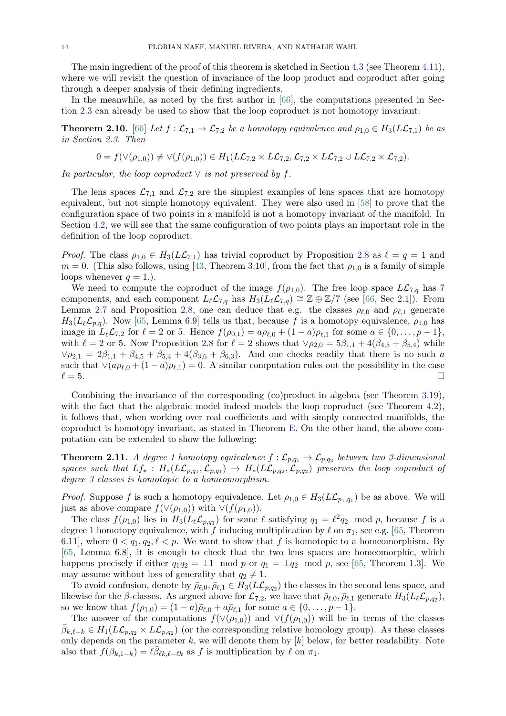The main ingredient of the proof of this theorem is sketched in Section [4.3](#page-28-1) (see Theorem [4.11\)](#page-29-0), where we will revisit the question of invariance of the loop product and coproduct after going through a deeper analysis of their defining ingredients.

In the meanwhile, as noted by the first author in [\[66\]](#page-38-15), the computations presented in Section [2.3](#page-9-1) can already be used to show that the loop coproduct is not homotopy invariant:

<span id="page-13-1"></span>**Theorem 2.10.** [\[66\]](#page-38-15) Let  $f : \mathcal{L}_{7,1} \to \mathcal{L}_{7,2}$  be a homotopy equivalence and  $\rho_{1,0} \in H_3(L\mathcal{L}_{7,1})$  be as in Section [2.3.](#page-9-1) Then

$$
0 = f(\vee(\rho_{1,0})) \neq \vee(f(\rho_{1,0})) \in H_1(L\mathcal{L}_{7,2} \times L\mathcal{L}_{7,2}, \mathcal{L}_{7,2} \times L\mathcal{L}_{7,2} \cup L\mathcal{L}_{7,2} \times \mathcal{L}_{7,2}).
$$

In particular, the loop coproduct  $\vee$  is not preserved by f.

The lens spaces  $\mathcal{L}_{7,1}$  and  $\mathcal{L}_{7,2}$  are the simplest examples of lens spaces that are homotopy equivalent, but not simple homotopy equivalent. They were also used in [\[58\]](#page-38-20) to prove that the configuration space of two points in a manifold is not a homotopy invariant of the manifold. In Section [4.2,](#page-27-0) we will see that the same configuration of two points plays an important role in the definition of the loop coproduct.

*Proof.* The class  $\rho_{1,0} \in H_3(L\mathcal{L}_{7,1})$  has trivial coproduct by Proposition [2.8](#page-11-0) as  $\ell = q = 1$  and  $m = 0$ . (This also follows, using [\[43,](#page-38-14) Theorem 3.10], from the fact that  $\rho_{1,0}$  is a family of simple loops whenever  $q = 1$ .

We need to compute the coproduct of the image  $f(\rho_{1,0})$ . The free loop space  $L\mathcal{L}_{7,q}$  has 7 components, and each component  $L_\ell\mathcal{L}_{7,q}$  has  $H_3(L_\ell\mathcal{L}_{7,q}) \cong \mathbb{Z} \oplus \mathbb{Z}/7$  (see [\[66,](#page-38-15) Sec 2.1]). From Lemma [2.7](#page-10-2) and Proposition [2.8,](#page-11-0) one can deduce that e.g. the classes  $\rho_{\ell,0}$  and  $\rho_{\ell,1}$  generate  $H_3(L_{\ell}\mathcal{L}_{p,q})$ . Now [\[65,](#page-38-24) Lemma 6.9] tells us that, because f is a homotopy equivalence,  $\rho_{1,0}$  has image in  $L_\ell\mathcal{L}_{7,2}$  for  $\ell = 2$  or 5. Hence  $f(\rho_{0,1}) = a\rho_{\ell,0} + (1 - a)\rho_{\ell,1}$  for some  $a \in \{0, \ldots, p-1\},$ with  $\ell = 2$  or 5. Now Proposition [2.8](#page-11-0) for  $\ell = 2$  shows that  $\vee \rho_{2,0} = 5\beta_{1,1} + 4(\beta_{4,5} + \beta_{5,4})$  while  $\vee \rho_{2,1} = 2\beta_{1,1} + \beta_{4,5} + \beta_{5,4} + 4(\beta_{3,6} + \beta_{6,3})$ . And one checks readily that there is no such a such that  $\vee (a\rho_{\ell,0} + (1 - a)\rho_{\ell,1}) = 0$ . A similar computation rules out the possibility in the case  $\ell = 5.$ 

Combining the invariance of the corresponding (co)product in algebra (see Theorem [3.19\)](#page-23-0), with the fact that the algebraic model indeed models the loop coproduct (see Theorem [4.2\)](#page-25-1), it follows that, when working over real coefficients and with simply connected manifolds, the coproduct is homotopy invariant, as stated in Theorem [E.](#page-0-1) On the other hand, the above computation can be extended to show the following:

<span id="page-13-0"></span>**Theorem 2.11.** A degree 1 homotopy equivalence  $f : \mathcal{L}_{p,q_1} \to \mathcal{L}_{p,q_2}$  between two 3-dimensional spaces such that  $Lf_*: H_*(L\mathcal{L}_{p,q_1}, \mathcal{L}_{p,q_1}) \to H_*(L\mathcal{L}_{p,q_2}, \mathcal{L}_{p,q_2})$  preserves the loop coproduct of degree 3 classes is homotopic to a homeomorphism.

*Proof.* Suppose f is such a homotopy equivalence. Let  $\rho_{1,0} \in H_3(L\mathcal{L}_{p_1,q_1})$  be as above. We will just as above compare  $f(\vee(\rho_{1,0}))$  with  $\vee(f(\rho_{1,0}))$ .

The class  $f(\rho_{1,0})$  lies in  $H_3(L_\ell\mathcal{L}_{p,q_1})$  for some  $\ell$  satisfying  $q_1 = \ell^2 q_2 \mod p$ , because f is a degree 1 homotopy equivalence, with f inducing multiplication by  $\ell$  on  $\pi_1$ , see e.g. [\[65,](#page-38-24) Theorem 6.11], where  $0 < q_1, q_2, \ell < p$ . We want to show that f is homotopic to a homeomorphism. By [\[65,](#page-38-24) Lemma 6.8], it is enough to check that the two lens spaces are homeomorphic, which happens precisely if either  $q_1q_2 = \pm 1 \mod p$  or  $q_1 = \pm q_2 \mod p$ , see [\[65,](#page-38-24) Theorem 1.3]. We may assume without loss of generality that  $q_2 \neq 1$ .

To avoid confusion, denote by  $\bar{\rho}_{\ell,0}, \bar{\rho}_{\ell,1} \in H_3(L\mathcal{L}_{p,q_2})$  the classes in the second lens space, and likewise for the  $\beta$ -classes. As argued above for  $\mathcal{L}_{7,2}$ , we have that  $\bar{\rho}_{\ell,0}, \bar{\rho}_{\ell,1}$  generate  $H_3(L_{\ell}\mathcal{L}_{p,q_2}),$ so we know that  $f(\rho_{1,0}) = (1 - a)\bar{\rho}_{\ell,0} + a\bar{\rho}_{\ell,1}$  for some  $a \in \{0, \ldots, p - 1\}.$ 

The answer of the computations  $f(\vee(\rho_{1,0}))$  and  $\vee(f(\rho_{1,0}))$  will be in terms of the classes  $\bar{\beta}_{k,\ell-k} \in H_1(L\mathcal{L}_{p,q_2} \times L\mathcal{L}_{p,q_2})$  (or the corresponding relative homology group). As these classes only depends on the parameter  $k$ , we will denote them by  $[k]$  below, for better readability. Note also that  $f(\beta_{k,1-k}) = \ell \bar{\beta}_{\ell k,\ell-\ell k}$  as f is multiplication by  $\ell$  on  $\pi_1$ .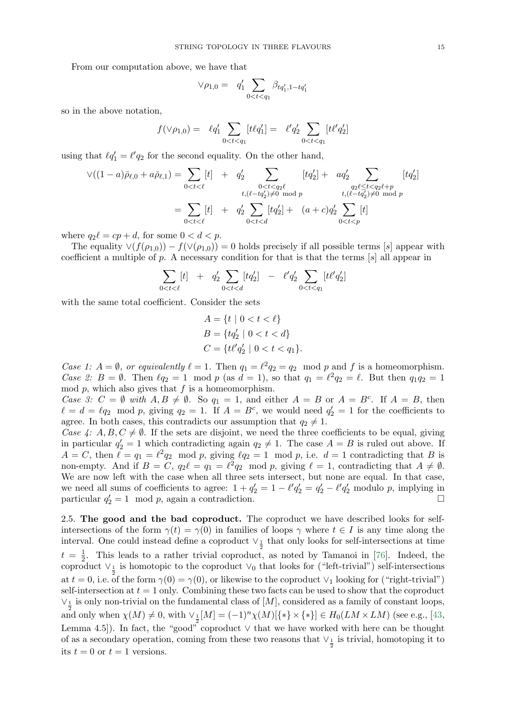From our computation above, we have that

$$
\vee \rho_{1,0} = q'_1 \sum_{0 < t < q_1} \beta_{tq'_1, 1 - tq'_1}
$$

so in the above notation,

$$
f(\vee \rho_{1,0}) = \ell q_1' \sum_{0 < t < q_1} [t \ell q_1'] = \ell' q_2' \sum_{0 < t < q_1} [t \ell' q_2']
$$

using that  $\ell q_1' = \ell' q_2$  for the second equality. On the other hand,

$$
\vee ((1-a)\bar{\rho}_{\ell,0} + a\bar{\rho}_{\ell,1}) = \sum_{0 < t < \ell} [t] + q'_2 \sum_{\substack{0 < t < q_2\ell \\ t, (\ell - tq'_2) \neq 0 \mod p}} [tq'_2] + aq'_2 \sum_{\substack{q_2\ell \leq t < q_2\ell + p \\ t, (\ell - tq'_2) \neq 0 \mod p}} [tq'_2] \newline = \sum_{0 < t < \ell} [t] + q'_2 \sum_{0 < t < d} [tq'_2] + (a+c)q'_2 \sum_{0 < t < p} [t]
$$

where  $q_2\ell = cp + d$ , for some  $0 < d < p$ .

The equality  $\vee (f(\rho_{1,0})) - f(\vee(\rho_{1,0})) = 0$  holds precisely if all possible terms [s] appear with coefficient a multiple of  $p$ . A necessary condition for that is that the terms  $[s]$  all appear in

$$
\sum_{0 < t < \ell} [t] \quad + \quad q_2' \sum_{0 < t < d} [t q_2'] \quad - \quad \ell' q_2' \sum_{0 < t < q_1} [t \ell' q_2']
$$

with the same total coefficient. Consider the sets

$$
A = \{t \mid 0 < t < \ell\}
$$
  
\n
$$
B = \{tq'_2 \mid 0 < t < d\}
$$
  
\n
$$
C = \{t\ell'q'_2 \mid 0 < t < q_1\}.
$$

Case 1:  $A = \emptyset$ , or equivalently  $\ell = 1$ . Then  $q_1 = \ell^2 q_2 = q_2 \mod p$  and f is a homeomorphism. Case 2:  $B = \emptyset$ . Then  $\ell q_2 = 1 \mod p$  (as  $d = 1$ ), so that  $q_1 = \ell^2 q_2 = \ell$ . But then  $q_1 q_2 = 1$ mod  $p$ , which also gives that  $f$  is a homeomorphism.

Case 3:  $C = \emptyset$  with  $A, B \neq \emptyset$ . So  $q_1 = 1$ , and either  $A = B$  or  $A = B^c$ . If  $A = B$ , then  $\ell = d = \ell q_2 \mod p$ , giving  $q_2 = 1$ . If  $A = B^c$ , we would need  $q'_2 = 1$  for the coefficients to agree. In both cases, this contradicts our assumption that  $q_2 \neq 1$ .

Case 4: A, B,  $C \neq \emptyset$ . If the sets are disjoint, we need the three coefficients to be equal, giving in particular  $q'_2 = 1$  which contradicting again  $q_2 \neq 1$ . The case  $A = B$  is ruled out above. If  $A = C$ , then  $\ell = q_1 = \ell^2 q_2 \mod p$ , giving  $\ell q_2 = 1 \mod p$ , i.e.  $d = 1$  contradicting that B is non-empty. And if  $B = C$ ,  $q_2\ell = q_1 = \ell^2 q_2 \mod p$ , giving  $\ell = 1$ , contradicting that  $A \neq \emptyset$ . We are now left with the case when all three sets intersect, but none are equal. In that case, we need all sums of coefficients to agree:  $1 + q'_2 = 1 - \ell' q'_2 = q'_2 - \ell' q'_2$  modulo p, implying in particular  $q'_2 = 1 \mod p$ , again a contradiction.

<span id="page-14-0"></span>2.5. The good and the bad coproduct. The coproduct we have described looks for selfintersections of the form  $\gamma(t) = \gamma(0)$  in families of loops  $\gamma$  where  $t \in I$  is any time along the interval. One could instead define a coproduct  $\vee_{\frac{1}{2}}$  that only looks for self-intersections at time  $t = \frac{1}{2}$  $\frac{1}{2}$ . This leads to a rather trivial coproduct, as noted by Tamanoi in [\[76\]](#page-39-6). Indeed, the coproduct  $\vee_{\frac{1}{2}}$  is homotopic to the coproduct  $\vee_0$  that looks for ("left-trivial") self-intersections at  $t = 0$ , i.e. of the form  $\gamma(0) = \gamma(0)$ , or likewise to the coproduct  $\vee_1$  looking for ("right-trivial") self-intersection at  $t = 1$  only. Combining these two facts can be used to show that the coproduct  $\vee_1$  is only non-trivial on the fundamental class of [M], considered as a family of constant loops, and only when  $\chi(M) \neq 0$ , with  $\vee_{\frac{1}{2}} [M] = (-1)^n \chi(M) [\{ * \} \times {\{ * \}}] \in H_0(LM \times LM)$  (see e.g., [\[43,](#page-38-14) Lemma 4.5]). In fact, the "good" coproduct  $\vee$  that we have worked with here can be thought of as a secondary operation, coming from these two reasons that  $\vee_{\frac{1}{2}}$  is trivial, homotoping it to its  $t = 0$  or  $t = 1$  versions.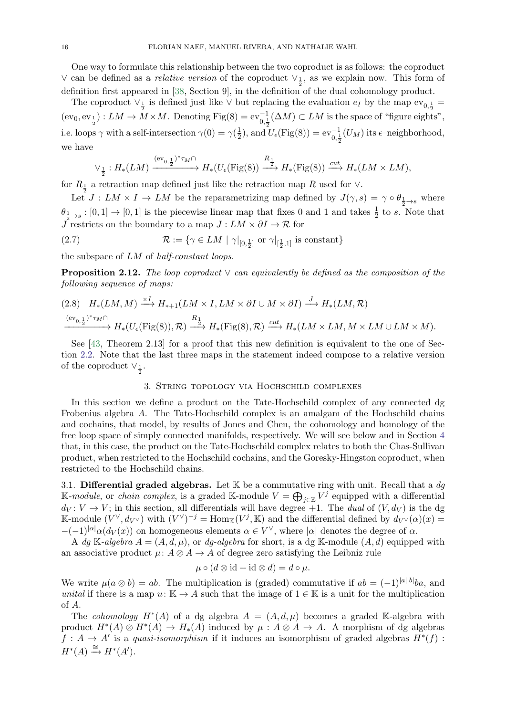One way to formulate this relationship between the two coproduct is as follows: the coproduct ∨ can be defined as a *relative version* of the coproduct  $\vee_{\frac{1}{2}}$ , as we explain now. This form of definition first appeared in [\[38,](#page-38-9) Section 9], in the definition of the dual cohomology product.

The coproduct  $\vee_{\frac{1}{2}}$  is defined just like  $\vee$  but replacing the evaluation  $e_I$  by the map  $ev_{0,\frac{1}{2}} =$  $(\text{ev}_0, \text{ev}_{\frac{1}{2}}): LM \to M \times M$ . Denoting Fig(8) =  $\text{ev}_{0,\frac{1}{2}}^{-1}(\Delta M) \subset LM$  is the space of "figure eights", i.e. loops  $\gamma$  with a self-intersection  $\gamma(0) = \gamma(\frac{1}{2})$ , and  $(\frac{1}{2})$ , and  $U_{\epsilon}(\text{Fig}(8)) = \text{ev}_{0,\frac{1}{2}}^{-1}(U_M)$  its  $\epsilon$ -neighborhood, we have

$$
\vee_{\frac{1}{2}}: H_*(LM) \xrightarrow{\text{(ev}_{0,\frac{1}{2}})^*\tau_M \cap} H_*(U_{\epsilon}(\text{Fig}(8)) \xrightarrow{R_{\frac{1}{2}}} H_*(\text{Fig}(8)) \xrightarrow{cut} H_*(LM \times LM),
$$

for  $R_1$  a retraction map defined just like the retraction map R used for  $\vee$ .

Let  $J: LM \times I \to LM$  be the reparametrizing map defined by  $J(\gamma, s) = \gamma \circ \theta_{\frac{1}{2} \to s}$  where  $\theta_{\frac{1}{2} \to s} : [0, 1] \to [0, 1]$  is the piecewise linear map that fixes 0 and 1 and takes  $\frac{1}{2}$  to s. Note that  $\overline{J}$  restricts on the boundary to a map  $J:LM \times \partial I \to \mathcal{R}$  for

(2.7) 
$$
\mathcal{R} := \{ \gamma \in LM \mid \gamma|_{[0,\frac{1}{2}]} \text{ or } \gamma|_{[\frac{1}{2},1]} \text{ is constant} \}
$$

the subspace of LM of half-constant loops.

<span id="page-15-3"></span>**Proposition 2.12.** The loop coproduct  $\vee$  can equivalently be defined as the composition of the following sequence of maps:

<span id="page-15-2"></span>
$$
(2.8) \quad H_*(LM,M) \xrightarrow{\times I} H_{*+1}(LM \times I, LM \times \partial I \cup M \times \partial I) \xrightarrow{J} H_*(LM,\mathcal{R})
$$
  

$$
\xrightarrow{(\text{ev}_{0,\frac{1}{2}})^*\tau_M \cap} H_*(U_{\epsilon}(\text{Fig}(8)),\mathcal{R}) \xrightarrow{R_{\frac{1}{2}}} H_*(\text{Fig}(8),\mathcal{R}) \xrightarrow{cut} H_*(LM \times LM, M \times LM \cup LM \times M).
$$

See [\[43,](#page-38-14) Theorem 2.13] for a proof that this new definition is equivalent to the one of Section [2.2.](#page-6-0) Note that the last three maps in the statement indeed compose to a relative version of the coproduct  $\vee_{\frac{1}{2}}$ .

### 3. String topology via Hochschild complexes

<span id="page-15-0"></span>In this section we define a product on the Tate-Hochschild complex of any connected dg Frobenius algebra A. The Tate-Hochschild complex is an amalgam of the Hochschild chains and cochains, that model, by results of Jones and Chen, the cohomology and homology of the free loop space of simply connected manifolds, respectively. We will see below and in Section [4](#page-25-2) that, in this case, the product on the Tate-Hochschild complex relates to both the Chas-Sullivan product, when restricted to the Hochschild cochains, and the Goresky-Hingston coproduct, when restricted to the Hochschild chains.

<span id="page-15-1"></span>3.1. Differential graded algebras. Let  $\mathbb K$  be a commutative ring with unit. Recall that a  $dg$ K-module, or chain complex, is a graded K-module  $V = \bigoplus_{j \in \mathbb{Z}} V^j$  equipped with a differential  $d_V: V \to V$ ; in this section, all differentials will have degree +1. The *dual* of  $(V, d_V)$  is the dg K-module  $(V^{\vee}, d_{V^{\vee}})$  with  $(V^{\vee})^{-j} = \text{Hom}_{\mathbb{K}}(V^{j}, \mathbb{K})$  and the differential defined by  $d_{V^{\vee}}(\alpha)(x) =$  $-(-1)^{|\alpha|}\alpha(d_V(x))$  on homogeneous elements  $\alpha \in V^{\vee}$ , where  $|\alpha|$  denotes the degree of  $\alpha$ .

A dg K-algebra  $A = (A, d, \mu)$ , or dg-algebra for short, is a dg K-module  $(A, d)$  equipped with an associative product  $\mu: A \otimes A \rightarrow A$  of degree zero satisfying the Leibniz rule

$$
\mu \circ (d \otimes id + id \otimes d) = d \circ \mu.
$$

We write  $\mu(a \otimes b) = ab$ . The multiplication is (graded) commutative if  $ab = (-1)^{|a||b|}ba$ , and unital if there is a map  $u: \mathbb{K} \to A$  such that the image of  $1 \in \mathbb{K}$  is a unit for the multiplication of A.

The *cohomology*  $H^*(A)$  of a dg algebra  $A = (A, d, \mu)$  becomes a graded K-algebra with product  $H^*(A) \otimes H^*(A) \to H_*(A)$  induced by  $\mu : A \otimes A \to A$ . A morphism of dg algebras  $f: A \to A'$  is a quasi-isomorphism if it induces an isomorphism of graded algebras  $H^*(f)$ :  $H^*(A) \stackrel{\cong}{\rightarrow} H^*(A').$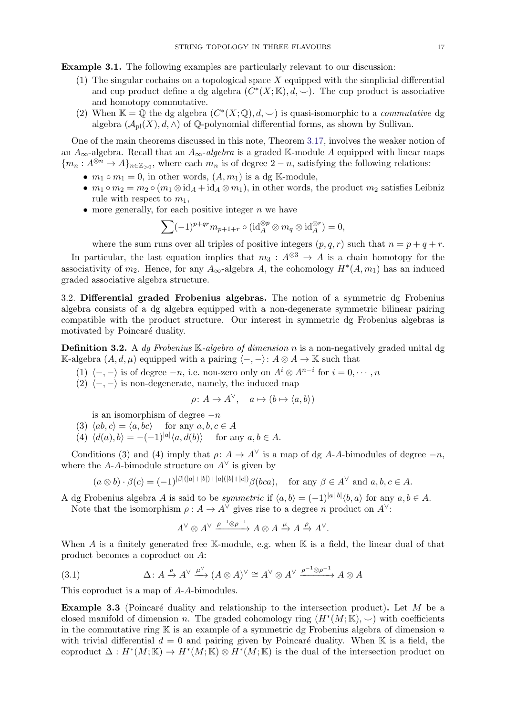Example 3.1. The following examples are particularly relevant to our discussion:

- (1) The singular cochains on a topological space  $X$  equipped with the simplicial differential and cup product define a dg algebra  $(C^*(X;\mathbb{K}), d, \vee)$ . The cup product is associative and homotopy commutative.
- (2) When  $\mathbb{K} = \overline{\mathbb{Q}}$  the dg algebra  $(C^*(X; \mathbb{Q}), d, \smile)$  is quasi-isomorphic to a *commutative* dg algebra  $(\mathcal{A}_{\text{pl}}(X), d, \wedge)$  of  $\mathbb{Q}$ -polynomial differential forms, as shown by Sullivan.

One of the main theorems discussed in this note, Theorem [3.17,](#page-21-2) involves the weaker notion of an  $A_{\infty}$ -algebra. Recall that an  $A_{\infty}$ -algebra is a graded K-module A equipped with linear maps  ${m_n : A^{\otimes n} \to A}_{n \in \mathbb{Z}_{> 0}}$ , where each  $m_n$  is of degree  $2 - n$ , satisfying the following relations:

- $m_1 \circ m_1 = 0$ , in other words,  $(A, m_1)$  is a dg K-module,
- $m_1 \circ m_2 = m_2 \circ (m_1 \otimes id_A + id_A \otimes m_1)$ , in other words, the product  $m_2$  satisfies Leibniz rule with respect to  $m_1$ ,
- more generally, for each positive integer  $n$  we have

$$
\sum (-1)^{p+qr} m_{p+1+r} \circ (\mathrm{id}_A^{\otimes p} \otimes m_q \otimes \mathrm{id}_A^{\otimes r}) = 0,
$$

where the sum runs over all triples of positive integers  $(p, q, r)$  such that  $n = p + q + r$ .

In particular, the last equation implies that  $m_3: A^{\otimes 3} \to A$  is a chain homotopy for the associativity of  $m_2$ . Hence, for any  $A_{\infty}$ -algebra A, the cohomology  $H^*(A, m_1)$  has an induced graded associative algebra structure.

<span id="page-16-2"></span>3.2. Differential graded Frobenius algebras. The notion of a symmetric dg Frobenius algebra consists of a dg algebra equipped with a non-degenerate symmetric bilinear pairing compatible with the product structure. Our interest in symmetric dg Frobenius algebras is motivated by Poincaré duality.

<span id="page-16-0"></span>**Definition 3.2.** A dg Frobenius K-algebra of dimension n is a non-negatively graded unital dg K-algebra  $(A, d, \mu)$  equipped with a pairing  $\langle -, - \rangle: A \otimes A \rightarrow \mathbb{K}$  such that

- (1)  $\langle -, \rangle$  is of degree  $-n$ , i.e. non-zero only on  $A^i \otimes A^{n-i}$  for  $i = 0, \dots, n$
- (2)  $\langle -, \rangle$  is non-degenerate, namely, the induced map

$$
\rho \colon A \to A^{\vee}, \quad a \mapsto (b \mapsto \langle a, b \rangle)
$$

is an isomorphism of degree  $-n$ 

- (3)  $\langle ab, c \rangle = \langle a, bc \rangle$  for any  $a, b, c \in A$
- (4)  $\langle d(a), b \rangle = -(-1)^{|a|} \langle a, d(b) \rangle$  for any  $a, b \in A$ .

Conditions (3) and (4) imply that  $\rho: A \to A^{\vee}$  is a map of dg A-A-bimodules of degree  $-n$ , where the A-A-bimodule structure on  $A^{\vee}$  is given by

$$
(a \otimes b) \cdot \beta(c) = (-1)^{|\beta|(|a|+|b|)+|a|(|b|+|c|)} \beta(bca), \text{ for any } \beta \in A^{\vee} \text{ and } a, b, c \in A.
$$

A dg Frobenius algebra A is said to be *symmetric* if  $\langle a, b \rangle = (-1)^{|a||b|} \langle b, a \rangle$  for any  $a, b \in A$ . Note that the isomorphism  $\rho : A \to A^{\vee}$  gives rise to a degree n product on  $A^{\vee}$ :

<span id="page-16-3"></span>
$$
A^{\vee} \otimes A^{\vee} \xrightarrow{\rho^{-1} \otimes \rho^{-1}} A \otimes A \xrightarrow{\mu} A \xrightarrow{\rho} A^{\vee}.
$$

When A is a finitely generated free K-module, e.g. when K is a field, the linear dual of that product becomes a coproduct on A:

(3.1) 
$$
\Delta: A \xrightarrow{\rho} A^{\vee} \xrightarrow{\mu^{\vee}} (A \otimes A)^{\vee} \cong A^{\vee} \otimes A^{\vee} \xrightarrow{\rho^{-1} \otimes \rho^{-1}} A \otimes A
$$

This coproduct is a map of A-A-bimodules.

<span id="page-16-1"></span>**Example 3.3** (Poincaré duality and relationship to the intersection product). Let  $M$  be a closed manifold of dimension n. The graded cohomology ring  $(H^*(M;\mathbb{K}), \smile)$  with coefficients in the commutative ring  $K$  is an example of a symmetric dg Frobenius algebra of dimension n with trivial differential  $d = 0$  and pairing given by Poincaré duality. When K is a field, the coproduct  $\Delta: H^*(M;\mathbb{K}) \to H^*(M;\mathbb{K}) \otimes H^*(M;\mathbb{K})$  is the dual of the intersection product on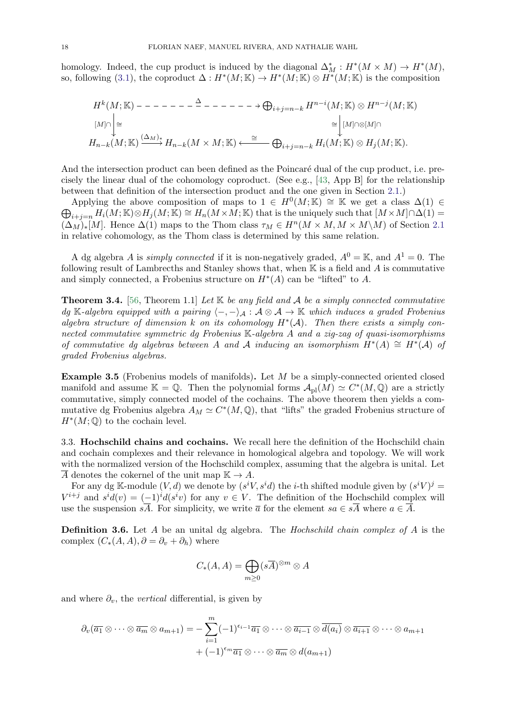homology. Indeed, the cup product is induced by the diagonal  $\Delta_M^* : H^*(M \times M) \to H^*(M)$ , so, following [\(3.1\)](#page-16-3), the coproduct  $\Delta: H^*(M;\mathbb{K}) \to H^*(M;\mathbb{K}) \otimes H^*(M;\mathbb{K})$  is the composition

$$
H^k(M; \mathbb{K}) \setminus \bigcup_{[M] \cap \bigcup_{\Delta} \in \mathcal{M}} H^{k}(M; \mathbb{K}) \otimes H^{n-j}(M; \mathbb{K})
$$
\n
$$
[M] \cap \bigcup_{\Delta} \in \mathcal{M}^k(M; \mathbb{K}) \xrightarrow{(\Delta_M)_*} H_{n-k}(M \times M; \mathbb{K}) \xleftarrow{\cong} \bigoplus_{i+j=n-k} H^{n-i}(M; \mathbb{K}) \otimes H^j(M; \mathbb{K})
$$
\n
$$
H_{n-k}(M; \mathbb{K}) \xrightarrow{(\Delta_M)_*} H_{n-k}(M \times M; \mathbb{K}) \xleftarrow{\cong} \bigoplus_{i+j=n-k} H_i(M; \mathbb{K}) \otimes H_j(M; \mathbb{K}).
$$

And the intersection product can been defined as the Poincaré dual of the cup product, i.e. precisely the linear dual of the cohomology coproduct. (See e.g., [\[43,](#page-38-14) App B] for the relationship between that definition of the intersection product and the one given in Section [2.1.](#page-6-1))

Applying the above composition of maps to  $1 \in H^0(M; \mathbb{K}) \cong \mathbb{K}$  we get a class  $\Delta(1) \in$  $\bigoplus_{i+j=n} H_i(M;\mathbb{K}) \otimes H_j(M;\mathbb{K}) \cong H_n(M \times M;\mathbb{K})$  that is the uniquely such that  $[M \times M] \cap \Delta(1) =$  $(\Delta_M)_{*}[M]$ . Hence  $\Delta(1)$  maps to the Thom class  $\tau_M \in H^n(M \times M, M \times M\setminus M)$  of Section [2.1](#page-6-1) in relative cohomology, as the Thom class is determined by this same relation.

A dg algebra A is *simply connected* if it is non-negatively graded,  $A^0 = K$ , and  $A^1 = 0$ . The following result of Lambrecths and Stanley shows that, when  $\mathbb K$  is a field and A is commutative and simply connected, a Frobenius structure on  $H^*(A)$  can be "lifted" to A.

<span id="page-17-0"></span>**Theorem 3.4.** [\[56,](#page-38-25) Theorem 1.1] Let  $K$  be any field and A be a simply connected commutative dg K-algebra equipped with a pairing  $\langle -, -\rangle_A : A \otimes A \to \mathbb{K}$  which induces a graded Frobenius algebra structure of dimension k on its cohomology  $H^*(A)$ . Then there exists a simply connected commutative symmetric dg Frobenius K-algebra A and a zig-zag of quasi-isomorphisms of commutative dg algebras between A and A inducing an isomorphism  $\hat{H}^*(A) \cong H^*(A)$  of graded Frobenius algebras.

<span id="page-17-1"></span>Example 3.5 (Frobenius models of manifolds). Let M be a simply-connected oriented closed manifold and assume  $\mathbb{K} = \mathbb{Q}$ . Then the polynomial forms  $\mathcal{A}_{\text{pl}}(M) \simeq C^*(M, \mathbb{Q})$  are a strictly commutative, simply connected model of the cochains. The above theorem then yields a commutative dg Frobenius algebra  $A_M \simeq C^*(M, \mathbb{Q})$ , that "lifts" the graded Frobenius structure of  $H^*(M; \mathbb{Q})$  to the cochain level.

<span id="page-17-2"></span>3.3. Hochschild chains and cochains. We recall here the definition of the Hochschild chain and cochain complexes and their relevance in homological algebra and topology. We will work with the normalized version of the Hochschild complex, assuming that the algebra is unital. Let A denotes the cokernel of the unit map  $\mathbb{K} \to A$ .

For any dg K-module  $(V, d)$  we denote by  $(s^i V, s^i d)$  the *i*-th shifted module given by  $(s^i V)^j$  $V^{i+j}$  and  $s^i d(v) = (-1)^i d(s^i v)$  for any  $v \in V$ . The definition of the Hochschild complex will use the suspension  $s\overline{A}$ . For simplicity, we write  $\overline{a}$  for the element  $s\overline{a} \in s\overline{A}$  where  $a \in \overline{A}$ .

<span id="page-17-3"></span>**Definition 3.6.** Let A be an unital dg algebra. The *Hochschild chain complex of A* is the complex  $(C_*(A, A), \partial = \partial_v + \partial_h)$  where

$$
C_*(A, A) = \bigoplus_{m \ge 0} (s\overline{A})^{\otimes m} \otimes A
$$

and where  $\partial_v$ , the *vertical* differential, is given by

$$
\partial_v(\overline{a_1}\otimes\cdots\otimes\overline{a_m}\otimes a_{m+1})=-\sum_{i=1}^m(-1)^{\epsilon_{i-1}}\overline{a_1}\otimes\cdots\otimes\overline{a_{i-1}}\otimes\overline{d(a_i)}\otimes\overline{a_{i+1}}\otimes\cdots\otimes a_{m+1}+(-1)^{\epsilon_m}\overline{a_1}\otimes\cdots\otimes\overline{a_m}\otimes d(a_{m+1})
$$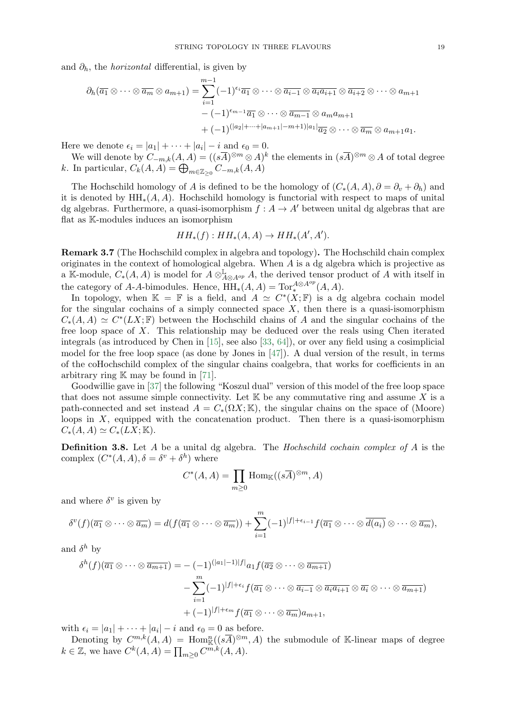and  $\partial_h$ , the *horizontal* differential, is given by

$$
\partial_h(\overline{a_1} \otimes \cdots \otimes \overline{a_m} \otimes a_{m+1}) = \sum_{i=1}^{m-1} (-1)^{\epsilon_i} \overline{a_1} \otimes \cdots \otimes \overline{a_{i-1}} \otimes \overline{a_i a_{i+1}} \otimes \overline{a_{i+2}} \otimes \cdots \otimes a_{m+1}
$$

$$
- (-1)^{\epsilon_{m-1}} \overline{a_1} \otimes \cdots \otimes \overline{a_{m-1}} \otimes a_m a_{m+1}
$$

$$
+ (-1)^{(|a_2|+\cdots+|a_{m+1}|-m+1)|a_1|} \overline{a_2} \otimes \cdots \otimes \overline{a_m} \otimes a_{m+1} a_1.
$$

Here we denote  $\epsilon_i = |a_1| + \cdots + |a_i| - i$  and  $\epsilon_0 = 0$ .

We will denote by  $C_{-m,k}(A, A) = ((s\overline{A})^{\otimes m} \otimes A)^k$  the elements in  $(s\overline{A})^{\otimes m} \otimes A$  of total degree k. In particular,  $C_k(A, A) = \bigoplus_{m \in \mathbb{Z}_{\geq 0}} C_{-m,k}(A, A)$ 

The Hochschild homology of A is defined to be the homology of  $(C_*(A, A), \partial = \partial_v + \partial_h)$  and it is denoted by  $HH_*(A, A)$ . Hochschild homology is functorial with respect to maps of unital dg algebras. Furthermore, a quasi-isomorphism  $f : A \to A'$  between unital dg algebras that are flat as K-modules induces an isomorphism

$$
HH_*(f): HH_*(A, A) \to HH_*(A', A').
$$

<span id="page-18-0"></span>Remark 3.7 (The Hochschild complex in algebra and topology). The Hochschild chain complex originates in the context of homological algebra. When  $A$  is a dg algebra which is projective as a K-module,  $C_*(A, A)$  is model for  $A \otimes_{A \otimes A^{op}}^{\mathbb{L}} A$ , the derived tensor product of A with itself in the category of A-A-bimodules. Hence,  $\overline{HH}_*(A, A) = \text{Tor}_*^{A \otimes A^{op}}(A, A)$ .

In topology, when  $\mathbb{K} = \mathbb{F}$  is a field, and  $A \simeq C^*(X; \mathbb{F})$  is a dg algebra cochain model for the singular cochains of a simply connected space  $X$ , then there is a quasi-isomorphism  $C_*(A, A) \simeq C^*(LX; \mathbb{F})$  between the Hochschild chains of A and the singular cochains of the free loop space of X. This relationship may be deduced over the reals using Chen iterated integrals (as introduced by Chen in [\[15\]](#page-37-24), see also [\[33,](#page-37-25) [64\]](#page-38-3)), or over any field using a cosimplicial model for the free loop space (as done by Jones in [\[47\]](#page-38-1)). A dual version of the result, in terms of the coHochschild complex of the singular chains coalgebra, that works for coefficients in an arbitrary ring  $\mathbb K$  may be found in [\[71\]](#page-39-7).

Goodwillie gave in [\[37\]](#page-38-2) the following "Koszul dual" version of this model of the free loop space that does not assume simple connectivity. Let  $K$  be any commutative ring and assume X is a path-connected and set instead  $A = C_*(\Omega X; \mathbb{K})$ , the singular chains on the space of (Moore) loops in  $X$ , equipped with the concatenation product. Then there is a quasi-isomorphism  $C_*(A, A) \simeq C_*(LX; \mathbb{K}).$ 

**Definition 3.8.** Let A be a unital dg algebra. The Hochschild cochain complex of A is the complex  $(C^*(A, A), \delta = \delta^v + \delta^h)$  where

$$
C^*(A, A) = \prod_{m \ge 0} \text{Hom}_{\mathbb{K}}((s\overline{A})^{\otimes m}, A)
$$

and where  $\delta^v$  is given by

$$
\delta^{v}(f)(\overline{a_1}\otimes\cdots\otimes\overline{a_m})=d(f(\overline{a_1}\otimes\cdots\otimes\overline{a_m}))+\sum_{i=1}^m(-1)^{|f|+\epsilon_{i-1}}f(\overline{a_1}\otimes\cdots\otimes\overline{d(a_i)}\otimes\cdots\otimes\overline{a_m}),
$$

and  $\delta^h$  by

$$
\delta^{h}(f)(\overline{a_{1}} \otimes \cdots \otimes \overline{a_{m+1}}) = -(-1)^{(|a_{1}|-1)|f|} a_{1} f(\overline{a_{2}} \otimes \cdots \otimes \overline{a_{m+1}})
$$

$$
- \sum_{i=1}^{m} (-1)^{|f|+\epsilon_{i}} f(\overline{a_{1}} \otimes \cdots \otimes \overline{a_{i-1}} \otimes \overline{a_{i}} a_{i+1} \otimes \overline{a_{i}} \otimes \cdots \otimes \overline{a_{m+1}})
$$

$$
+ (-1)^{|f|+\epsilon_{m}} f(\overline{a_{1}} \otimes \cdots \otimes \overline{a_{m}}) a_{m+1},
$$

with  $\epsilon_i = |a_1| + \cdots + |a_i| - i$  and  $\epsilon_0 = 0$  as before.

Denoting by  $C^{m,k}(A, A) = \text{Hom}^n_{\mathbb{K}}((s\overline{A})^{\otimes m}, A)$  the submodule of K-linear maps of degree  $k \in \mathbb{Z}$ , we have  $C^k(A, A) = \prod_{m \geq 0} C^{m, k}(A, A)$ .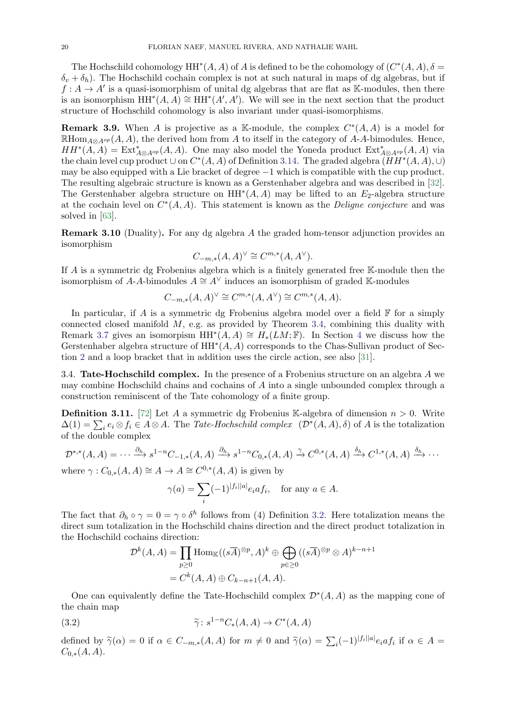The Hochschild cohomology  $HH^*(A, A)$  of A is defined to be the cohomology of  $(C^*(A, A), \delta =$  $\delta_v + \delta_h$ ). The Hochschild cochain complex is not at such natural in maps of dg algebras, but if  $f: A \to A'$  is a quasi-isomorphism of unital dg algebras that are flat as K-modules, then there is an isomorphism  $HH^*(A, \hat{A}) \cong HH^*(A', A')$ . We will see in the next section that the product structure of Hochschild cohomology is also invariant under quasi-isomorphisms.

**Remark 3.9.** When A is projective as a K-module, the complex  $C^*(A, A)$  is a model for RHom<sub>A⊗Aop</sub> (A, A), the derived hom from A to itself in the category of A-A-bimodules. Hence,  $HH^*(A, A) = Ext^*_{A \otimes A^{op}}(A, A)$ . One may also model the Yoneda product  $Ext^*_{A \otimes A^{op}}(A, A)$  via the chain level cup product  $\cup$  on  $C^*(A, A)$  of Definition [3.14.](#page-20-2) The graded algebra  $(HH^*(A, A), \cup)$ may be also equipped with a Lie bracket of degree −1 which is compatible with the cup product. The resulting algebraic structure is known as a Gerstenhaber algebra and was described in [\[32\]](#page-37-26). The Gerstenhaber algebra structure on  $HH^*(A, A)$  may be lifted to an  $E_2$ -algebra structure at the cochain level on  $C^*(A, A)$ . This statement is known as the *Deligne conjecture* and was solved in [\[63\]](#page-38-26).

<span id="page-19-0"></span>Remark 3.10 (Duality). For any dg algebra A the graded hom-tensor adjunction provides an isomorphism

$$
C_{-m,*}(A,A)^{\vee} \cong C^{m,*}(A,A^{\vee}).
$$

If A is a symmetric dg Frobenius algebra which is a finitely generated free K-module then the isomorphism of A-A-bimodules  $A \cong A^{\vee}$  induces an isomorphism of graded K-modules

$$
C_{-m,*}(A,A)^{\vee} \cong C^{m,*}(A,A^{\vee}) \cong C^{m,*}(A,A).
$$

In particular, if A is a symmetric dg Frobenius algebra model over a field  $\mathbb F$  for a simply connected closed manifold  $M$ , e.g. as provided by Theorem [3.4,](#page-17-0) combining this duality with Remark [3.7](#page-18-0) gives an isomorpism  $HH^*(A, A) \cong H_*(LM; \mathbb{F})$ . In Section [4](#page-25-2) we discuss how the Gerstenhaber algebra structure of  $HH^*(A, A)$  corresponds to the Chas-Sullivan product of Section [2](#page-5-0) and a loop bracket that in addition uses the circle action, see also [\[31\]](#page-37-10).

<span id="page-19-1"></span>3.4. Tate-Hochschild complex. In the presence of a Frobenius structure on an algebra A we may combine Hochschild chains and cochains of A into a single unbounded complex through a construction reminiscent of the Tate cohomology of a finite group.

**Definition 3.11.** [\[72\]](#page-39-5) Let A a symmetric dg Frobenius K-algebra of dimension  $n > 0$ . Write  $\Delta(1) = \sum_i e_i \otimes f_i \in A \otimes A$ . The Tate-Hochschild complex  $(\mathcal{D}^*(A, A), \delta)$  of A is the totalization of the double complex

$$
\mathcal{D}^{*,*}(A,A) = \cdots \xrightarrow{\partial_h} s^{1-n} C_{-1,*}(A,A) \xrightarrow{\partial_h} s^{1-n} C_{0,*}(A,A) \xrightarrow{\gamma} C^{0,*}(A,A) \xrightarrow{\delta_h} C^{1,*}(A,A) \xrightarrow{\delta_h} \cdots
$$
  
where  $\gamma : C_{0,*}(A,A) \cong A \to A \cong C^{0,*}(A,A)$  is given by

$$
\gamma(a) = \sum (-1)^{|f_i||a|} e_i a f_i, \text{ for any } a \in A.
$$

i

The fact that  $\partial_h \circ \gamma = 0 = \gamma \circ \delta^h$  follows from (4) Definition [3.2.](#page-16-0) Here totalization means the direct sum totalization in the Hochschild chains direction and the direct product totalization in the Hochschild cochains direction:

$$
\mathcal{D}^k(A, A) = \prod_{p \ge 0} \text{Hom}_{\mathbb{K}}((s\overline{A})^{\otimes p}, A)^k \oplus \bigoplus_{p \in \ge 0} ((s\overline{A})^{\otimes p} \otimes A)^{k-n+1}
$$

$$
= C^k(A, A) \oplus C_{k-n+1}(A, A).
$$

One can equivalently define the Tate-Hochschild complex  $\mathcal{D}^*(A, A)$  as the mapping cone of the chain map

(3.2) 
$$
\widetilde{\gamma} \colon s^{1-n} C_*(A, A) \to C^*(A, A)
$$

defined by  $\widetilde{\gamma}(\alpha) = 0$  if  $\alpha \in C_{-m,*}(A, A)$  for  $m \neq 0$  and  $\widetilde{\gamma}(\alpha) = \sum_i (-1)^{|f_i||a|} e_i a f_i$  if  $\alpha \in A = C_{\alpha}((A, A))$  $C_{0,*}(A, A).$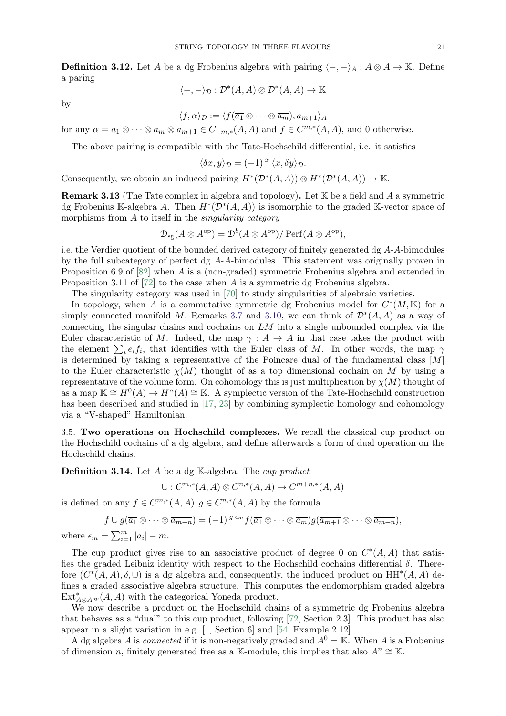<span id="page-20-3"></span>**Definition 3.12.** Let A be a dg Frobenius algebra with pairing  $\langle -, - \rangle_A : A \otimes A \to \mathbb{K}$ . Define a paring

$$
\langle -, - \rangle_{\mathcal{D}} : \mathcal{D}^*(A, A) \otimes \mathcal{D}^*(A, A) \to \mathbb{K}
$$

by

$$
\mathcal{L}^{\mathcal{L}}(\mathcal{L}^{\mathcal{L}}(\mathcal{L}^{\mathcal{L}}(\mathcal{L}^{\mathcal{L}}(\mathcal{L}^{\mathcal{L}}(\mathcal{L}^{\mathcal{L}}(\mathcal{L}^{\mathcal{L}}(\mathcal{L}^{\mathcal{L}}(\mathcal{L}^{\mathcal{L}}(\mathcal{L}^{\mathcal{L}}(\mathcal{L}^{\mathcal{L}}(\mathcal{L}^{\mathcal{L}}(\mathcal{L}^{\mathcal{L}}(\mathcal{L}^{\mathcal{L}}(\mathcal{L}^{\mathcal{L}}(\mathcal{L}^{\mathcal{L}}(\mathcal{L}^{\mathcal{L}}(\mathcal{L}^{\mathcal{L}}(\mathcal{L}^{\mathcal{L}}(\mathcal{L}^{\mathcal{L}}(\mathcal{L}^{\mathcal{L}}(\mathcal{L}^{\mathcal{L}}(\mathcal{L}^{\mathcal{L}}(\mathcal{L}^{\mathcal{L}}(\mathcal{L}^{\mathcal{L}}(\mathcal{L}^{\mathcal{L}}(\mathcal{L}^{\mathcal{L}}(\mathcal{L}^{\mathcal{L}}(\mathcal{L}^{\mathcal{L}}(\mathcal{L}^{\mathcal{L}}(\mathcal{L}^{\mathcal{L}}(\mathcal{L}^{\mathcal{L}}(\mathcal{L}^{\mathcal{L}}(\mathcal{L}^{\mathcal{L}}(\mathcal{L}^{\mathcal{L}}(\mathcal{L}^{\mathcal{L}}(\mathcal{L}^{\mathcal{L}}(\mathcal{L}^{\mathcal{L}}(\mathcal{L}^{\mathcal{L}}(\mathcal{L}^{\mathcal{L}}(\mathcal{L}^{\mathcal{L}}(\mathcal{L}^{\mathcal{L}}(\mathcal{L}^{\mathcal{L}}(\mathcal{L}^{\mathcal{L}}(\mathcal{L}^{\mathcal{L}}(\mathcal{L}^{\mathcal{L}}(\mathcal{L}^{\mathcal{L}}(\mathcal{L}^{\mathcal{L}}(\mathcal{L}^{\mathcal{L}}(\mathcal{L}^{\mathcal{L}}(\mathcal{L}^{\mathcal{L}}(\mathcal{L}^{\mathcal{L}}(\mathcal{L}^{\mathcal{L}}(\mathcal{L}^{\mathcal{L}}(\mathcal{L}^{\mathcal{L}}(\mathcal{L}^{\mathcal{L}}(\mathcal{L}^{\mathcal{L}}(\mathcal{L}^{\mathcal{L}}(\mathcal{L}
$$

$$
\langle f,\alpha\rangle_{\mathcal{D}}:=\langle f(\overline{a_1}\otimes\cdots\otimes \overline{a_m}),a_{m+1}\rangle_A
$$

for any  $\alpha = \overline{a_1} \otimes \cdots \otimes \overline{a_m} \otimes a_{m+1} \in C_{-m,*}(A, A)$  and  $f \in C^{m,*}(A, A)$ , and 0 otherwise.

The above pairing is compatible with the Tate-Hochschild differential, i.e. it satisfies

$$
\langle \delta x, y \rangle_{\mathcal{D}} = (-1)^{|x|} \langle x, \delta y \rangle_{\mathcal{D}}.
$$

Consequently, we obtain an induced pairing  $H^*(\mathcal{D}^*(A, A)) \otimes H^*(\mathcal{D}^*(A, A)) \to \mathbb{K}$ .

<span id="page-20-0"></span>**Remark 3.13** (The Tate complex in algebra and topology). Let  $K$  be a field and A a symmetric dg Frobenius K-algebra A. Then  $H^*(\mathcal{D}^*(A, A))$  is isomorphic to the graded K-vector space of morphisms from  $A$  to itself in the *singularity category* 

$$
\mathcal{D}_{\text{sg}}(A \otimes A^{\text{op}}) = \mathcal{D}^b(A \otimes A^{\text{op}}) / \operatorname{Perf}(A \otimes A^{\text{op}}),
$$

i.e. the Verdier quotient of the bounded derived category of finitely generated dg A-A-bimodules by the full subcategory of perfect dg A-A-bimodules. This statement was originally proven in Proposition 6.9 of [\[82\]](#page-39-8) when A is a (non-graded) symmetric Frobenius algebra and extended in Proposition 3.11 of [\[72\]](#page-39-5) to the case when A is a symmetric dg Frobenius algebra.

The singularity category was used in [\[70\]](#page-38-27) to study singularities of algebraic varieties.

In topology, when A is a commutative symmetric dg Frobenius model for  $C^*(M, \mathbb{K})$  for a simply connected manifold M, Remarks [3.7](#page-18-0) and [3.10,](#page-19-0) we can think of  $\mathcal{D}^*(A, A)$  as a way of connecting the singular chains and cochains on  $LM$  into a single unbounded complex via the Euler characteristic of M. Indeed, the map  $\gamma: A \to A$  in that case takes the product with the element  $\sum_i e_i f_i$ , that identifies with the Euler class of M. In other words, the map  $\gamma$ is determined by taking a representative of the Poincare dual of the fundamental class  $[M]$ to the Euler characteristic  $\chi(M)$  thought of as a top dimensional cochain on M by using a representative of the volume form. On cohomology this is just multiplication by  $\chi(M)$  thought of as a map  $\mathbb{K} \cong H^0(A) \to H^n(A) \cong \mathbb{K}$ . A symplectic version of the Tate-Hochschild construction has been described and studied in [\[17,](#page-37-12) [23\]](#page-37-13) by combining symplectic homology and cohomology via a "V-shaped" Hamiltonian.

<span id="page-20-1"></span>3.5. Two operations on Hochschild complexes. We recall the classical cup product on the Hochschild cochains of a dg algebra, and define afterwards a form of dual operation on the Hochschild chains.

<span id="page-20-2"></span>**Definition 3.14.** Let  $A$  be a dg  $\mathbb{K}$ -algebra. The cup product

$$
\cup: C^{m,*}(A, A) \otimes C^{n,*}(A, A) \to C^{m+n,*}(A, A)
$$

is defined on any  $f \in C^{m,*}(A, A), g \in C^{m,*}(A, A)$  by the formula

$$
f\cup g(\overline{a_1}\otimes\cdots\otimes \overline{a_{m+n}})=(-1)^{|g|\epsilon_m}f(\overline{a_1}\otimes\cdots\otimes \overline{a_m})g(\overline{a_{m+1}}\otimes\cdots\otimes \overline{a_{m+n}}),
$$

where  $\epsilon_m = \sum_{i=1}^m |a_i| - m$ .

The cup product gives rise to an associative product of degree 0 on  $C^*(A, A)$  that satisfies the graded Leibniz identity with respect to the Hochschild cochains differential  $\delta$ . Therefore  $(C^*(A, A), \delta, \cup)$  is a dg algebra and, consequently, the induced product on  $HH^*(A, A)$  defines a graded associative algebra structure. This computes the endomorphism graded algebra  $\operatorname{Ext}^*_{A\otimes A^{op}}(A, A)$  with the categorical Yoneda product.

We now describe a product on the Hochschild chains of a symmetric dg Frobenius algebra that behaves as a "dual" to this cup product, following [\[72,](#page-39-5) Section 2.3]. This product has also appear in a slight variation in e.g. [\[1,](#page-37-27) Section 6] and [\[54,](#page-38-16) Example 2.12].

A dg algebra A is *connected* if it is non-negatively graded and  $A^0 = \mathbb{K}$ . When A is a Frobenius of dimension n, finitely generated free as a K-module, this implies that also  $A^n \cong \mathbb{K}$ .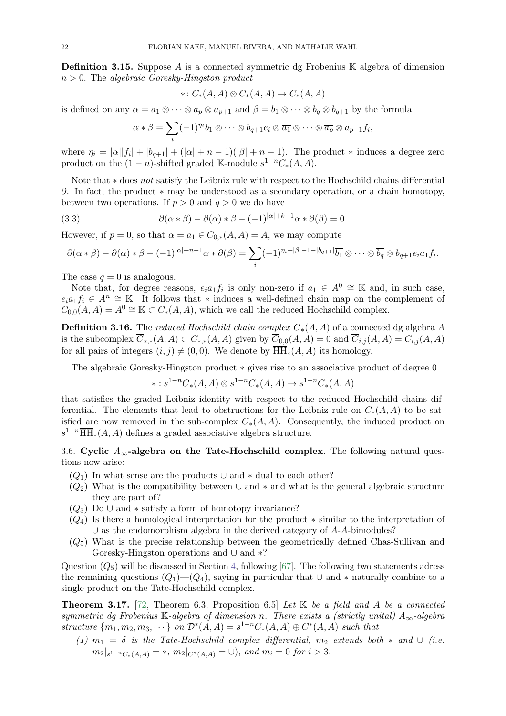<span id="page-21-0"></span>**Definition 3.15.** Suppose A is a connected symmetric dg Frobenius K algebra of dimension  $n > 0$ . The algebraic Goresky-Hingston product

$$
\ast\colon C_\ast(A,A)\otimes C_\ast(A,A)\to C_\ast(A,A)
$$

is defined on any  $\alpha = \overline{a_1} \otimes \cdots \otimes \overline{a_p} \otimes a_{p+1}$  and  $\beta = \overline{b_1} \otimes \cdots \otimes \overline{b_q} \otimes b_{q+1}$  by the formula

$$
\alpha * \beta = \sum_i (-1)^{\eta_i} \overline{b_1} \otimes \cdots \otimes \overline{b_{q+1} e_i} \otimes \overline{a_1} \otimes \cdots \otimes \overline{a_p} \otimes a_{p+1} f_i,
$$

where  $\eta_i = |\alpha||f_i| + |b_{q+1}| + (|\alpha| + n - 1)(|\beta| + n - 1)$ . The product \* induces a degree zero product on the  $(1 - n)$ -shifted graded K-module  $s^{1-n}C_*(A, A)$ .

Note that ∗ does not satisfy the Leibniz rule with respect to the Hochschild chains differential ∂. In fact, the product  $*$  may be understood as a secondary operation, or a chain homotopy, between two operations. If  $p > 0$  and  $q > 0$  we do have

(3.3) 
$$
\partial(\alpha * \beta) - \partial(\alpha) * \beta - (-1)^{|\alpha|+k-1}\alpha * \partial(\beta) = 0.
$$

However, if  $p = 0$ , so that  $\alpha = a_1 \in C_{0,*}(A, A) = A$ , we may compute

$$
\partial(\alpha * \beta) - \partial(\alpha) * \beta - (-1)^{|\alpha|+n-1} \alpha * \partial(\beta) = \sum_i (-1)^{n_i+|\beta|-1-|b_{q+1}|} \overline{b_1} \otimes \cdots \otimes \overline{b_q} \otimes b_{q+1} e_i a_1 f_i.
$$

The case  $q = 0$  is analogous.

Note that, for degree reasons,  $e_i a_1 f_i$  is only non-zero if  $a_1 \in A^0 \cong \mathbb{K}$  and, in such case,  $e_i a_1 f_i \in A^n \cong \mathbb{K}$ . It follows that \* induces a well-defined chain map on the complement of  $C_{0,0}(A, A) = A^0 \cong \mathbb{K} \subset C_*(A, A)$ , which we call the reduced Hochschild complex.

**Definition 3.16.** The reduced Hochschild chain complex  $\overline{C}_*(A, A)$  of a connected dg algebra A is the subcomplex  $\overline{C}_{*,*}(A, A) \subset C_{*,*}(A, A)$  given by  $\overline{C}_{0,0}(A, A) = 0$  and  $\overline{C}_{i,j}(A, A) = C_{i,j}(A, A)$ for all pairs of integers  $(i, j) \neq (0, 0)$ . We denote by  $\overline{\text{HH}}_{*}(A, A)$  its homology.

The algebraic Goresky-Hingston product ∗ gives rise to an associative product of degree 0

$$
*: s^{1-n}\overline{C}_*(A, A) \otimes s^{1-n}\overline{C}_*(A, A) \to s^{1-n}\overline{C}_*(A, A)
$$

that satisfies the graded Leibniz identity with respect to the reduced Hochschild chains differential. The elements that lead to obstructions for the Leibniz rule on  $C_*(A, A)$  to be satisfied are now removed in the sub-complex  $\overline{C}_*(A, A)$ . Consequently, the induced product on  $s^{1-n}\overline{\text{HH}}_{*}(A, A)$  defines a graded associative algebra structure.

# <span id="page-21-1"></span>3.6. Cyclic  $A_{\infty}$ -algebra on the Tate-Hochschild complex. The following natural questions now arise:

- $(Q_1)$  In what sense are the products  $\cup$  and  $*$  dual to each other?
- $(Q_2)$  What is the compatibility between ∪ and  $*$  and what is the general algebraic structure they are part of?
- $(Q_3)$  Do  $\cup$  and  $*$  satisfy a form of homotopy invariance?
- $(Q_4)$  Is there a homological interpretation for the product  $*$  similar to the interpretation of ∪ as the endomorphism algebra in the derived category of A-A-bimodules?
- $(Q_5)$  What is the precise relationship between the geometrically defined Chas-Sullivan and Goresky-Hingston operations and ∪ and ∗?

Question  $(Q_5)$  will be discussed in Section [4,](#page-25-2) following [\[67\]](#page-38-4). The following two statements adress the remaining questions  $(Q_1)$ — $(Q_4)$ , saying in particular that  $\cup$  and  $*$  naturally combine to a single product on the Tate-Hochschild complex.

<span id="page-21-2"></span>**Theorem 3.17.** [\[72,](#page-39-5) Theorem 6.3, Proposition 6.5] Let  $\mathbb{K}$  be a field and A be a connected symmetric dg Frobenius K-algebra of dimension n. There exists a (strictly unital)  $A_{\infty}$ -algebra structure  $\{m_1, m_2, m_3, \cdots\}$  on  $\mathcal{D}^*(A, A) = s^{1-n}C_*(A, A) \oplus C^*(A, A)$  such that

(1)  $m_1 = \delta$  is the Tate-Hochschild complex differential,  $m_2$  extends both  $*$  and  $\cup$  (i.e.  $m_2|_{s^{1-n}C_*(A,A)} = *, m_2|_{C^*(A,A)} = \cup), \text{ and } m_i = 0 \text{ for } i > 3.$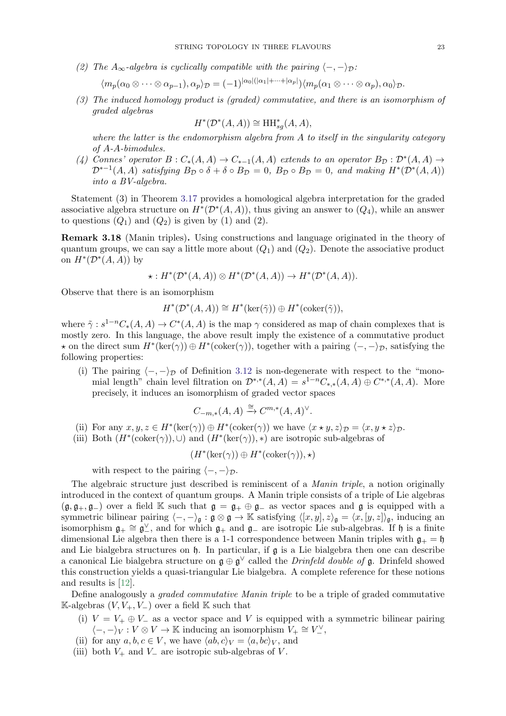(2) The A<sub>∞</sub>-algebra is cyclically compatible with the pairing  $\langle -, -\rangle_{\mathcal{D}}$ :

$$
\langle m_p(\alpha_0 \otimes \cdots \otimes \alpha_{p-1}), \alpha_p \rangle_{\mathcal{D}} = (-1)^{|\alpha_0|(|\alpha_1| + \cdots + |\alpha_p|)} \langle m_p(\alpha_1 \otimes \cdots \otimes \alpha_p), \alpha_0 \rangle_{\mathcal{D}}.
$$

(3) The induced homology product is (graded) commutative, and there is an isomorphism of graded algebras

$$
H^*(\mathcal{D}^*(A, A)) \cong \text{HH}_{sg}^*(A, A),
$$

where the latter is the endomorphism algebra from A to itself in the singularity category of A-A-bimodules.

(4) Connes' operator  $B: C_*(A, A) \to C_{*-1}(A, A)$  extends to an operator  $B_{\mathcal{D}}: \mathcal{D}^*(A, A) \to$  $\mathcal{D}^{*-1}(A, A)$  satisfying  $B_{\mathcal{D}} \circ \delta + \delta \circ B_{\mathcal{D}} = 0$ ,  $B_{\mathcal{D}} \circ B_{\mathcal{D}} = 0$ , and making  $H^*(\mathcal{D}^*(A, A))$ into a BV-algebra.

Statement (3) in Theorem [3.17](#page-21-2) provides a homological algebra interpretation for the graded associative algebra structure on  $H^*(\mathcal{D}^*(A, A))$ , thus giving an answer to  $(Q_4)$ , while an answer to questions  $(Q_1)$  and  $(Q_2)$  is given by (1) and (2).

<span id="page-22-0"></span>Remark 3.18 (Manin triples). Using constructions and language originated in the theory of quantum groups, we can say a little more about  $(Q_1)$  and  $(Q_2)$ . Denote the associative product on  $H^*(\mathcal{D}^*(A, A))$  by

$$
\star: H^*(\mathcal{D}^*(A, A)) \otimes H^*(\mathcal{D}^*(A, A)) \to H^*(\mathcal{D}^*(A, A)).
$$

Observe that there is an isomorphism

$$
H^*(\mathcal{D}^*(A, A)) \cong H^*(\ker(\tilde{\gamma})) \oplus H^*(\mathrm{coker}(\tilde{\gamma})),
$$

where  $\tilde{\gamma}: s^{1-n}C_*(A, A) \to C^*(A, A)$  is the map  $\gamma$  considered as map of chain complexes that is mostly zero. In this language, the above result imply the existence of a commutative product  $\star$  on the direct sum  $H^*(\text{ker}(\gamma)) \oplus H^*(\text{coker}(\gamma))$ , together with a pairing  $\langle -, -\rangle_{\mathcal{D}}$ , satisfying the following properties:

(i) The pairing  $\langle -,-\rangle_{\mathcal{D}}$  of Definition [3.12](#page-20-3) is non-degenerate with respect to the "monomial length" chain level filtration on  $\mathcal{D}^{*,*}(A, A) = s^{1-n}C_{*,*}(A, A) \oplus C^{*,*}(A, A)$ . More precisely, it induces an isomorphism of graded vector spaces

$$
C_{-m,*}(A,A) \xrightarrow{\cong} C^{m,*}(A,A)^{\vee}.
$$

- (ii) For any  $x, y, z \in H^*(\text{ker}(\gamma)) \oplus H^*(\text{coker}(\gamma))$  we have  $\langle x \star y, z \rangle_{\mathcal{D}} = \langle x, y \star z \rangle_{\mathcal{D}}$ .
- (iii) Both  $(H^*(\text{coker}(\gamma)), \cup)$  and  $(H^*(\text{ker}(\gamma)), *)$  are isotropic sub-algebras of

$$
(H^*(\ker(\gamma))\oplus H^*(\operatorname{coker}(\gamma)),\star)
$$

with respect to the pairing  $\langle -, -\rangle_{\mathcal{D}}$ .

The algebraic structure just described is reminiscent of a *Manin triple*, a notion originally introduced in the context of quantum groups. A Manin triple consists of a triple of Lie algebras  $(\mathfrak{g}, \mathfrak{g}_+, \mathfrak{g}_-)$  over a field K such that  $\mathfrak{g} = \mathfrak{g}_+ \oplus \mathfrak{g}_-$  as vector spaces and  $\mathfrak{g}$  is equipped with a symmetric bilinear pairing  $\langle -, -\rangle_{\mathfrak{g}} : \mathfrak{g} \otimes \mathfrak{g} \to \mathbb{K}$  satisfying  $\langle [x, y], z \rangle_{\mathfrak{g}} = \langle x, [y, z] \rangle_{\mathfrak{g}}$ , inducing an isomorphism  $\mathfrak{g}_+ \cong \mathfrak{g}_-^{\vee}$ , and for which  $\mathfrak{g}_+$  and  $\mathfrak{g}_-$  are isotropic Lie sub-algebras. If h is a finite dimensional Lie algebra then there is a 1-1 correspondence between Manin triples with  $\mathfrak{g}_+ = \mathfrak{h}$ and Lie bialgebra structures on h. In particular, if g is a Lie bialgebra then one can describe a canonical Lie bialgebra structure on  $\mathfrak{g} \oplus \mathfrak{g}^{\vee}$  called the *Drinfeld double of* **g**. Drinfeld showed this construction yields a quasi-triangular Lie bialgebra. A complete reference for these notions and results is [\[12\]](#page-37-28).

Define analogously a *graded commutative Manin triple* to be a triple of graded commutative  $\mathbb{K}\text{-algebras }(V, V_+, V_-)$  over a field  $\mathbb{K}$  such that

- (i)  $V = V_+ \oplus V_-$  as a vector space and V is equipped with a symmetric bilinear pairing  $\langle -, -\rangle_V : V \otimes V \to \mathbb{K}$  inducing an isomorphism  $V_+ \cong V_-'^\vee$ ,
- (ii) for any  $a, b, c \in V$ , we have  $\langle ab, c \rangle_V = \langle a, bc \rangle_V$ , and
- (iii) both  $V_+$  and  $V_-$  are isotropic sub-algebras of V.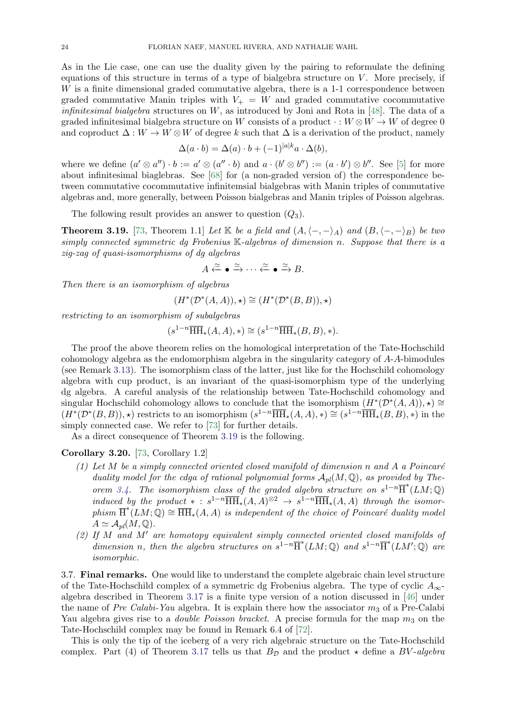As in the Lie case, one can use the duality given by the pairing to reformulate the defining equations of this structure in terms of a type of bialgebra structure on  $V$ . More precisely, if W is a finite dimensional graded commutative algebra, there is a 1-1 correspondence between graded commutative Manin triples with  $V_+ = W$  and graded commutative cocommutative *infinitesimal bialgebra* structures on  $W$ , as introduced by Joni and Rota in [\[48\]](#page-38-28). The data of a graded infinitesimal bialgebra structure on W consists of a product  $\cdot : W \otimes W \to W$  of degree 0 and coproduct  $\Delta: W \to W \otimes W$  of degree k such that  $\Delta$  is a derivation of the product, namely

$$
\Delta(a \cdot b) = \Delta(a) \cdot b + (-1)^{|a|k} a \cdot \Delta(b),
$$

where we define  $(a' \otimes a'') \cdot b := a' \otimes (a'' \cdot b)$  and  $a \cdot (b' \otimes b'') := (a \cdot b') \otimes b''$ . See [\[5\]](#page-37-29) for more about infinitesimal biaglebras. See [\[68\]](#page-38-29) for (a non-graded version of) the correspondence between commutative cocommutative infinitemsial bialgebras with Manin triples of commutative algebras and, more generally, between Poisson bialgebras and Manin triples of Poisson algebras.

The following result provides an answer to question  $(Q_3)$ .

<span id="page-23-0"></span>**Theorem 3.19.** [\[73,](#page-39-9) Theorem 1.1] Let K be a field and  $(A, \langle -, -\rangle_A)$  and  $(B, \langle -, -\rangle_B)$  be two simply connected symmetric dg Frobenius K-algebras of dimension n. Suppose that there is a zig-zag of quasi-isomorphisms of dg algebras

$$
A \xleftarrow{\simeq} \bullet \xrightarrow{\simeq} \cdots \xleftarrow{\simeq} \bullet \xrightarrow{\simeq} B.
$$

Then there is an isomorphism of algebras

$$
(H^*(\mathcal{D}^*(A, A)), \star) \cong (H^*(\mathcal{D}^*(B, B)), \star)
$$

restricting to an isomorphism of subalgebras

$$
(s^{1-n}\overline{\text{HH}}_*(A, A), *) \cong (s^{1-n}\overline{\text{HH}}_*(B, B), *).
$$

The proof the above theorem relies on the homological interpretation of the Tate-Hochschild cohomology algebra as the endomorphism algebra in the singularity category of A-A-bimodules (see Remark [3.13\)](#page-20-0). The isomorphism class of the latter, just like for the Hochschild cohomology algebra with cup product, is an invariant of the quasi-isomorphism type of the underlying dg algebra. A careful analysis of the relationship between Tate-Hochschild cohomology and singular Hochschild cohomology allows to conclude that the isomorphism  $(H^*(\mathcal{D}^*(A, A))$ ,  $\star) \cong$  $(H^*(\mathcal{D}^*(B,B)),\star)$  restricts to an isomorphism  $(s^{1-n}\overline{\text{HH}}_*(A,A),\star) \cong (s^{1-n}\overline{\text{HH}}_*(B,B),\star)$  in the simply connected case. We refer to [\[73\]](#page-39-9) for further details.

As a direct consequence of Theorem [3.19](#page-23-0) is the following.

## <span id="page-23-1"></span>Corollary 3.20. [\[73,](#page-39-9) Corollary 1.2]

- (1) Let M be a simply connected oriented closed manifold of dimension n and A a Poincaré duality model for the cdga of rational polynomial forms  $A_{pl}(M, \mathbb{Q})$ , as provided by The-orem [3.4.](#page-17-0) The isomorphism class of the graded algebra structure on  $s^{1-n}$  $\overline{H}^*(LM; \mathbb{Q})$ induced by the product  $* : s^{1-n} \overline{\text{HH}}_*(A, A)^{\otimes 2} \rightarrow s^{1-n} \overline{\text{HH}}_*(A, A)$  through the isomorphism  $\overline{H}^*(LM;\mathbb{Q}) \cong \overline{HH}_*(A, A)$  is independent of the choice of Poincaré duality model  $A \simeq \mathcal{A}_{pl}(M, \mathbb{Q}).$
- (2) If M and M' are homotopy equivalent simply connected oriented closed manifolds of dimension n, then the algebra structures on  $s^{1-n} \overline{H}^*(LM;\mathbb{Q})$  and  $s^{1-n} \overline{H}^*(LM';\mathbb{Q})$  are isomorphic.

<span id="page-23-2"></span>3.7. Final remarks. One would like to understand the complete algebraic chain level structure of the Tate-Hochschild complex of a symmetric dg Frobenius algebra. The type of cyclic  $A_{\infty}$ algebra described in Theorem [3.17](#page-21-2) is a finite type version of a notion discussed in [\[46\]](#page-38-30) under the name of Pre Calabi-Yau algebra. It is explain there how the associator  $m_3$  of a Pre-Calabi Yau algebra gives rise to a *double Poisson bracket*. A precise formula for the map  $m_3$  on the Tate-Hochschild complex may be found in Remark 6.4 of [\[72\]](#page-39-5).

This is only the tip of the iceberg of a very rich algebraic structure on the Tate-Hochschild complex. Part (4) of Theorem [3.17](#page-21-2) tells us that  $B_{\mathcal{D}}$  and the product  $\star$  define a BV-algebra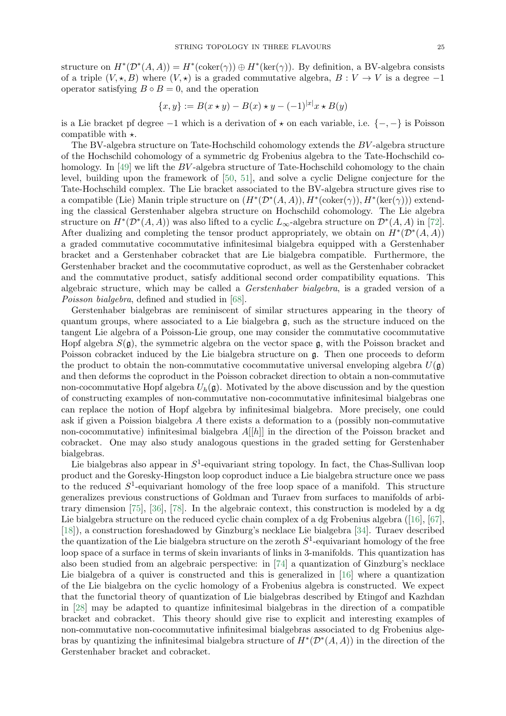structure on  $H^*(\mathcal{D}^*(A, A)) = H^*(\text{coker}(\gamma)) \oplus H^*(\text{ker}(\gamma))$ . By definition, a BV-algebra consists of a triple  $(V, \star, B)$  where  $(V, \star)$  is a graded commutative algebra,  $B: V \to V$  is a degree -1 operator satisfying  $B \circ B = 0$ , and the operation

$$
\{x, y\} := B(x \star y) - B(x) \star y - (-1)^{|x|} x \star B(y)
$$

is a Lie bracket pf degree  $-1$  which is a derivation of  $\star$  on each variable, i.e.  $\{-, -\}$  is Poisson compatible with  $\star$ .

The BV-algebra structure on Tate-Hochschild cohomology extends the BV -algebra structure of the Hochschild cohomology of a symmetric dg Frobenius algebra to the Tate-Hochschild co-homology. In [\[49\]](#page-38-31) we lift the BV-algebra structure of Tate-Hochschild cohomology to the chain level, building upon the framework of [\[50,](#page-38-8) [51\]](#page-38-7), and solve a cyclic Deligne conjecture for the Tate-Hochschild complex. The Lie bracket associated to the BV-algebra structure gives rise to a compatible (Lie) Manin triple structure on  $(H^*(\mathcal{D}^*(A, A)), H^*(\text{coker}(\gamma)), H^*(\text{ker}(\gamma)))$  extending the classical Gerstenhaber algebra structure on Hochschild cohomology. The Lie algebra structure on  $H^*(\mathcal{D}^*(A, A))$  was also lifted to a cyclic  $L_{\infty}$ -algebra structure on  $\mathcal{D}^*(A, A)$  in [\[72\]](#page-39-5). After dualizing and completing the tensor product appropriately, we obtain on  $H^*(\mathcal{D}^*(A, A))$ a graded commutative cocommutative infinitesimal bialgebra equipped with a Gerstenhaber bracket and a Gerstenhaber cobracket that are Lie bialgebra compatible. Furthermore, the Gerstenhaber bracket and the cocommutative coproduct, as well as the Gerstenhaber cobracket and the commutative product, satisfy additional second order compatibility equations. This algebraic structure, which may be called a Gerstenhaber bialgebra, is a graded version of a Poisson bialgebra, defined and studied in [\[68\]](#page-38-29).

Gerstenhaber bialgebras are reminiscent of similar structures appearing in the theory of quantum groups, where associated to a Lie bialgebra  $\mathfrak{g}$ , such as the structure induced on the tangent Lie algebra of a Poisson-Lie group, one may consider the commutative cocommutative Hopf algebra  $S(\mathfrak{g})$ , the symmetric algebra on the vector space  $\mathfrak{g}$ , with the Poisson bracket and Poisson cobracket induced by the Lie bialgebra structure on g. Then one proceeds to deform the product to obtain the non-commutative cocommutative universal enveloping algebra  $U(\mathfrak{g})$ and then deforms the coproduct in the Poisson cobracket direction to obtain a non-commutative non-cocommutative Hopf algebra  $U_h(\mathfrak{g})$ . Motivated by the above discussion and by the question of constructing examples of non-commutative non-cocommutative infinitesimal bialgebras one can replace the notion of Hopf algebra by infinitesimal bialgebra. More precisely, one could ask if given a Poission bialgebra A there exists a deformation to a (possibly non-commutative non-cocommutative) infinitesimal bialgebra  $A[[h]]$  in the direction of the Poisson bracket and cobracket. One may also study analogous questions in the graded setting for Gerstenhaber bialgebras.

Lie bialgebras also appear in  $S^1$ -equivariant string topology. In fact, the Chas-Sullivan loop product and the Goresky-Hingston loop coproduct induce a Lie bialgebra structure once we pass to the reduced  $S^1$ -equivariant homology of the free loop space of a manifold. This structure generalizes previous constructions of Goldman and Turaev from surfaces to manifolds of arbitrary dimension [\[75\]](#page-39-3), [\[36\]](#page-38-0), [\[78\]](#page-39-10). In the algebraic context, this construction is modeled by a dg Lie bialgebra structure on the reduced cyclic chain complex of a dg Frobenius algebra ([\[16\]](#page-37-30), [\[67\]](#page-38-4), [\[18\]](#page-37-31)), a construction foreshadowed by Ginzburg's necklace Lie bialgebra [\[34\]](#page-38-32). Turaev described the quantization of the Lie bialgebra structure on the zeroth  $S^1$ -equivariant homology of the free loop space of a surface in terms of skein invariants of links in 3-manifolds. This quantization has also been studied from an algebraic perspective: in [\[74\]](#page-39-11) a quantization of Ginzburg's necklace Lie bialgebra of a quiver is constructed and this is generalized in [\[16\]](#page-37-30) where a quantization of the Lie bialgebra on the cyclic homology of a Frobenius algebra is constructed. We expect that the functorial theory of quantization of Lie bialgebras described by Etingof and Kazhdan in [\[28\]](#page-37-32) may be adapted to quantize infinitesimal bialgebras in the direction of a compatible bracket and cobracket. This theory should give rise to explicit and interesting examples of non-commutative non-cocommutative infinitesimal bialgebras associated to dg Frobenius algebras by quantizing the infinitesimal bialgebra structure of  $H^*(\mathcal{D}^*(A, A))$  in the direction of the Gerstenhaber bracket and cobracket.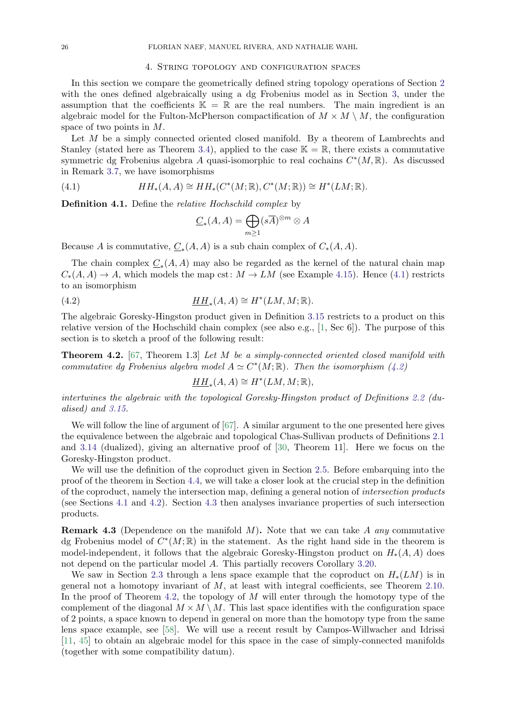#### 4. String topology and configuration spaces

<span id="page-25-2"></span>In this section we compare the geometrically defined string topology operations of Section [2](#page-5-0) with the ones defined algebraically using a dg Frobenius model as in Section [3,](#page-15-0) under the assumption that the coefficients  $\mathbb{K} = \mathbb{R}$  are the real numbers. The main ingredient is an algebraic model for the Fulton-McPherson compactification of  $M \times M \setminus M$ , the configuration space of two points in M.

Let M be a simply connected oriented closed manifold. By a theorem of Lambrechts and Stanley (stated here as Theorem [3.4\)](#page-17-0), applied to the case  $\mathbb{K} = \mathbb{R}$ , there exists a commutative symmetric dg Frobenius algebra A quasi-isomorphic to real cochains  $C^*(M,\mathbb{R})$ . As discussed in Remark [3.7,](#page-18-0) we have isomorphisms

(4.1) 
$$
HH_*(A, A) \cong HH_*(C^*(M; \mathbb{R}), C^*(M; \mathbb{R})) \cong H^*(LM; \mathbb{R}).
$$

<span id="page-25-0"></span>Definition 4.1. Define the relative Hochschild complex by

<span id="page-25-4"></span><span id="page-25-3"></span>
$$
\underline{C}_*(A, A) = \bigoplus_{m \ge 1} (s\overline{A})^{\otimes m} \otimes A
$$

Because A is commutative,  $\underline{C}_*(A, A)$  is a sub chain complex of  $C_*(A, A)$ .

The chain complex  $\underline{C}_*(A, A)$  may also be regarded as the kernel of the natural chain map  $C_*(A, A) \to A$ , which models the map cst:  $M \to LM$  (see Example [4.15\)](#page-31-0). Hence [\(4.1\)](#page-25-3) restricts to an isomorphism

(4.2) 
$$
\underline{HH}_*(A, A) \cong H^*(LM, M; \mathbb{R}).
$$

The algebraic Goresky-Hingston product given in Definition [3.15](#page-21-0) restricts to a product on this relative version of the Hochschild chain complex (see also e.g., [\[1,](#page-37-27) Sec 6]). The purpose of this section is to sketch a proof of the following result:

<span id="page-25-1"></span>**Theorem 4.2.** [\[67,](#page-38-4) Theorem 1.3] Let M be a simply-connected oriented closed manifold with commutative dg Frobenius algebra model  $A \simeq C^*(M; \mathbb{R})$ . Then the isomorphism [\(4.2\)](#page-25-4)

$$
\underline{HH}_*(A, A) \cong H^*(LM, M; \mathbb{R}),
$$

intertwines the algebraic with the topological Goresky-Hingston product of Definitions [2.2](#page-8-1) (dualised) and [3.15.](#page-21-0)

We will follow the line of argument of [\[67\]](#page-38-4). A similar argument to the one presented here gives the equivalence between the algebraic and topological Chas-Sullivan products of Definitions [2.1](#page-7-3) and [3.14](#page-20-2) (dualized), giving an alternative proof of [\[30,](#page-37-2) Theorem 11]. Here we focus on the Goresky-Hingston product.

We will use the definition of the coproduct given in Section [2.5.](#page-14-0) Before embarquing into the proof of the theorem in Section [4.4,](#page-30-0) we will take a closer look at the crucial step in the definition of the coproduct, namely the intersection map, defining a general notion of intersection products (see Sections [4.1](#page-26-0) and [4.2\)](#page-27-0). Section [4.3](#page-28-1) then analyses invariance properties of such intersection products.

**Remark 4.3** (Dependence on the manifold  $M$ ). Note that we can take A any commutative dg Frobenius model of  $C^*(M;\mathbb{R})$  in the statement. As the right hand side in the theorem is model-independent, it follows that the algebraic Goresky-Hingston product on  $H_*(A, A)$  does not depend on the particular model A. This partially recovers Corollary [3.20.](#page-23-1)

We saw in Section [2.3](#page-9-1) through a lens space example that the coproduct on  $H_*(LM)$  is in general not a homotopy invariant of  $M$ , at least with integral coefficients, see Theorem [2.10.](#page-13-1) In the proof of Theorem [4.2,](#page-25-1) the topology of  $M$  will enter through the homotopy type of the complement of the diagonal  $M \times M \setminus M$ . This last space identifies with the configuration space of 2 points, a space known to depend in general on more than the homotopy type from the same lens space example, see [\[58\]](#page-38-20). We will use a recent result by Campos-Willwacher and Idrissi [\[11,](#page-37-20) [45\]](#page-38-21) to obtain an algebraic model for this space in the case of simply-connected manifolds (together with some compatibility datum).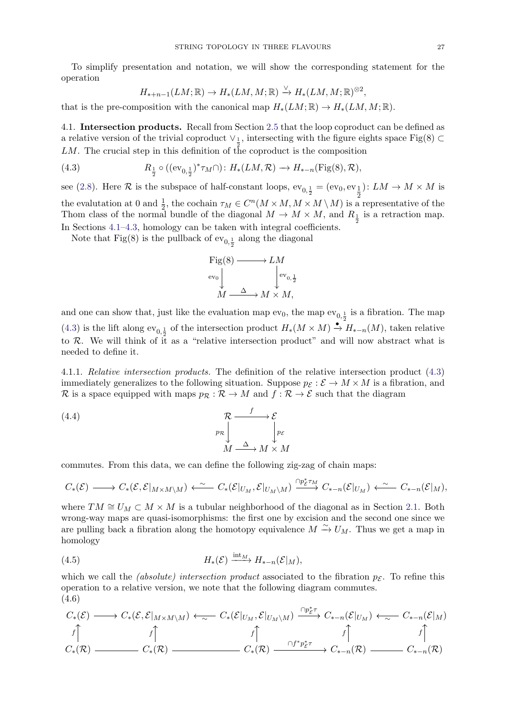To simplify presentation and notation, we will show the corresponding statement for the operation

<span id="page-26-1"></span>
$$
H_{*+n-1}(LM;\mathbb{R}) \to H_*(LM,M;\mathbb{R}) \xrightarrow{\vee} H_*(LM,M;\mathbb{R})^{\otimes 2},
$$

that is the pre-composition with the canonical map  $H_*(LM;\mathbb{R}) \to H_*(LM,M;\mathbb{R})$ .

<span id="page-26-0"></span>4.1. Intersection products. Recall from Section [2.5](#page-14-0) that the loop coproduct can be defined as a relative version of the trivial coproduct  $\vee$ <sub>1</sub>, intersecting with the figure eights space Fig(8) ⊂  $LM$ . The crucial step in this definition of the coproduct is the composition

(4.3) 
$$
R_{\frac{1}{2}} \circ ((ev_{0,\frac{1}{2}})^{*}\tau_{M}\cap) : H_{*}(LM, \mathcal{R}) \to H_{*-n}(\text{Fig}(8), \mathcal{R}),
$$

see [\(2.8\)](#page-15-2). Here  $R$  is the subspace of half-constant loops,  $ev_{0, \frac{1}{2}} = (ev_0, ev_{\frac{1}{2}})$ ):  $LM \to M \times M$  is the evalutation at 0 and  $\frac{1}{2}$ , the cochain  $\tau_M \in C^n(M \times M, M \times M \setminus M)$  is a representative of the Thom class of the normal bundle of the diagonal  $M \to M \times M$ , and  $R_{\frac{1}{2}}$  is a retraction map. In Sections [4.1–](#page-26-0)[4.3,](#page-28-1) homology can be taken with integral coefficients.

Note that Fig(8) is the pullback of  $\mathrm{ev}_{0,\frac{1}{2}}$  along the diagonal

$$
\begin{array}{ccc}\n\text{Fig(8)} & \longrightarrow LM \\
\text{ev}_0 & \downarrow & \downarrow \\
M & \xrightarrow{\Delta} & M \times M,\n\end{array}
$$

and one can show that, just like the evaluation map  $ev_0$ , the map  $ev_{0, \frac{1}{2}}$  is a fibration. The map [\(4.3\)](#page-26-1) is the lift along  $ev_{0,\frac{1}{2}}$  of the intersection product  $H_*(M\times M)\stackrel{\bullet}{\to} H_{*-n}(M)$ , taken relative to  $\mathcal{R}$ . We will think of it as a "relative intersection product" and will now abstract what is needed to define it.

4.1.1. Relative intersection products. The definition of the relative intersection product [\(4.3\)](#page-26-1) immediately generalizes to the following situation. Suppose  $p_{\mathcal{E}} : \mathcal{E} \to M \times M$  is a fibration, and R is a space equipped with maps  $p_{\mathcal{R}} : \mathcal{R} \to M$  and  $f : \mathcal{R} \to \mathcal{E}$  such that the diagram

<span id="page-26-2"></span>(4.4) 
$$
\begin{array}{ccc}\n\mathcal{R} & \xrightarrow{f} & \mathcal{E} \\
p_{\mathcal{R}} & & p_{\mathcal{E}} \\
M & \xrightarrow{\Delta} & M \times M\n\end{array}
$$

commutes. From this data, we can define the following zig-zag of chain maps:

$$
C_*(\mathcal{E}) \longrightarrow C_*(\mathcal{E}, \mathcal{E}|_{M \times M \setminus M}) \longleftarrow \sim C_*(\mathcal{E}|_{U_M}, \mathcal{E}|_{U_M \setminus M}) \stackrel{\cap p_{\mathcal{E}}^* \tau_M}{\longrightarrow} C_{*-n}(\mathcal{E}|_{U_M}) \longleftarrow \sim C_{*-n}(\mathcal{E}|_{M}),
$$

where  $TM \cong U_M \subset M \times M$  is a tubular neighborhood of the diagonal as in Section [2.1.](#page-6-1) Both wrong-way maps are quasi-isomorphisms: the first one by excision and the second one since we are pulling back a fibration along the homotopy equivalence  $M \stackrel{\sim}{\rightarrow} U_M$ . Thus we get a map in homology

<span id="page-26-4"></span>(4.5) 
$$
H_*(\mathcal{E}) \xrightarrow{\text{int}_M} H_{*-n}(\mathcal{E}|_M),
$$

which we call the *(absolute) intersection product* associated to the fibration  $p_{\mathcal{E}}$ . To refine this operation to a relative version, we note that the following diagram commutes. (4.6)

<span id="page-26-3"></span>C∗(E) C∗(E, E|M×M\M) C∗(E|U<sup>M</sup> , E|UM\M) C∗−n(E|U<sup>M</sup> ) C∗−n(E|M) C∗(R) C∗(R) C∗(R) C∗−n(R) C∗−n(R) ∼ ∩p ∗ E τ ∼ f f f ∩f ∗p ∗ E τ f f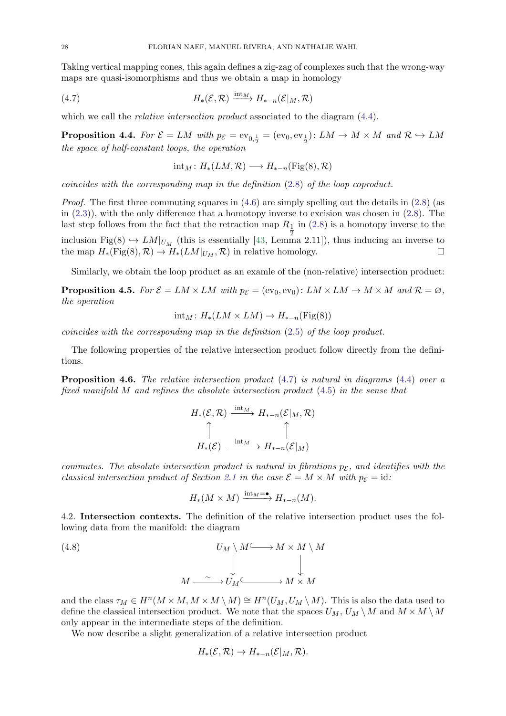Taking vertical mapping cones, this again defines a zig-zag of complexes such that the wrong-way maps are quasi-isomorphisms and thus we obtain a map in homology

(4.7) 
$$
H_*(\mathcal{E}, \mathcal{R}) \xrightarrow{\text{int}_M} H_{*-n}(\mathcal{E}|_M, \mathcal{R})
$$

which we call the *relative intersection product* associated to the diagram  $(4.4)$ .

**Proposition 4.4.** For  $\mathcal{E} = LM$  with  $p_{\mathcal{E}} = ev_{0,\frac{1}{2}} = (ev_0, ev_{\frac{1}{2}}) \colon LM \to M \times M$  and  $\mathcal{R} \hookrightarrow LM$ the space of half-constant loops, the operation

<span id="page-27-1"></span>
$$
int_M: H_*(LM, \mathcal{R}) \longrightarrow H_{*-n}(Fig(8), \mathcal{R})
$$

coincides with the corresponding map in the definition [\(2.8\)](#page-15-2) of the loop coproduct.

*Proof.* The first three commuting squares in  $(4.6)$  are simply spelling out the details in  $(2.8)$  (as in [\(2.3\)](#page-6-4)), with the only difference that a homotopy inverse to excision was chosen in [\(2.8\)](#page-15-2). The last step follows from the fact that the retraction map  $R_1$  in [\(2.8\)](#page-15-2) is a homotopy inverse to the inclusion Fig(8)  $\hookrightarrow LM|_{U_M}$  (this is essentially [\[43,](#page-38-14) Lemma 2.11]), thus inducing an inverse to the map  $H_*(\text{Fig}(8), \mathcal{R}) \to H_*(LM|_{U_M}, \mathcal{R})$  in relative homology.

Similarly, we obtain the loop product as an examle of the (non-relative) intersection product:

<span id="page-27-3"></span>**Proposition 4.5.** For  $\mathcal{E} = LM \times LM$  with  $p_{\mathcal{E}} = (ev_0, ev_0): LM \times LM \rightarrow M \times M$  and  $\mathcal{R} = \emptyset$ , the operation

$$
int_M: H_*(LM \times LM) \to H_{*-n}(\mathrm{Fig}(8))
$$

coincides with the corresponding map in the definition [\(2.5\)](#page-7-2) of the loop product.

The following properties of the relative intersection product follow directly from the definitions.

**Proposition 4.6.** The relative intersection product  $(4.7)$  is natural in diagrams  $(4.4)$  over a fixed manifold M and refines the absolute intersection product [\(4.5\)](#page-26-4) in the sense that

$$
H_*(\mathcal{E}, \mathcal{R}) \xrightarrow{\text{int}_M} H_{*-n}(\mathcal{E}|_M, \mathcal{R})
$$

$$
\uparrow \qquad \qquad \uparrow
$$

$$
H_*(\mathcal{E}) \xrightarrow{\text{int}_M} H_{*-n}(\mathcal{E}|_M)
$$

commutes. The absolute intersection product is natural in fibrations  $p_{\mathcal{E}}$ , and identifies with the classical intersection product of Section [2.1](#page-6-1) in the case  $\mathcal{E} = M \times M$  with  $p_{\mathcal{E}} = id$ :

<span id="page-27-2"></span>
$$
H_*(M \times M) \xrightarrow{\text{int}_M = \bullet} H_{*-n}(M).
$$

<span id="page-27-0"></span>4.2. Intersection contexts. The definition of the relative intersection product uses the following data from the manifold: the diagram

(4.8) 
$$
U_M \setminus M \longrightarrow M \times M \setminus M
$$

$$
M \xrightarrow{\sim} U_M \xrightarrow{\sim} M \times M
$$

$$
M \xrightarrow{\sim} U_M \xrightarrow{\sim} M \times M
$$

and the class  $\tau_M \in H^n(M \times M, M \times M \setminus M) \cong H^n(U_M, U_M \setminus M)$ . This is also the data used to define the classical intersection product. We note that the spaces  $U_M$ ,  $U_M \setminus M$  and  $M \times M \setminus M$ only appear in the intermediate steps of the definition.

We now describe a slight generalization of a relative intersection product

$$
H_*(\mathcal{E}, \mathcal{R}) \to H_{*-n}(\mathcal{E}|_M, \mathcal{R}).
$$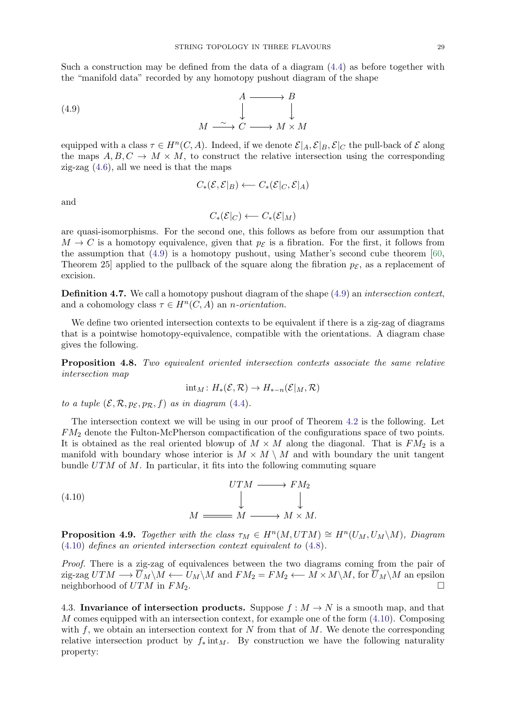Such a construction may be defined from the data of a diagram [\(4.4\)](#page-26-2) as before together with the "manifold data" recorded by any homotopy pushout diagram of the shape

(4.9) 
$$
\begin{array}{c}\n A \longrightarrow B \\
 \downarrow \qquad \qquad \downarrow \\
 M \longrightarrow C \longrightarrow M \times M\n\end{array}
$$

equipped with a class  $\tau \in H^n(C, A)$ . Indeed, if we denote  $\mathcal{E}|_A, \mathcal{E}|_B, \mathcal{E}|_C$  the pull-back of  $\mathcal E$  along the maps  $A, B, C \rightarrow M \times M$ , to construct the relative intersection using the corresponding zig-zag  $(4.6)$ , all we need is that the maps

<span id="page-28-2"></span>
$$
C_*(\mathcal{E}, \mathcal{E}|_B) \longleftarrow C_*(\mathcal{E}|_C, \mathcal{E}|_A)
$$

and

$$
C_*(\mathcal{E}|_C) \longleftarrow C_*(\mathcal{E}|_M)
$$

are quasi-isomorphisms. For the second one, this follows as before from our assumption that  $M \to C$  is a homotopy equivalence, given that  $p_{\mathcal{E}}$  is a fibration. For the first, it follows from the assumption that  $(4.9)$  is a homotopy pushout, using Mather's second cube theorem [\[60,](#page-38-33) Theorem 25 applied to the pullback of the square along the fibration  $p_{\mathcal{E}}$ , as a replacement of excision.

<span id="page-28-0"></span>**Definition 4.7.** We call a homotopy pushout diagram of the shape  $(4.9)$  an *intersection context*, and a cohomology class  $\tau \in H^n(C, A)$  an *n*-orientation.

We define two oriented intersection contexts to be equivalent if there is a zig-zag of diagrams that is a pointwise homotopy-equivalence, compatible with the orientations. A diagram chase gives the following.

Proposition 4.8. Two equivalent oriented intersection contexts associate the same relative intersection map

<span id="page-28-3"></span>
$$
{\rm int}_M\colon H_*({\mathcal E},{\mathcal R})\to H_{*-n}({\mathcal E}|_M,{\mathcal R})
$$

to a tuple  $(\mathcal{E}, \mathcal{R}, p_{\mathcal{E}}, p_{\mathcal{R}}, f)$  as in diagram [\(4.4\)](#page-26-2).

The intersection context we will be using in our proof of Theorem [4.2](#page-25-1) is the following. Let FM<sup>2</sup> denote the Fulton-McPherson compactification of the configurations space of two points. It is obtained as the real oriented blowup of  $M \times M$  along the diagonal. That is  $FM_2$  is a manifold with boundary whose interior is  $M \times M \setminus M$  and with boundary the unit tangent bundle  $UTM$  of M. In particular, it fits into the following commuting square

(4.10) 
$$
UTM \longrightarrow FM_2
$$

$$
\downarrow \qquad \qquad \downarrow
$$

$$
M \longrightarrow M \longrightarrow M \times M.
$$

**Proposition 4.9.** Together with the class  $\tau_M \in H^n(M, UTM) \cong H^n(U_M, U_M \backslash M)$ , Diagram [\(4.10\)](#page-28-3) defines an oriented intersection context equivalent to [\(4.8\)](#page-27-2).

Proof. There is a zig-zag of equivalences between the two diagrams coming from the pair of zig-zag  $UTM \longrightarrow \overline{U}_M \backslash M \longleftarrow U_M \backslash M$  and  $FM_2 = FM_2 \longleftarrow M \times M \backslash M$ , for  $\overline{U}_M \backslash M$  an epsilon neighborhood of  $UTM$  in  $FM_2$ .

<span id="page-28-1"></span>4.3. Invariance of intersection products. Suppose  $f : M \to N$  is a smooth map, and that M comes equipped with an intersection context, for example one of the form  $(4.10)$ . Composing with  $f$ , we obtain an intersection context for N from that of  $M$ . We denote the corresponding relative intersection product by  $f_* \text{int}_M$ . By construction we have the following naturality property: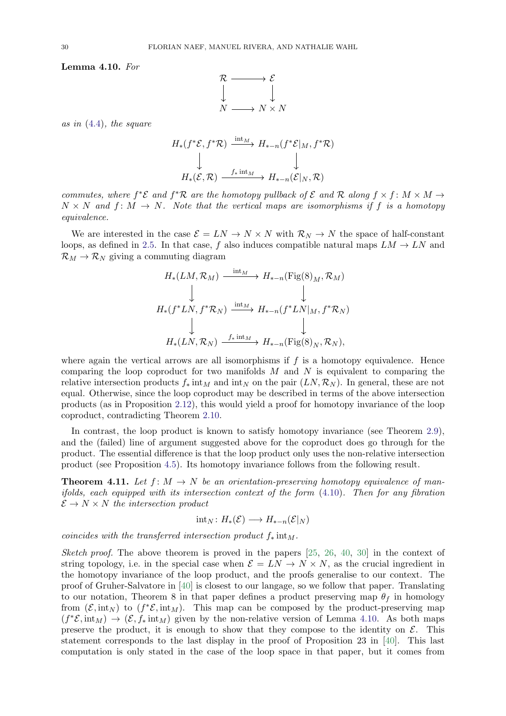<span id="page-29-1"></span>Lemma 4.10. For



as in [\(4.4\)](#page-26-2), the square

$$
H_*(f^*\mathcal{E}, f^*\mathcal{R}) \xrightarrow{\text{int}_M} H_{*-n}(f^*\mathcal{E}|_M, f^*\mathcal{R})
$$
  

$$
\downarrow \qquad \qquad \downarrow
$$
  

$$
H_*(\mathcal{E}, \mathcal{R}) \xrightarrow{f_* \text{int}_M} H_{*-n}(\mathcal{E}|_N, \mathcal{R})
$$

commutes, where  $f^*\mathcal{E}$  and  $f^*\mathcal{R}$  are the homotopy pullback of  $\mathcal{E}$  and  $\mathcal{R}$  along  $f \times f : M \times M \rightarrow$  $N \times N$  and  $f: M \to N$ . Note that the vertical maps are isomorphisms if f is a homotopy equivalence.

We are interested in the case  $\mathcal{E} = LN \to N \times N$  with  $\mathcal{R}_N \to N$  the space of half-constant loops, as defined in [2.5.](#page-14-0) In that case, f also induces compatible natural maps  $LM \rightarrow LN$  and  $\mathcal{R}_M \to \mathcal{R}_N$  giving a commuting diagram

$$
H_*(LM, \mathcal{R}_M) \xrightarrow{\text{int}_M} H_{*-n}(\text{Fig}(8)_M, \mathcal{R}_M)
$$
  
\n
$$
\downarrow \qquad \qquad \downarrow
$$
  
\n
$$
H_*(f^*LN, f^*\mathcal{R}_N) \xrightarrow{\text{int}_M} H_{*-n}(f^*LN|_M, f^*\mathcal{R}_N)
$$
  
\n
$$
\downarrow \qquad \qquad \downarrow
$$
  
\n
$$
H_*(LN, \mathcal{R}_N) \xrightarrow{f_* \text{int}_M} H_{*-n}(\text{Fig}(8)_N, \mathcal{R}_N),
$$

where again the vertical arrows are all isomorphisms if  $f$  is a homotopy equivalence. Hence comparing the loop coproduct for two manifolds  $M$  and  $N$  is equivalent to comparing the relative intersection products  $f_*$  int<sub>M</sub> and int<sub>N</sub> on the pair  $(LN, \mathcal{R}_N)$ . In general, these are not equal. Otherwise, since the loop coproduct may be described in terms of the above intersection products (as in Proposition [2.12\)](#page-15-3), this would yield a proof for homotopy invariance of the loop coproduct, contradicting Theorem [2.10.](#page-13-1)

In contrast, the loop product is known to satisfy homotopy invariance (see Theorem [2.9\)](#page-12-2), and the (failed) line of argument suggested above for the coproduct does go through for the product. The essential difference is that the loop product only uses the non-relative intersection product (see Proposition [4.5\)](#page-27-3). Its homotopy invariance follows from the following result.

<span id="page-29-0"></span>**Theorem 4.11.** Let  $f: M \to N$  be an orientation-preserving homotopy equivalence of manifolds, each equipped with its intersection context of the form  $(4.10)$ . Then for any fibration  $\mathcal{E} \to N \times N$  the intersection product

$$
int_N: H_*(\mathcal{E}) \longrightarrow H_{*-n}(\mathcal{E}|_N)
$$

coincides with the transferred intersection product  $f_*$  int<sub>M</sub>.

Sketch proof. The above theorem is proved in the papers [\[25,](#page-37-16) [26,](#page-37-17) [40,](#page-38-18) [30\]](#page-37-2) in the context of string topology, i.e. in the special case when  $\mathcal{E} = LN \rightarrow N \times N$ , as the crucial ingredient in the homotopy invariance of the loop product, and the proofs generalise to our context. The proof of Gruher-Salvatore in [\[40\]](#page-38-18) is closest to our langage, so we follow that paper. Translating to our notation, Theorem 8 in that paper defines a product preserving map  $\theta_f$  in homology from  $(\mathcal{E}, \text{int}_N)$  to  $(f^*\mathcal{E}, \text{int}_M)$ . This map can be composed by the product-preserving map  $(f^*\mathcal{E}, \text{int}_M) \to (\mathcal{E}, f_* \text{int}_M)$  given by the non-relative version of Lemma [4.10.](#page-29-1) As both maps preserve the product, it is enough to show that they compose to the identity on  $\mathcal{E}$ . This statement corresponds to the last display in the proof of Proposition 23 in [\[40\]](#page-38-18). This last computation is only stated in the case of the loop space in that paper, but it comes from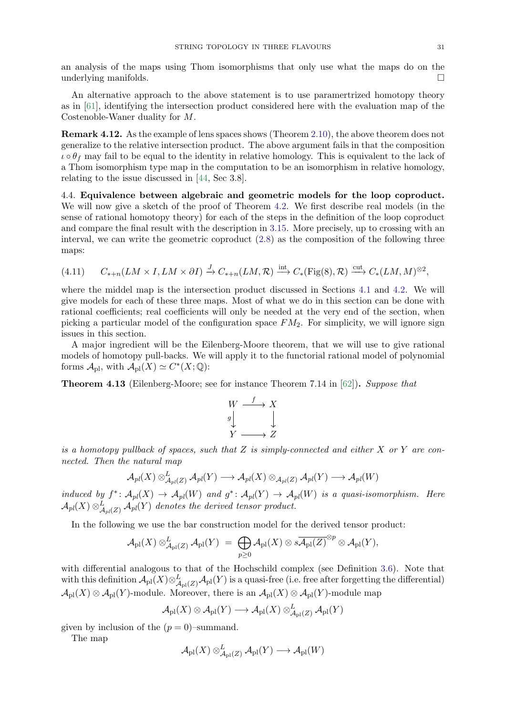an analysis of the maps using Thom isomorphisms that only use what the maps do on the underlying manifolds.

An alternative approach to the above statement is to use paramertrized homotopy theory as in [\[61\]](#page-38-34), identifying the intersection product considered here with the evaluation map of the Costenoble-Waner duality for M.

Remark 4.12. As the example of lens spaces shows (Theorem [2.10\)](#page-13-1), the above theorem does not generalize to the relative intersection product. The above argument fails in that the composition  $\iota \circ \theta_f$  may fail to be equal to the identity in relative homology. This is equivalent to the lack of a Thom isomorphism type map in the computation to be an isomorphism in relative homology, relating to the issue discussed in [\[44,](#page-38-19) Sec 3.8].

<span id="page-30-0"></span>4.4. Equivalence between algebraic and geometric models for the loop coproduct. We will now give a sketch of the proof of Theorem [4.2.](#page-25-1) We first describe real models (in the sense of rational homotopy theory) for each of the steps in the definition of the loop coproduct and compare the final result with the description in [3.15.](#page-21-0) More precisely, up to crossing with an interval, we can write the geometric coproduct [\(2.8\)](#page-15-2) as the composition of the following three maps:

<span id="page-30-2"></span>
$$
(4.11) \qquad C_{*+n}(LM \times I, LM \times \partial I) \xrightarrow{J} C_{*+n}(LM, \mathcal{R}) \xrightarrow{\text{int}} C_{*}(\text{Fig}(8), \mathcal{R}) \xrightarrow{\text{cut}} C_{*}(LM, M)^{\otimes 2},
$$

where the middel map is the intersection product discussed in Sections [4.1](#page-26-0) and [4.2.](#page-27-0) We will give models for each of these three maps. Most of what we do in this section can be done with rational coefficients; real coefficients will only be needed at the very end of the section, when picking a particular model of the configuration space  $FM<sub>2</sub>$ . For simplicity, we will ignore sign issues in this section.

A major ingredient will be the Eilenberg-Moore theorem, that we will use to give rational models of homotopy pull-backs. We will apply it to the functorial rational model of polynomial forms  $\mathcal{A}_{\text{pl}}$ , with  $\mathcal{A}_{\text{pl}}(X) \simeq C^*(X; \mathbb{Q})$ :

<span id="page-30-1"></span>Theorem 4.13 (Eilenberg-Moore; see for instance Theorem 7.14 in [\[62\]](#page-38-35)). Suppose that

$$
\begin{array}{ccc}\nW & \xrightarrow{f} & X \\
g & & \downarrow \\
Y & \xrightarrow{Z}\n\end{array}
$$

is a homotopy pullback of spaces, such that Z is simply-connected and either X or Y are connected. Then the natural map

$$
{\cal A}_{pl}(X)\otimes^L_{{\cal A}_{pl}(Z)}{\cal A}_{pl}(Y)\longrightarrow {\cal A}_{pl}(X)\otimes_{{\cal A}_{pl}(Z)}{\cal A}_{pl}(Y)\longrightarrow {\cal A}_{pl}(W)
$$

induced by  $f^*: \mathcal{A}_{pl}(X) \to \mathcal{A}_{pl}(W)$  and  $g^*: \mathcal{A}_{pl}(Y) \to \mathcal{A}_{pl}(W)$  is a quasi-isomorphism. Here  ${\mathcal A}_{pl}(X) \otimes_{{\mathcal A}_{pl}(Z)}^L {\mathcal A}_{pl}(Y)$  denotes the derived tensor product.

In the following we use the bar construction model for the derived tensor product:

$$
{\mathcal A}_{\rm pl}(X) \otimes_{{\mathcal A}_{\rm pl}(Z)}^L {\mathcal A}_{\rm pl}(Y) \;=\; \bigoplus_{p\geq 0} {\mathcal A}_{\rm pl}(X) \otimes s\overline{{\mathcal A}_{\rm pl}(Z)}^{\otimes p} \otimes {\mathcal A}_{\rm pl}(Y),
$$

with differential analogous to that of the Hochschild complex (see Definition [3.6\)](#page-17-3). Note that with this definition  $\mathcal{A}_{\text{pl}}(X)\otimes^L_{\mathcal{A}_{\text{pl}}(Z)}\mathcal{A}_{\text{pl}}(Y)$  is a quasi-free (i.e. free after forgetting the differential)  $\mathcal{A}_{\text{pl}}(X) \otimes \mathcal{A}_{\text{pl}}(Y)$ -module. Moreover, there is an  $\mathcal{A}_{\text{pl}}(X) \otimes \mathcal{A}_{\text{pl}}(Y)$ -module map

 ${\mathcal A}_{\rm pl}(X)\otimes{\mathcal A}_{\rm pl}(Y)\longrightarrow{\mathcal A}_{\rm pl}(X)\otimes^L_{{\mathcal A}_{\rm pl}(Z)}{\mathcal A}_{\rm pl}(Y)$ 

given by inclusion of the  $(p = 0)$ –summand.

The map

$$
\mathcal{A}_{\rm pl}(X) \otimes^L_{\mathcal{A}_{\rm pl}(Z)} \mathcal{A}_{\rm pl}(Y) \longrightarrow \mathcal{A}_{\rm pl}(W)
$$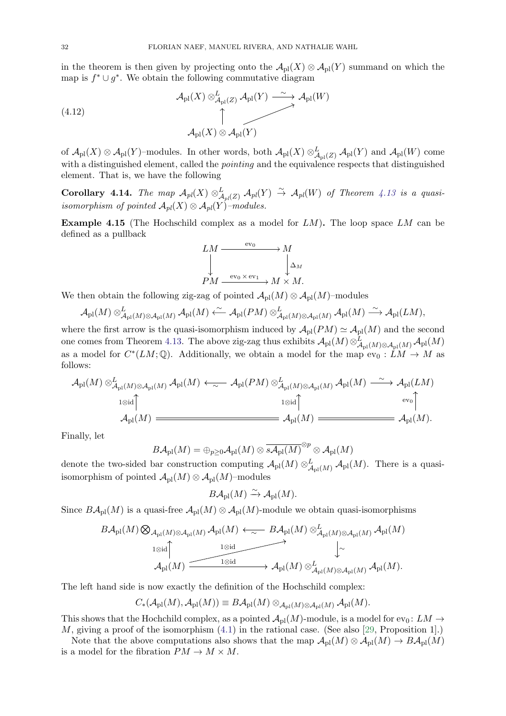in the theorem is then given by projecting onto the  $\mathcal{A}_{\text{pl}}(X) \otimes \mathcal{A}_{\text{pl}}(Y)$  summand on which the map is  $f^* \cup g^*$ . We obtain the following commutative diagram

(4.12) 
$$
\mathcal{A}_{\text{pl}}(X) \otimes_{\mathcal{A}_{\text{pl}}(Z)}^L \mathcal{A}_{\text{pl}}(Y) \xrightarrow{\sim} \mathcal{A}_{\text{pl}}(W)
$$

$$
\uparrow
$$

$$
\mathcal{A}_{\text{pl}}(X) \otimes \mathcal{A}_{\text{pl}}(Y)
$$

of  $\mathcal{A}_{\text{pl}}(X) \otimes \mathcal{A}_{\text{pl}}(Y)$ -modules. In other words, both  $\mathcal{A}_{\text{pl}}(X) \otimes^L_{\mathcal{A}_{\text{pl}}(Z)} \mathcal{A}_{\text{pl}}(Y)$  and  $\mathcal{A}_{\text{pl}}(W)$  come with a distinguished element, called the *pointing* and the equivalence respects that distinguished element. That is, we have the following

Corollary 4.14. The map  $\mathcal{A}_{pl}(X) \otimes_{\mathcal{A}_{pl}(Z)}^L \mathcal{A}_{pl}(Y) \stackrel{\sim}{\to} \mathcal{A}_{pl}(W)$  of Theorem [4.13](#page-30-1) is a quasiisomorphism of pointed  $\mathcal{A}_{pl}(X) \otimes \mathcal{A}_{pl}(Y)$ -modules.

<span id="page-31-0"></span>**Example 4.15** (The Hochschild complex as a model for  $LM$ ). The loop space  $LM$  can be defined as a pullback

$$
LM \xrightarrow{\text{ev}_0} M
$$
  
\n
$$
\downarrow_{PM \xrightarrow{\text{ev}_0 \times \text{ev}_1} M} M \times M.
$$

We then obtain the following zig-zag of pointed  $\mathcal{A}_{\text{pl}}(M) \otimes \mathcal{A}_{\text{pl}}(M)$ –modules

$$
\mathcal{A}_{\rm pl}(M)\otimes^L_{\mathcal{A}_{\rm pl}(M)\otimes\mathcal{A}_{\rm pl}(M)}\mathcal{A}_{\rm pl}(M) \xleftarrow{\sim} \mathcal{A}_{\rm pl}(PM)\otimes^L_{\mathcal{A}_{\rm pl}(M)\otimes\mathcal{A}_{\rm pl}(M)}\mathcal{A}_{\rm pl}(M) \xrightarrow{\sim} \mathcal{A}_{\rm pl}(LM),
$$

where the first arrow is the quasi-isomorphism induced by  $\mathcal{A}_{\text{pl}}(PM) \simeq \mathcal{A}_{\text{pl}}(M)$  and the second one comes from Theorem [4.13.](#page-30-1) The above zig-zag thus exhibits  $\mathcal{A}_{\text{pl}}(M) \otimes^L_{\mathcal{A}_{\text{pl}}(M) \otimes \mathcal{A}_{\text{pl}}(M)} \mathcal{A}_{\text{pl}}(M)$ as a model for  $C^*(LM; \mathbb{Q})$ . Additionally, we obtain a model for the map  $ev_0 : LM \rightarrow M$  as follows:

$$
\mathcal{A}_{\text{pl}}(M) \otimes_{\mathcal{A}_{\text{pl}}(M) \otimes \mathcal{A}_{\text{pl}}(M)}^L \mathcal{A}_{\text{pl}}(M) \longleftrightarrow \mathcal{A}_{\text{pl}}(PM) \otimes_{\mathcal{A}_{\text{pl}}(M) \otimes \mathcal{A}_{\text{pl}}(M)}^L \mathcal{A}_{\text{pl}}(M) \xrightarrow{\sim} \mathcal{A}_{\text{pl}}(LM)
$$
  
\n
$$
\downarrow \otimes \text{id}
$$
  
\n
$$
\mathcal{A}_{\text{pl}}(M) \xrightarrow{\text{eval} \uparrow} \mathcal{A}_{\text{pl}}(M) \xrightarrow{\text{eval} \uparrow} \mathcal{A}_{\text{pl}}(M) \xrightarrow{\text{eval} \uparrow} \mathcal{A}_{\text{pl}}(M).
$$

Finally, let

$$
B\mathcal{A}_{\mathrm{pl}}(M)=\oplus_{p\geq 0}\mathcal{A}_{\mathrm{pl}}(M)\otimes \overline{s\mathcal{A}_{\mathrm{pl}}(M)}^{\otimes p}\otimes \mathcal{A}_{\mathrm{pl}}(M)
$$

denote the two-sided bar construction computing  $\mathcal{A}_{\text{pl}}(M) \otimes_{\mathcal{A}_{\text{pl}}(M)}^L \mathcal{A}_{\text{pl}}(M)$ . There is a quasiisomorphism of pointed  $\mathcal{A}_{\text{pl}}(M) \otimes \mathcal{A}_{\text{pl}}(M)$ –modules

$$
B\mathcal{A}_{\rm pl}(M) \xrightarrow{\sim} \mathcal{A}_{\rm pl}(M).
$$

Since  $B\mathcal{A}_{\text{pl}}(M)$  is a quasi-free  $\mathcal{A}_{\text{pl}}(M) \otimes \mathcal{A}_{\text{pl}}(M)$ -module we obtain quasi-isomorphisms

$$
\mathit{BA}_{\mathrm{pl}}(M)\bigotimes_{\mathcal{A}_{\mathrm{pl}}(M)\otimes\mathcal{A}_{\mathrm{pl}}(M)}\mathcal{A}_{\mathrm{pl}}(M)\longleftrightarrow \mathit{BA}_{\mathrm{pl}}(M)\otimes^L_{\mathcal{A}_{\mathrm{pl}}(M)\otimes\mathcal{A}_{\mathrm{pl}}(M)}\mathcal{A}_{\mathrm{pl}}(M)\\ \downarrow\sim\\\mathcal{A}_{\mathrm{pl}}(M)\xrightarrow{\mathrm{1}\otimes\mathrm{id}}\qquad\qquad\downarrow\sim\\\mathcal{A}_{\mathrm{pl}}(M)\xrightarrow{\mathrm{1}\otimes\mathrm{id}}\mathcal{A}_{\mathrm{pl}}(M)\otimes^L_{\mathcal{A}_{\mathrm{pl}}(M)\otimes\mathcal{A}_{\mathrm{pl}}(M)}\mathcal{A}_{\mathrm{pl}}(M).
$$

The left hand side is now exactly the definition of the Hochschild complex:

$$
C_*(\mathcal{A}_{\mathrm{pl}}(M),\mathcal{A}_{\mathrm{pl}}(M))\equiv B\mathcal{A}_{\mathrm{pl}}(M)\otimes_{\mathcal{A}_{\mathrm{pl}}(M)\otimes\mathcal{A}_{\mathrm{pl}}(M)}\mathcal{A}_{\mathrm{pl}}(M).
$$

This shows that the Hochchild complex, as a pointed  $\mathcal{A}_{\text{pl}}(M)$ -module, is a model for ev<sub>0</sub>:  $LM \rightarrow$ M, giving a proof of the isomorphism  $(4.1)$  in the rational case. (See also [\[29,](#page-37-33) Proposition 1].)

Note that the above computations also shows that the map  $\mathcal{A}_{\text{pl}}(M) \otimes \mathcal{A}_{\text{pl}}(M) \to B\mathcal{A}_{\text{pl}}(M)$ is a model for the fibration  $PM \to M \times M$ .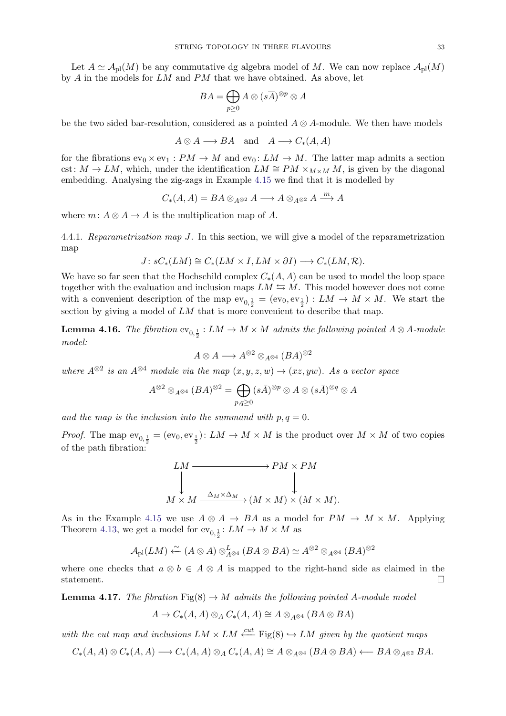Let  $A \simeq A_{\text{pl}}(M)$  be any commutative dg algebra model of M. We can now replace  $A_{\text{pl}}(M)$ by A in the models for LM and PM that we have obtained. As above, let

$$
BA = \bigoplus_{p \geq 0} A \otimes (s\overline{A})^{\otimes p} \otimes A
$$

be the two sided bar-resolution, considered as a pointed  $A \otimes A$ -module. We then have models

$$
A \otimes A \longrightarrow BA
$$
 and  $A \longrightarrow C_*(A, A)$ 

for the fibrations  $ev_0 \times ev_1 : PM \to M$  and  $ev_0 : LM \to M$ . The latter map admits a section cst:  $M \to LM$ , which, under the identification  $LM \cong PM \times_{M \times M} M$ , is given by the diagonal embedding. Analysing the zig-zags in Example [4.15](#page-31-0) we find that it is modelled by

$$
C_*(A, A) = BA \otimes_{A^{\otimes 2}} A \longrightarrow A \otimes_{A^{\otimes 2}} A \xrightarrow{m} A
$$

where  $m: A \otimes A \rightarrow A$  is the multiplication map of A.

<span id="page-32-1"></span>4.4.1. Reparametrization map J. In this section, we will give a model of the reparametrization map

$$
J: sC_*(LM) \cong C_*(LM \times I, LM \times \partial I) \longrightarrow C_*(LM, \mathcal{R}).
$$

We have so far seen that the Hochschild complex  $C_*(A, A)$  can be used to model the loop space together with the evaluation and inclusion maps  $LM \leftrightarrows M$ . This model however does not come with a convenient description of the map  $ev_{0,\frac{1}{2}} = (ev_0, ev_{\frac{1}{2}}) : LM \to M \times M$ . We start the section by giving a model of LM that is more convenient to describe that map.

**Lemma 4.16.** The fibration  $ev_{0,\frac{1}{2}}: LM \to M \times M$  admits the following pointed  $A \otimes A$ -module model:

$$
A \otimes A \longrightarrow A^{\otimes 2} \otimes_{A^{\otimes 4}} (BA)^{\otimes 2}
$$

where  $A^{\otimes 2}$  is an  $A^{\otimes 4}$  module via the map  $(x, y, z, w) \rightarrow (xz, yw)$ . As a vector space

$$
A^{\otimes 2}\otimes_{A^{\otimes 4}} (BA)^{\otimes 2} = \bigoplus_{p,q\geq 0} (s\bar{A})^{\otimes p}\otimes A \otimes (s\bar{A})^{\otimes q}\otimes A
$$

and the map is the inclusion into the summand with  $p, q = 0$ .

*Proof.* The map  $ev_{0,\frac{1}{2}} = (ev_0, ev_{\frac{1}{2}})$ :  $LM \to M \times M$  is the product over  $M \times M$  of two copies of the path fibration:

$$
LM \longrightarrow PM \times PM
$$
  
\n
$$
\downarrow \qquad \qquad \downarrow
$$
  
\n
$$
M \times M \xrightarrow{\Delta_M \times \Delta_M} (M \times M) \times (M \times M).
$$

As in the Example [4.15](#page-31-0) we use  $A \otimes A \rightarrow BA$  as a model for  $PM \rightarrow M \times M$ . Applying Theorem [4.13,](#page-30-1) we get a model for  $\mathrm{ev}_{0,\frac{1}{2}}\colon LM\to M\times M$  as

$$
\mathcal{A}_{\text{pl}}(LM) \xleftarrow{\sim} (A \otimes A) \otimes_{A \otimes 4}^{L} (BA \otimes BA) \simeq A^{\otimes 2} \otimes_{A \otimes 4} (BA)^{\otimes 2}
$$

where one checks that  $a \otimes b \in A \otimes A$  is mapped to the right-hand side as claimed in the statement.  $\Box$ 

<span id="page-32-0"></span>**Lemma 4.17.** The fibration  $\text{Fig}(8) \rightarrow M$  admits the following pointed A-module model

$$
A \to C_*(A, A) \otimes_A C_*(A, A) \cong A \otimes_{A^{\otimes 4}} (BA \otimes BA)
$$

with the cut map and inclusions  $LM \times LM \stackrel{cut}{\longleftarrow}$  Fig(8)  $\hookrightarrow LM$  given by the quotient maps

$$
C_*(A, A) \otimes C_*(A, A) \longrightarrow C_*(A, A) \otimes_A C_*(A, A) \cong A \otimes_{A^{\otimes 4}} (BA \otimes BA) \longleftarrow BA \otimes_{A^{\otimes 2}} BA.
$$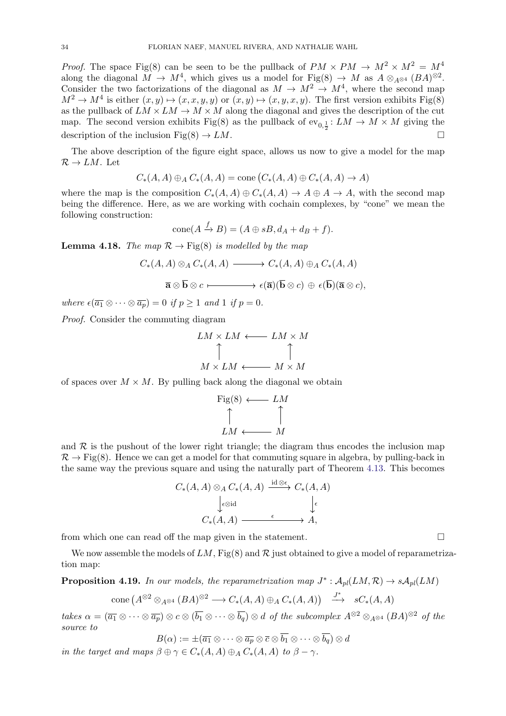*Proof.* The space Fig(8) can be seen to be the pullback of  $PM \times PM \rightarrow M^2 \times M^2 = M^4$ along the diagonal  $M \to M^4$ , which gives us a model for Fig(8)  $\to M$  as  $A \otimes_{A^{\otimes 4}} (BA)^{\otimes 2}$ . Consider the two factorizations of the diagonal as  $M \to M^2 \to M^4$ , where the second map  $M^2 \to M^4$  is either  $(x, y) \mapsto (x, x, y, y)$  or  $(x, y) \mapsto (x, y, x, y)$ . The first version exhibits Fig(8) as the pullback of  $LM \times LM \rightarrow M \times M$  along the diagonal and gives the description of the cut map. The second version exhibits Fig(8) as the pullback of  $ev_{0,\frac{1}{2}}: LM \to M \times M$  giving the description of the inclusion Fig(8)  $\rightarrow LM$ .

The above description of the figure eight space, allows us now to give a model for the map  $\mathcal{R} \to LM$ . Let

$$
C_*(A, A) \oplus_A C_*(A, A) = \text{cone}(C_*(A, A) \oplus C_*(A, A) \to A)
$$

where the map is the composition  $C_*(A, A) \oplus C_*(A, A) \to A \oplus A \to A$ , with the second map being the difference. Here, as we are working with cochain complexes, by "cone" we mean the following construction:

$$
cone(A \xrightarrow{f} B) = (A \oplus sB, d_A + d_B + f).
$$

<span id="page-33-0"></span>**Lemma 4.18.** The map  $\mathcal{R} \to \text{Fig(8)}$  is modelled by the map

$$
C_*(A, A) \otimes_A C_*(A, A) \longrightarrow C_*(A, A) \oplus_A C_*(A, A)
$$

$$
\overline{\mathbf{a}} \otimes \overline{\mathbf{b}} \otimes c \longmapsto \epsilon(\overline{\mathbf{a}})(\overline{\mathbf{b}} \otimes c) \oplus \epsilon(\overline{\mathbf{b}})(\overline{\mathbf{a}} \otimes c),
$$

where  $\epsilon(\overline{a_1} \otimes \cdots \otimes \overline{a_n}) = 0$  if  $p \ge 1$  and  $1$  if  $p = 0$ .

Proof. Consider the commuting diagram

$$
LM \times LM \longleftarrow LM \times M
$$
  
\n
$$
\uparrow \qquad \qquad \uparrow
$$
  
\n
$$
M \times LM \longleftarrow M \times M
$$

of spaces over  $M \times M$ . By pulling back along the diagonal we obtain

$$
\begin{array}{ccc}\n\text{Fig(8)} & \longleftarrow & LM \\
\uparrow & & \uparrow \\
LM & \longleftarrow & M\n\end{array}
$$

and  $R$  is the pushout of the lower right triangle; the diagram thus encodes the inclusion map  $\mathcal{R} \to \text{Fig(8)}$ . Hence we can get a model for that commuting square in algebra, by pulling-back in the same way the previous square and using the naturally part of Theorem [4.13.](#page-30-1) This becomes

$$
C_*(A, A) \otimes_A C_*(A, A) \xrightarrow{\mathrm{id} \otimes \epsilon} C_*(A, A)
$$

$$
\downarrow_{\epsilon \otimes \mathrm{id}} \qquad \downarrow_{\epsilon}
$$

$$
C_*(A, A) \xrightarrow{\epsilon} A,
$$

from which one can read off the map given in the statement.

We now assemble the models of  $LM$ , Fig(8) and  $\mathcal R$  just obtained to give a model of reparametrization map:

<span id="page-33-1"></span>**Proposition 4.19.** In our models, the reparametrization map  $J^*$ :  $\mathcal{A}_{pl}(LM, \mathcal{R}) \to s\mathcal{A}_{pl}(LM)$ 

$$
\text{cone}\left(A^{\otimes 2}\otimes_{A^{\otimes 4}} (BA)^{\otimes 2} \longrightarrow C_*(A, A) \oplus_A C_*(A, A)\right) \xrightarrow{J^*} sC_*(A, A)
$$

takes  $\alpha = (\overline{a_1} \otimes \cdots \otimes \overline{a_p}) \otimes c \otimes (\overline{b_1} \otimes \cdots \otimes \overline{b_q}) \otimes d$  of the subcomplex  $A^{\otimes 2} \otimes_{A^{\otimes 4}} (BA)^{\otimes 2}$  of the source to

 $B(\alpha) := \pm(\overline{a_1} \otimes \cdots \otimes \overline{a_n} \otimes \overline{c} \otimes \overline{b_1} \otimes \cdots \otimes \overline{b_n}) \otimes d$ 

in the target and maps  $\beta \oplus \gamma \in C_*(A, A) \oplus_A C_*(A, A)$  to  $\beta - \gamma$ .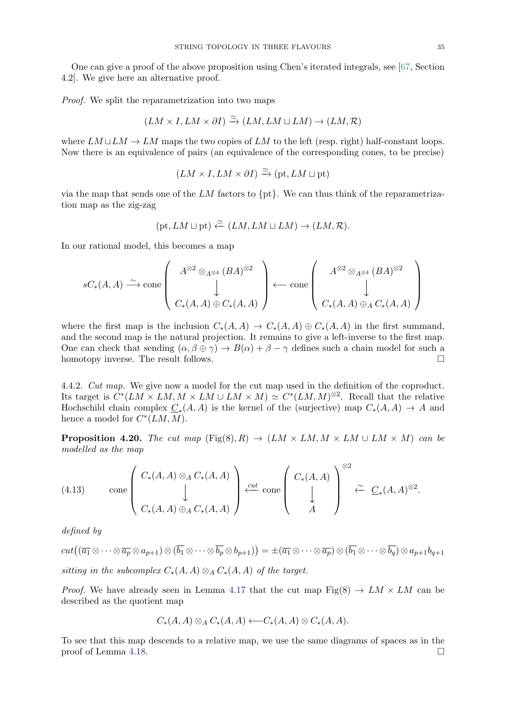One can give a proof of the above proposition using Chen's iterated integrals, see [\[67,](#page-38-4) Section 4.2]. We give here an alternative proof.

Proof. We split the reparametrization into two maps

$$
(LM \times I, LM \times \partial I) \xrightarrow{\simeq} (LM, LM \sqcup LM) \rightarrow (LM, \mathcal{R})
$$

where  $LM \sqcup LM \rightarrow LM$  maps the two copies of LM to the left (resp. right) half-constant loops. Now there is an equivalence of pairs (an equivalence of the corresponding cones, to be precise)

$$
(LM \times I, LM \times \partial I) \xrightarrow{\simeq} (\text{pt}, LM \sqcup \text{pt})
$$

via the map that sends one of the LM factors to  $\{pt\}$ . We can thus think of the reparametrization map as the zig-zag

$$
(\text{pt}, LM \sqcup \text{pt}) \xleftarrow{\simeq} (LM, LM \sqcup LM) \rightarrow (LM, \mathcal{R}).
$$

In our rational model, this becomes a map

$$
sC_{*}(A,A) \xrightarrow{\sim} \text{cone}\left(\begin{array}{c} A^{\otimes 2} \otimes_{A^{\otimes 4}} (BA)^{\otimes 2} \\ \downarrow \\ C_{*}(A,A) \oplus C_{*}(A,A) \end{array}\right) \longleftarrow \text{cone}\left(\begin{array}{c} A^{\otimes 2} \otimes_{A^{\otimes 4}} (BA)^{\otimes 2} \\ \downarrow \\ C_{*}(A,A) \oplus_{A} C_{*}(A,A) \end{array}\right)
$$

where the first map is the inclusion  $C_*(A, A) \to C_*(A, A) \oplus C_*(A, A)$  in the first summand, and the second map is the natural projection. It remains to give a left-inverse to the first map. One can check that sending  $(\alpha, \beta \oplus \gamma) \to B(\alpha) + \beta - \gamma$  defines such a chain model for such a homotopy inverse. The result follows.  $\Box$ 

4.4.2. Cut map. We give now a model for the cut map used in the definition of the coproduct. Its target is  $C^*(LM \times LM, M \times LM \cup LM \times M) \simeq C^*(LM, M)^{\otimes 2}$ . Recall that the relative Hochschild chain complex  $\underline{C}_*(A, A)$  is the kernel of the (surjective) map  $C_*(A, A) \to A$  and hence a model for  $C^*(LM, M)$ .

<span id="page-34-0"></span>**Proposition 4.20.** The cut map  $(Fig(8), R) \rightarrow (LM \times LM, M \times LM \cup LM \times M)$  can be modelled as the map

(4.13) cone 
$$
\begin{pmatrix} C_*(A, A) \otimes_A C_*(A, A) \\ \downarrow \\ C_*(A, A) \oplus_A C_*(A, A) \end{pmatrix} \xleftarrow{\text{cut}} \text{cone } \begin{pmatrix} C_*(A, A) \\ \downarrow \\ A \end{pmatrix} \stackrel{\otimes 2}{\leftarrow} \underline{C}_*(A, A)^{\otimes 2}.
$$

defined by

$$
cut((\overline{a_1} \otimes \cdots \otimes \overline{a_p} \otimes a_{p+1}) \otimes (\overline{b_1} \otimes \cdots \otimes \overline{b_p} \otimes b_{p+1})) = \pm (\overline{a_1} \otimes \cdots \otimes \overline{a_p}) \otimes (\overline{b_1} \otimes \cdots \otimes \overline{b_q}) \otimes a_{p+1}b_{q+1}
$$
  
sitting in the subcomplex  $C_*(A, A) \otimes_A C_*(A, A)$  of the target.

*Proof.* We have already seen in Lemma [4.17](#page-32-0) that the cut map  $\text{Fig}(8) \rightarrow LM \times LM$  can be described as the quotient map

$$
C_*(A, A) \otimes_A C_*(A, A) \longleftarrow C_*(A, A) \otimes C_*(A, A).
$$

To see that this map descends to a relative map, we use the same diagrams of spaces as in the proof of Lemma [4.18.](#page-33-0)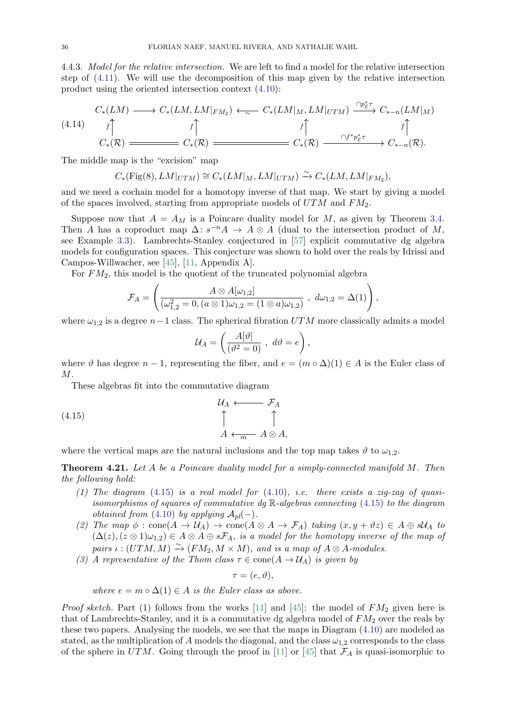4.4.3. Model for the relative intersection. We are left to find a model for the relative intersection step of [\(4.11\)](#page-30-2). We will use the decomposition of this map given by the relative intersection product using the oriented intersection context [\(4.10\)](#page-28-3):

<span id="page-35-1"></span>
$$
(4.14) \quad C_*(LM) \longrightarrow C_*(LM, LM|_{FM_2}) \longleftarrow C_*(LM|_M, LM|_{UTM}) \xrightarrow{\cap p^*_{\mathcal{E}} \tau} C_{*-n}(LM|_M)
$$

$$
f \qquad \qquad f \qquad \qquad f \qquad \qquad f \qquad \qquad f \qquad \qquad f \qquad \qquad f \qquad \qquad f \qquad \qquad f \qquad \qquad f \qquad \qquad f \qquad \qquad f \qquad \qquad f \qquad \qquad f \qquad \qquad f \qquad \qquad f \qquad \qquad f \qquad \qquad f \qquad \qquad f \qquad \qquad f \qquad \qquad f \qquad \qquad f \qquad \qquad f \qquad \qquad f \qquad \qquad f \qquad \qquad f \qquad \qquad f \qquad \qquad f \qquad \qquad f \qquad \qquad f \qquad \qquad f \qquad \qquad f \qquad \qquad f \qquad \qquad f \qquad \qquad f \qquad \qquad f \qquad \qquad f \qquad \qquad f \qquad \qquad f \qquad \qquad f \qquad \qquad f \qquad \qquad f \qquad \qquad f \qquad \qquad f \qquad \qquad f \qquad \qquad f \qquad \qquad f \qquad \qquad f \qquad \qquad f \qquad \qquad f \qquad \qquad f \qquad \qquad f \qquad \qquad f \qquad \qquad f \qquad \qquad f \qquad \qquad f \qquad \qquad f \qquad \qquad f \qquad \qquad f \qquad \qquad f \qquad \qquad f \qquad \qquad f \qquad \qquad f \qquad \qquad f \qquad \qquad f \qquad \qquad f \qquad \qquad f \qquad \qquad f \qquad \qquad f \qquad \qquad f \qquad \qquad f \qquad \qquad f \qquad \qquad f \qquad \qquad f \qquad \qquad f \qquad \qquad f \qquad \qquad f \qquad \qquad f \qquad \qquad f \qquad \qquad f \qquad \qquad f \qquad \qquad f \qquad \qquad f \qquad \qquad f \qquad \qquad f \qquad \qquad f \qquad \qquad f \qquad \qquad f \qquad \qquad f \qquad \qquad f \qquad \qquad f \qquad \qquad f \qquad \qquad f \qquad \qquad f \qquad \qquad f \qquad \qquad f \qquad \qquad f \qquad \qquad f
$$

The middle map is the "excision" map

$$
C_*\left(\mathrm{Fig}(8), LM|_{UTM}\right) \cong C_*\left(LM|_M, LM|_{UTM}\right) \xrightarrow{\sim} C_*\left(LM, LM|_{FM_2}\right),
$$

and we need a cochain model for a homotopy inverse of that map. We start by giving a model of the spaces involved, starting from appropriate models of  $UTM$  and  $FM<sub>2</sub>$ .

Suppose now that  $A = A_M$  is a Poincare duality model for M, as given by Theorem [3.4.](#page-17-0) Then A has a coproduct map  $\Delta: s^{-n}A \to A \otimes A$  (dual to the intersection product of M, see Example [3.3\)](#page-16-1). Lambrechts-Stanley conjectured in [\[57\]](#page-38-36) explicit commutative dg algebra models for configuration spaces. This conjecture was shown to hold over the reals by Idrissi and Campos-Willwacher, see [\[45\]](#page-38-21), [\[11,](#page-37-20) Appendix A].

For  $FM<sub>2</sub>$ , this model is the quotient of the truncated polynomial algebra

$$
\mathcal{F}_A = \left( \frac{A \otimes A[\omega_{1,2}]}{(\omega_{1,2}^2 = 0, (a \otimes 1)\omega_{1,2} = (1 \otimes a)\omega_{1,2})} , d\omega_{1,2} = \Delta(1) \right),
$$

where  $\omega_{1,2}$  is a degree  $n-1$  class. The spherical fibration  $UTM$  more classically admits a model

<span id="page-35-0"></span>
$$
\mathcal{U}_A = \left(\frac{A[\vartheta]}{(\vartheta^2 = 0)}, \ d\vartheta = e\right),\,
$$

where  $\vartheta$  has degree  $n-1$ , representing the fiber, and  $e = (m \circ \Delta)(1) \in A$  is the Euler class of  $M$ .

These algebras fit into the commutative diagram

(4.15) 
$$
\begin{array}{ccc}\n U_A & \longleftarrow & \mathcal{F}_A \\
 \uparrow & & \uparrow \\
 A & \longleftarrow & A \otimes A,\n \end{array}
$$

where the vertical maps are the natural inclusions and the top map takes  $\vartheta$  to  $\omega_{1,2}$ .

<span id="page-35-2"></span>**Theorem 4.21.** Let A be a Poincare duality model for a simply-connected manifold  $M$ . Then the following hold:

- (1) The diagram  $(4.15)$  is a real model for  $(4.10)$ , i.e. there exists a zig-zag of quasiisomorphisms of squares of commutative dg  $\mathbb R$ -algebras connecting [\(4.15\)](#page-35-0) to the diagram *obtained from* [\(4.10\)](#page-28-3) by applying  $A_{pl}(-)$ .
- (2) The map  $\phi : \text{cone}(A \to \mathcal{U}_A) \to \text{cone}(A \otimes A \to \mathcal{F}_A)$  taking  $(x, y + \vartheta z) \in A \oplus \vartheta \mathcal{U}_A$  to  $(\Delta(z), (z \otimes 1)\omega_{1,2}) \in A \otimes A \oplus s\mathcal{F}_A$ , is a model for the homotopy inverse of the map of pairs  $\iota : (UTM, M) \xrightarrow{\sim} (FM_2, M \times M)$ , and is a map of  $A \otimes A$ -modules.
- (3) A representative of the Thom class  $\tau \in \text{cone}(A \to \mathcal{U}_A)$  is given by

 $\tau = (e, \vartheta),$ 

where  $e = m \circ \Delta(1) \in A$  is the Euler class as above.

*Proof sketch.* Part (1) follows from the works [\[11\]](#page-37-20) and [\[45\]](#page-38-21): the model of  $FM<sub>2</sub>$  given here is that of Lambrechts-Stanley, and it is a commutative dg algebra model of  $FM<sub>2</sub>$  over the reals by these two papers. Analysing the models, we see that the maps in Diagram [\(4.10\)](#page-28-3) are modeled as stated, as the multiplication of A models the diagonal, and the class  $\omega_{1,2}$  corresponds to the class of the sphere in UTM. Going through the proof in [\[11\]](#page-37-20) or [\[45\]](#page-38-21) that  $\mathcal{F}_A$  is quasi-isomorphic to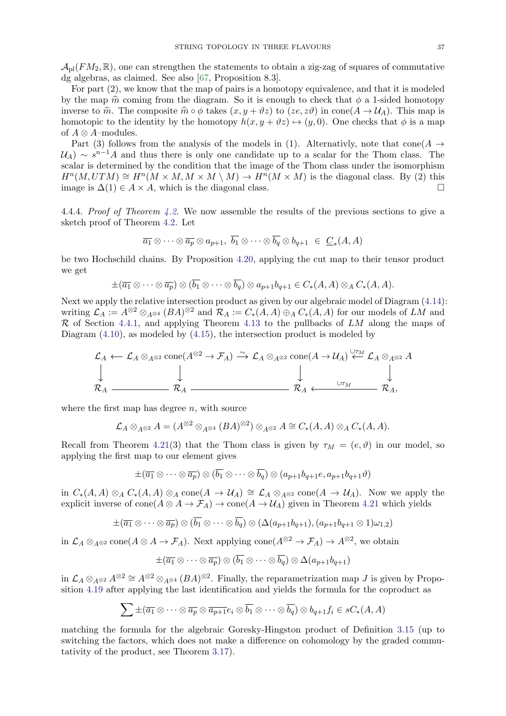$\mathcal{A}_{\text{pl}}(FM_2, \mathbb{R})$ , one can strengthen the statements to obtain a zig-zag of squares of commutative dg algebras, as claimed. See also [\[67,](#page-38-4) Proposition 8.3].

For part (2), we know that the map of pairs is a homotopy equivalence, and that it is modeled by the map  $\hat{m}$  coming from the diagram. So it is enough to check that  $\phi$  a 1-sided homotopy inverse to  $\hat{m}$ . The composite  $\hat{m} \circ \phi$  takes  $(x, y + \vartheta z)$  to  $(ze, z\vartheta)$  in cone( $A \to \mathcal{U}_A$ ). This map is homotopic to the identity by the homotopy  $h(x, y + \vartheta z) \mapsto (y, 0)$ . One checks that  $\phi$  is a map of  $A \otimes A$ –modules.

Part (3) follows from the analysis of the models in (1). Alternativly, note that cone  $(A \rightarrow$  $\mathcal{U}_A$ ) ~  $s^{n-1}A$  and thus there is only one candidate up to a scalar for the Thom class. The scalar is determined by the condition that the image of the Thom class under the isomorphism  $H^n(M,UTM) \cong H^n(M \times M, M \times M \setminus M) \to H^n(M \times M)$  is the diagonal class. By (2) this image is  $\Delta(1) \in A \times A$ , which is the diagonal class. □

4.4.4. Proof of Theorem [4.2.](#page-25-1) We now assemble the results of the previous sections to give a sketch proof of Theorem [4.2.](#page-25-1) Let

$$
\overline{a_1} \otimes \cdots \otimes \overline{a_p} \otimes a_{p+1}, \ \overline{b_1} \otimes \cdots \otimes \overline{b_q} \otimes b_{q+1} \ \in \ \underline{C}_*(A, A)
$$

be two Hochschild chains. By Proposition [4.20,](#page-34-0) applying the cut map to their tensor product we get

$$
\pm(\overline{a_1}\otimes\cdots\otimes \overline{a_p})\otimes (\overline{b_1}\otimes\cdots\otimes \overline{b_q})\otimes a_{p+1}b_{q+1}\in C_*(A,A)\otimes_A C_*(A,A).
$$

Next we apply the relative intersection product as given by our algebraic model of Diagram [\(4.14\)](#page-35-1): writing  $\mathcal{L}_A := A^{\otimes 2} \otimes_{A^{\otimes 4}} (BA)^{\otimes 2}$  and  $\mathcal{R}_A := C_*(A, A) \oplus_A C_*(A, A)$  for our models of  $LM$  and  $\mathcal R$  of Section [4.4.1,](#page-32-1) and applying Theorem [4.13](#page-30-1) to the pullbacks of LM along the maps of Diagram [\(4.10\)](#page-28-3), as modeled by [\(4.15\)](#page-35-0), the intersection product is modeled by

$$
\mathcal{L}_A \leftarrow \mathcal{L}_A \otimes_{A^{\otimes 2}} \text{cone}(A^{\otimes 2} \to \mathcal{F}_A) \xrightarrow{\sim} \mathcal{L}_A \otimes_{A^{\otimes 2}} \text{cone}(A \to \mathcal{U}_A) \stackrel{\cup \tau_M}{\leftarrow} \mathcal{L}_A \otimes_{A^{\otimes 2}} A
$$
  

$$
\downarrow \qquad \qquad \downarrow
$$
  

$$
\mathcal{R}_A \xleftarrow{\cup \tau_M} \mathcal{R}_A,
$$

where the first map has degree  $n$ , with source

$$
\mathcal{L}_A \otimes_{A^{\otimes 2}} A = (A^{\otimes 2} \otimes_{A^{\otimes 4}} (BA)^{\otimes 2}) \otimes_{A^{\otimes 2}} A \cong C_*(A, A) \otimes_A C_*(A, A).
$$

Recall from Theorem [4.21\(](#page-35-2)3) that the Thom class is given by  $\tau_M = (e, \vartheta)$  in our model, so applying the first map to our element gives

$$
\pm(\overline{a_1}\otimes\cdots\otimes \overline{a_p})\otimes (\overline{b_1}\otimes\cdots\otimes \overline{b_q})\otimes (a_{p+1}b_{q+1}e,a_{p+1}b_{q+1}\vartheta)
$$

in  $C_*(A, A) \otimes_A C_*(A, A) \otimes_A \text{cone}(A \to \mathcal{U}_A) \cong \mathcal{L}_A \otimes_{A \otimes^2} \text{cone}(A \to \mathcal{U}_A)$ . Now we apply the explicit inverse of cone( $A \otimes A \to \mathcal{F}_A$ )  $\to$  cone( $A \to \mathcal{U}_A$ ) given in Theorem [4.21](#page-35-2) which yields

$$
\pm(\overline{a_1}\otimes\cdots\otimes \overline{a_p})\otimes (\overline{b_1}\otimes\cdots\otimes \overline{b_q})\otimes (\Delta(a_{p+1}b_{q+1}),(a_{p+1}b_{q+1}\otimes 1)\omega_{1,2})
$$

in  $\mathcal{L}_A \otimes_{A^{\otimes 2}} \text{cone}(A \otimes A \to \mathcal{F}_A)$ . Next applying  $\text{cone}(A^{\otimes 2} \to \mathcal{F}_A) \to A^{\otimes 2}$ , we obtain

$$
\pm(\overline{a_1}\otimes\cdots\otimes \overline{a_p})\otimes (\overline{b_1}\otimes\cdots\otimes \overline{b_q})\otimes \Delta(a_{p+1}b_{q+1})
$$

in  $\mathcal{L}_A \otimes_{A^{\otimes 2}} A^{\otimes 2} \cong A^{\otimes 2} \otimes_{A^{\otimes 4}} (BA)^{\otimes 2}$ . Finally, the reparametrization map J is given by Proposition [4.19](#page-33-1) after applying the last identification and yields the formula for the coproduct as

$$
\sum \pm (\overline{a_1} \otimes \cdots \otimes \overline{a_p} \otimes \overline{a_{p+1}} e_i \otimes \overline{b_1} \otimes \cdots \otimes \overline{b_q}) \otimes b_{q+1} f_i \in sC_*(A, A)
$$

matching the formula for the algebraic Goresky-Hingston product of Definition [3.15](#page-21-0) (up to switching the factors, which does not make a difference on cohomology by the graded commutativity of the product, see Theorem [3.17\)](#page-21-2).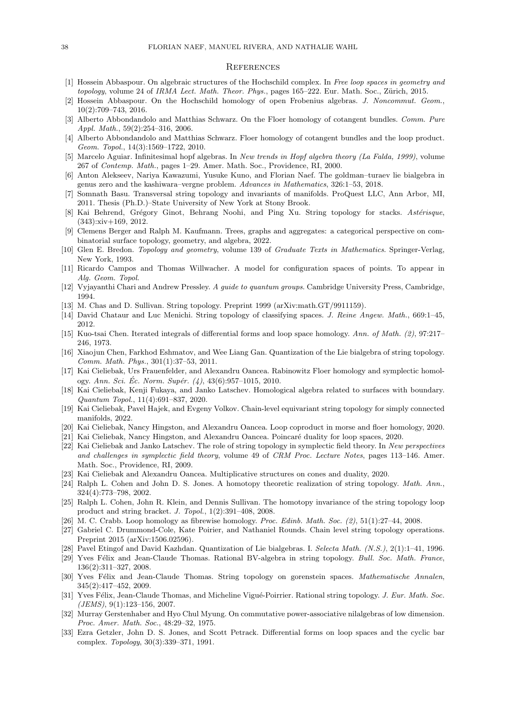#### <span id="page-37-21"></span>**REFERENCES**

- <span id="page-37-27"></span>[1] Hossein Abbaspour. On algebraic structures of the Hochschild complex. In Free loop spaces in geometry and topology, volume 24 of IRMA Lect. Math. Theor. Phys., pages 165-222. Eur. Math. Soc., Zürich, 2015.
- <span id="page-37-9"></span>[2] Hossein Abbaspour. On the Hochschild homology of open Frobenius algebras. J. Noncommut. Geom., 10(2):709–743, 2016.
- <span id="page-37-3"></span>[3] Alberto Abbondandolo and Matthias Schwarz. On the Floer homology of cotangent bundles. Comm. Pure Appl. Math., 59(2):254–316, 2006.
- <span id="page-37-4"></span>[4] Alberto Abbondandolo and Matthias Schwarz. Floer homology of cotangent bundles and the loop product. Geom. Topol., 14(3):1569–1722, 2010.
- <span id="page-37-29"></span>[5] Marcelo Aguiar. Infinitesimal hopf algebras. In New trends in Hopf algebra theory (La Falda, 1999), volume 267 of Contemp. Math., pages 1–29. Amer. Math. Soc., Providence, RI, 2000.
- <span id="page-37-23"></span>[6] Anton Alekseev, Nariya Kawazumi, Yusuke Kuno, and Florian Naef. The goldman–turaev lie bialgebra in genus zero and the kashiwara–vergne problem. Advances in Mathematics, 326:1–53, 2018.
- <span id="page-37-18"></span>[7] Somnath Basu. Transversal string topology and invariants of manifolds. ProQuest LLC, Ann Arbor, MI, 2011. Thesis (Ph.D.)–State University of New York at Stony Brook.
- <span id="page-37-8"></span>[8] Kai Behrend, Grégory Ginot, Behrang Noohi, and Ping Xu. String topology for stacks. Astérisque, (343):xiv+169, 2012.
- <span id="page-37-11"></span>[9] Clemens Berger and Ralph M. Kaufmann. Trees, graphs and aggregates: a categorical perspective on combinatorial surface topology, geometry, and algebra, 2022.
- <span id="page-37-22"></span>[10] Glen E. Bredon. Topology and geometry, volume 139 of Graduate Texts in Mathematics. Springer-Verlag, New York, 1993.
- <span id="page-37-20"></span>[11] Ricardo Campos and Thomas Willwacher. A model for configuration spaces of points. To appear in Alg. Geom. Topol.
- <span id="page-37-28"></span>[12] Vyjayanthi Chari and Andrew Pressley. A guide to quantum groups. Cambridge University Press, Cambridge, 1994.
- <span id="page-37-0"></span>[13] M. Chas and D. Sullivan. String topology. Preprint 1999 (arXiv:math.GT/9911159).
- <span id="page-37-7"></span>[14] David Chataur and Luc Menichi. String topology of classifying spaces. J. Reine Angew. Math., 669:1–45, 2012.
- <span id="page-37-24"></span>[15] Kuo-tsai Chen. Iterated integrals of differential forms and loop space homology. Ann. of Math. (2), 97:217– 246, 1973.
- <span id="page-37-30"></span>[16] Xiaojun Chen, Farkhod Eshmatov, and Wee Liang Gan. Quantization of the Lie bialgebra of string topology. Comm. Math. Phys., 301(1):37–53, 2011.
- <span id="page-37-12"></span>[17] Kai Cieliebak, Urs Frauenfelder, and Alexandru Oancea. Rabinowitz Floer homology and symplectic homology. Ann. Sci. Éc. Norm. Supér.  $(4)$ , 43 $(6)$ :957–1015, 2010.
- <span id="page-37-31"></span>[18] Kai Cieliebak, Kenji Fukaya, and Janko Latschev. Homological algebra related to surfaces with boundary. Quantum Topol., 11(4):691–837, 2020.
- <span id="page-37-19"></span>[19] Kai Cieliebak, Pavel Hajek, and Evgeny Volkov. Chain-level equivariant string topology for simply connected manifolds, 2022.
- <span id="page-37-15"></span>[20] Kai Cieliebak, Nancy Hingston, and Alexandru Oancea. Loop coproduct in morse and floer homology, 2020.
- <span id="page-37-14"></span>[21] Kai Cieliebak, Nancy Hingston, and Alexandru Oancea. Poincaré duality for loop spaces, 2020.
- <span id="page-37-5"></span>[22] Kai Cieliebak and Janko Latschev. The role of string topology in symplectic field theory. In New perspectives and challenges in symplectic field theory, volume 49 of CRM Proc. Lecture Notes, pages 113–146. Amer. Math. Soc., Providence, RI, 2009.
- <span id="page-37-13"></span>[23] Kai Cieliebak and Alexandru Oancea. Multiplicative structures on cones and duality, 2020.
- <span id="page-37-1"></span>[24] Ralph L. Cohen and John D. S. Jones. A homotopy theoretic realization of string topology. Math. Ann., 324(4):773–798, 2002.
- <span id="page-37-16"></span>[25] Ralph L. Cohen, John R. Klein, and Dennis Sullivan. The homotopy invariance of the string topology loop product and string bracket. J. Topol., 1(2):391–408, 2008.
- <span id="page-37-17"></span>[26] M. C. Crabb. Loop homology as fibrewise homology. Proc. Edinb. Math. Soc. (2), 51(1):27–44, 2008.
- <span id="page-37-6"></span>[27] Gabriel C. Drummond-Cole, Kate Poirier, and Nathaniel Rounds. Chain level string topology operations. Preprint 2015 (arXiv:1506.02596).
- <span id="page-37-32"></span>[28] Pavel Etingof and David Kazhdan. Quantization of Lie bialgebras. I. Selecta Math. (N.S.), 2(1):1–41, 1996.
- <span id="page-37-33"></span>[29] Yves Félix and Jean-Claude Thomas. Rational BV-algebra in string topology. Bull. Soc. Math. France, 136(2):311–327, 2008.
- <span id="page-37-2"></span>[30] Yves Félix and Jean-Claude Thomas. String topology on gorenstein spaces. Mathematische Annalen, 345(2):417–452, 2009.
- <span id="page-37-10"></span>[31] Yves Félix, Jean-Claude Thomas, and Micheline Vigué-Poirrier. Rational string topology. J. Eur. Math. Soc.  $(JEMS), 9(1):123-156, 2007.$
- <span id="page-37-26"></span>[32] Murray Gerstenhaber and Hyo Chul Myung. On commutative power-associative nilalgebras of low dimension. Proc. Amer. Math. Soc., 48:29–32, 1975.
- <span id="page-37-25"></span>[33] Ezra Getzler, John D. S. Jones, and Scott Petrack. Differential forms on loop spaces and the cyclic bar complex. Topology, 30(3):339–371, 1991.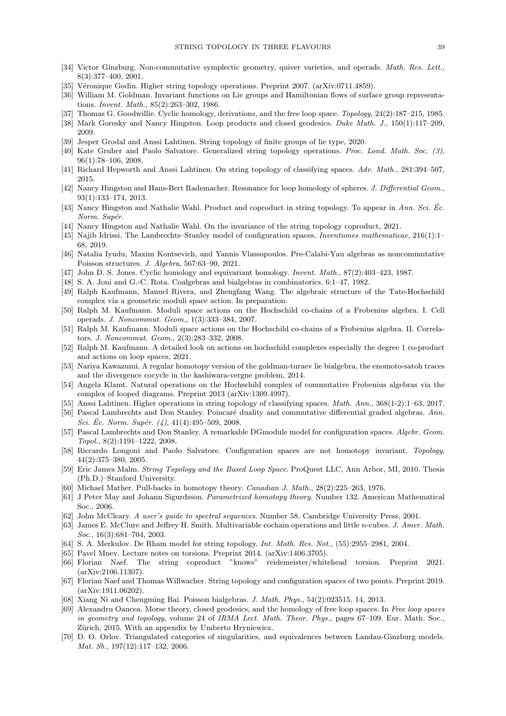- <span id="page-38-32"></span>[34] Victor Ginzburg. Non-commutative symplectic geometry, quiver varieties, and operads. Math. Res. Lett., 8(3):377–400, 2001.
- <span id="page-38-6"></span>[35] Véronique Godin. Higher string topology operations. Preprint 2007. (arXiv:0711.4859).
- <span id="page-38-0"></span>[36] William M. Goldman. Invariant functions on Lie groups and Hamiltonian flows of surface group representations. Invent. Math., 85(2):263–302, 1986.
- <span id="page-38-2"></span>[37] Thomas G. Goodwillie. Cyclic homology, derivations, and the free loop space. Topology, 24(2):187–215, 1985.
- <span id="page-38-9"></span>[38] Mark Goresky and Nancy Hingston. Loop products and closed geodesics. Duke Math. J., 150(1):117–209, 2009.
- <span id="page-38-13"></span>[39] Jesper Grodal and Anssi Lahtinen. String topology of finite groups of lie type, 2020.
- <span id="page-38-18"></span>[40] Kate Gruher and Paolo Salvatore. Generalized string topology operations. Proc. Lond. Math. Soc. (3), 96(1):78–106, 2008.
- <span id="page-38-11"></span>[41] Richard Hepworth and Anssi Lahtinen. On string topology of classifying spaces. Adv. Math., 281:394–507, 2015.
- <span id="page-38-10"></span>[42] Nancy Hingston and Hans-Bert Rademacher. Resonance for loop homology of spheres. J. Differential Geom., 93(1):133–174, 2013.
- <span id="page-38-14"></span>[43] Nancy Hingston and Nathalie Wahl. Product and coproduct in string topology. To appear in Ann. Sci. Éc. Norm. Supér.
- <span id="page-38-19"></span>[44] Nancy Hingston and Nathalie Wahl. On the invariance of the string topology coproduct, 2021.
- <span id="page-38-21"></span>[45] Najib Idrissi. The Lambrechts–Stanley model of configuration spaces. Inventiones mathematicae, 216(1):1– 68, 2019.
- <span id="page-38-30"></span>[46] Natalia Iyudu, Maxim Kontsevich, and Yannis Vlassopoulos. Pre-Calabi-Yau algebras as noncommutative Poisson structures. J. Algebra, 567:63–90, 2021.
- <span id="page-38-1"></span>[47] John D. S. Jones. Cyclic homology and equivariant homology. Invent. Math., 87(2):403–423, 1987.
- <span id="page-38-28"></span>[48] S. A. Joni and G.-C. Rota. Coalgebras and bialgebras in combinatorics. 6:1–47, 1982.
- <span id="page-38-31"></span>[49] Ralph Kaufmann, Manuel Rivera, and Zhengfang Wang. The algebraic structure of the Tate-Hochschild complex via a geometric moduli space action. In preparation.
- <span id="page-38-8"></span>[50] Ralph M. Kaufmann. Moduli space actions on the Hochschild co-chains of a Frobenius algebra. I. Cell operads. J. Noncommut. Geom., 1(3):333–384, 2007.
- <span id="page-38-7"></span>[51] Ralph M. Kaufmann. Moduli space actions on the Hochschild co-chains of a Frobenius algebra. II. Correlators. J. Noncommut. Geom., 2(3):283–332, 2008.
- <span id="page-38-17"></span>[52] Ralph M. Kaufmann. A detailed look on actions on hochschild complexes especially the degree 1 co-product and actions on loop spaces, 2021.
- <span id="page-38-23"></span>[53] Nariya Kawazumi. A regular homotopy version of the goldman-turaev lie bialgebra, the enomoto-satoh traces and the divergence cocycle in the kashiwara-vergne problem, 2014.
- <span id="page-38-16"></span>[54] Angela Klamt. Natural operations on the Hochschild complex of commutative Frobenius algebras via the complex of looped diagrams. Preprint 2013 (arXiv:1309.4997).
- <span id="page-38-12"></span>[55] Anssi Lahtinen. Higher operations in string topology of classifying spaces. Math. Ann., 368(1-2):1–63, 2017.
- <span id="page-38-25"></span>[56] Pascal Lambrechts and Don Stanley. Poincaré duality and commutative differential graded algebras. Ann. Sci. Éc. Norm. Supér.  $(4)$ , 41(4):495–509, 2008.
- <span id="page-38-36"></span>[57] Pascal Lambrechts and Don Stanley. A remarkable DGmodule model for configuration spaces. Algebr. Geom. Topol., 8(2):1191–1222, 2008.
- <span id="page-38-20"></span>[58] Riccardo Longoni and Paolo Salvatore. Configuration spaces are not homotopy invariant. Topology, 44(2):375–380, 2005.
- <span id="page-38-5"></span>[59] Eric James Malm. String Topology and the Based Loop Space. ProQuest LLC, Ann Arbor, MI, 2010. Thesis (Ph.D.)–Stanford University.
- <span id="page-38-33"></span>[60] Michael Mather. Pull-backs in homotopy theory. Canadian J. Math., 28(2):225–263, 1976.
- <span id="page-38-34"></span>[61] J Peter May and Johann Sigurdsson. Parametrized homotopy theory. Number 132. American Mathematical Soc., 2006.
- <span id="page-38-35"></span>[62] John McCleary. A user's guide to spectral sequences. Number 58. Cambridge University Press, 2001.
- <span id="page-38-26"></span>[63] James E. McClure and Jeffrey H. Smith. Multivariable cochain operations and little n-cubes. J. Amer. Math. Soc., 16(3):681-704, 2003.
- <span id="page-38-3"></span>[64] S. A. Merkulov. De Rham model for string topology. Int. Math. Res. Not., (55):2955–2981, 2004.
- <span id="page-38-24"></span>[65] Pavel Mnev. Lecture notes on torsions. Preprint 2014. (arXiv:1406.3705).
- <span id="page-38-15"></span>[66] Florian Naef. The string coproduct "knows" reidemeister/whitehead torsion. Preprint 2021. (arXiv:2106.11307).
- <span id="page-38-4"></span>[67] Florian Naef and Thomas Willwacher. String topology and configuration spaces of two points. Preprint 2019. (arXiv:1911.06202).
- <span id="page-38-29"></span>[68] Xiang Ni and Chengming Bai. Poisson bialgebras. J. Math. Phys., 54(2):023515, 14, 2013.
- <span id="page-38-22"></span>[69] Alexandru Oancea. Morse theory, closed geodesics, and the homology of free loop spaces. In Free loop spaces in geometry and topology, volume 24 of IRMA Lect. Math. Theor. Phys., pages 67-109. Eur. Math. Soc., Zürich, 2015. With an appendix by Umberto Hryniewicz.
- <span id="page-38-27"></span>[70] D. O. Orlov. Triangulated categories of singularities, and equivalences between Landau-Ginzburg models. Mat. Sb., 197(12):117–132, 2006.